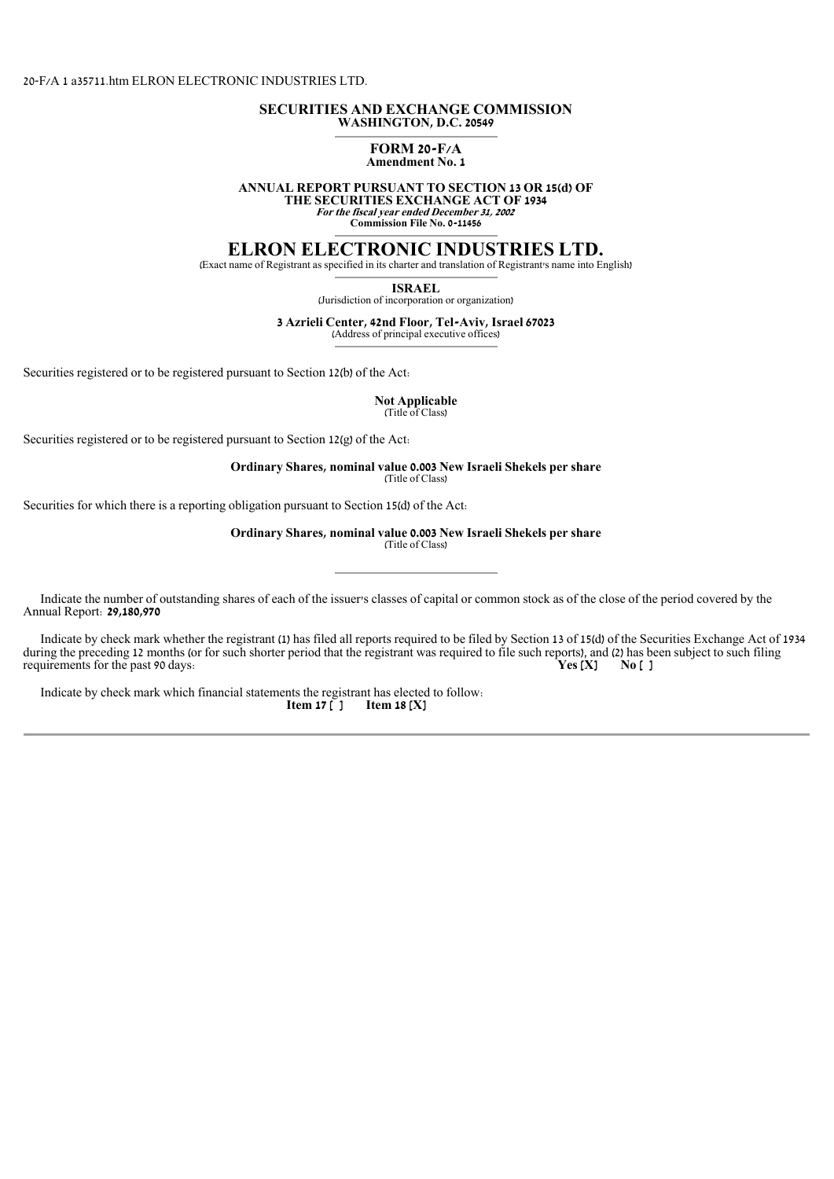### 20-F/A 1 a35711.htm ELRON ELECTRONIC INDUSTRIES LTD.

### **SECURITIES AND EXCHANGE COMMISSION WASHINGTON, D.C. 20549**

# **FORM 20-F/A**

**ANNUAL REPORT PURSUANT TO SECTION 13 OR 15(d) OF** 

**THE SECURITIES EXCHANGE ACT OF 1934 For the fiscal year ended December 31, 2002** 

**Commission File No. 0-11456**

## **ELRON ELECTRONIC INDUSTRIES LTD.**

(Exact name of Registrant as specified in its charter and translation of Registrant's name into English)

**ISRAEL**

(Jurisdiction of incorporation or organization)

### **3 Azrieli Center, 42nd Floor, Tel-Aviv, Israel 67023**

(Address of principal executive offices)

Securities registered or to be registered pursuant to Section 12(b) of the Act:

**Not Applicable** (Title of Class)

Securities registered or to be registered pursuant to Section 12(g) of the Act:

**Ordinary Shares, nominal value 0.003 New Israeli Shekels per share** (Title of Class)

Securities for which there is a reporting obligation pursuant to Section 15(d) of the Act:

**Ordinary Shares, nominal value 0.003 New Israeli Shekels per share** (Title of Class)

 Indicate the number of outstanding shares of each of the issuer's classes of capital or common stock as of the close of the period covered by the Annual Report: **29,180,970**

 Indicate by check mark whether the registrant (1) has filed all reports required to be filed by Section 13 of 15(d) of the Securities Exchange Act of 1934 during the preceding 12 months (or for such shorter period that the registrant was required to file such reports), and (2) has been subject to such filing requirements for the past 90 days. requirements for the past 90 days.

Indicate by check mark which financial statements the registrant has elected to follow.<br> **Item 17**  $\left[$   $\right]$  **Item 18**  $\left[$   $\right]$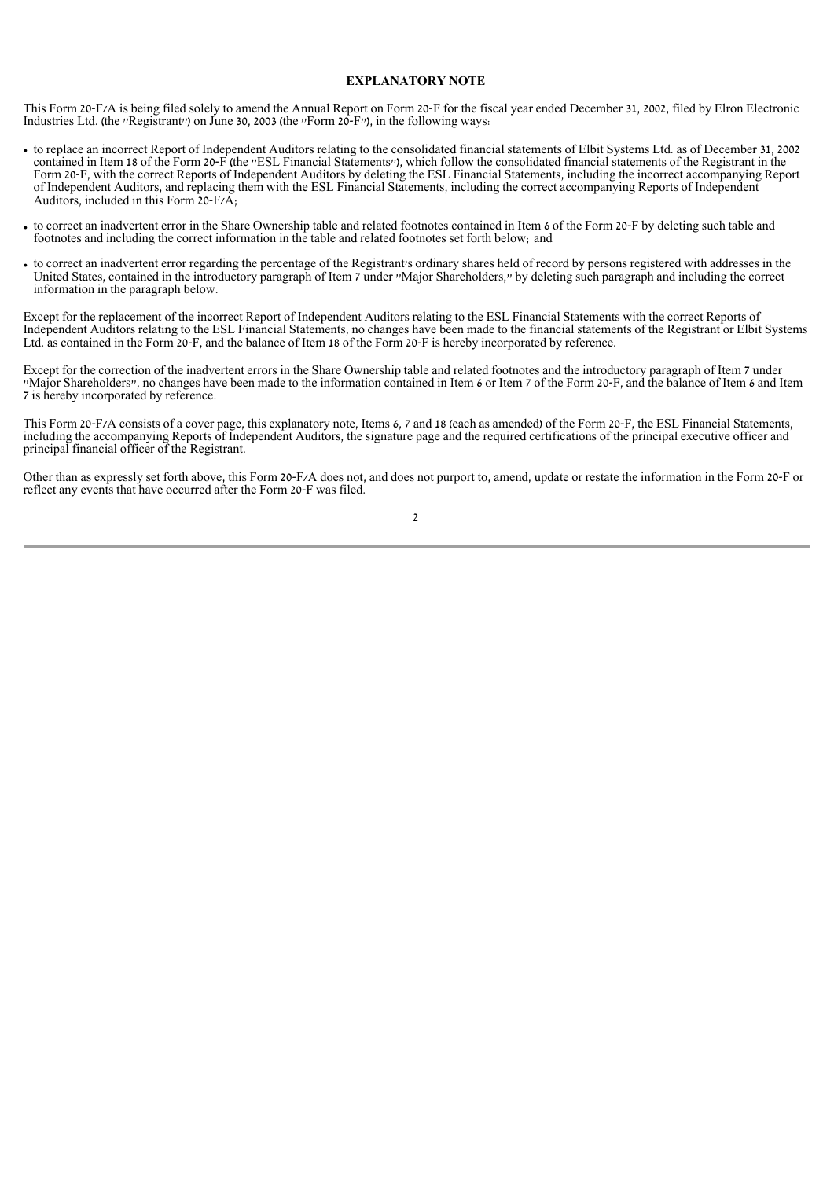### **EXPLANATORY NOTE**

This Form 20-F/A is being filed solely to amend the Annual Report on Form 20-F for the fiscal year ended December 31, 2002, filed by Elron Electronic Industries Ltd. (the ''Registrant'') on June 30, 2003 (the ''Form 20-F''), in the following ways:

- to replace an incorrect Report of Independent Auditors relating to the consolidated financial statements of Elbit Systems Ltd. as of December 31, 2002 contained in Item 18 of the Form 20-F (the ''ESL Financial Statements''), which follow the consolidated financial statements of the Registrant in the Form 20-F, with the correct Reports of Independent Auditors by deleting the ESL Financial Statements, including the incorrect accompanying Report of Independent Auditors, and replacing them with the ESL Financial Statements, including the correct accompanying Reports of Independent Auditors, included in this Form 20-F/A;
- to correct an inadvertent error in the Share Ownership table and related footnotes contained in Item 6 of the Form 20-F by deleting such table and footnotes and including the correct information in the table and related footnotes set forth below; and
- to correct an inadvertent error regarding the percentage of the Registrant's ordinary shares held of record by persons registered with addresses in the United States, contained in the introductory paragraph of Item 7 under ''Major Shareholders,'' by deleting such paragraph and including the correct information in the paragraph below.

Except for the replacement of the incorrect Report of Independent Auditors relating to the ESL Financial Statements with the correct Reports of Independent Auditors relating to the ESL Financial Statements, no changes have been made to the financial statements of the Registrant or Elbit Systems Ltd. as contained in the Form 20-F, and the balance of Item 18 of the Form 20-F is hereby incorporated by reference.

Except for the correction of the inadvertent errors in the Share Ownership table and related footnotes and the introductory paragraph of Item 7 under ''Major Shareholders'', no changes have been made to the information contained in Item 6 or Item 7 of the Form 20-F, and the balance of Item 6 and Item 7 is hereby incorporated by reference.

This Form 20-F/A consists of a cover page, this explanatory note, Items 6, 7 and 18 (each as amended) of the Form 20-F, the ESL Financial Statements, including the accompanying Reports of Independent Auditors, the signature page and the required certifications of the principal executive officer and principal financial officer of the Registrant.

Other than as expressly set forth above, this Form 20-F/A does not, and does not purport to, amend, update or restate the information in the Form 20-F or reflect any events that have occurred after the Form 20-F was filed.

2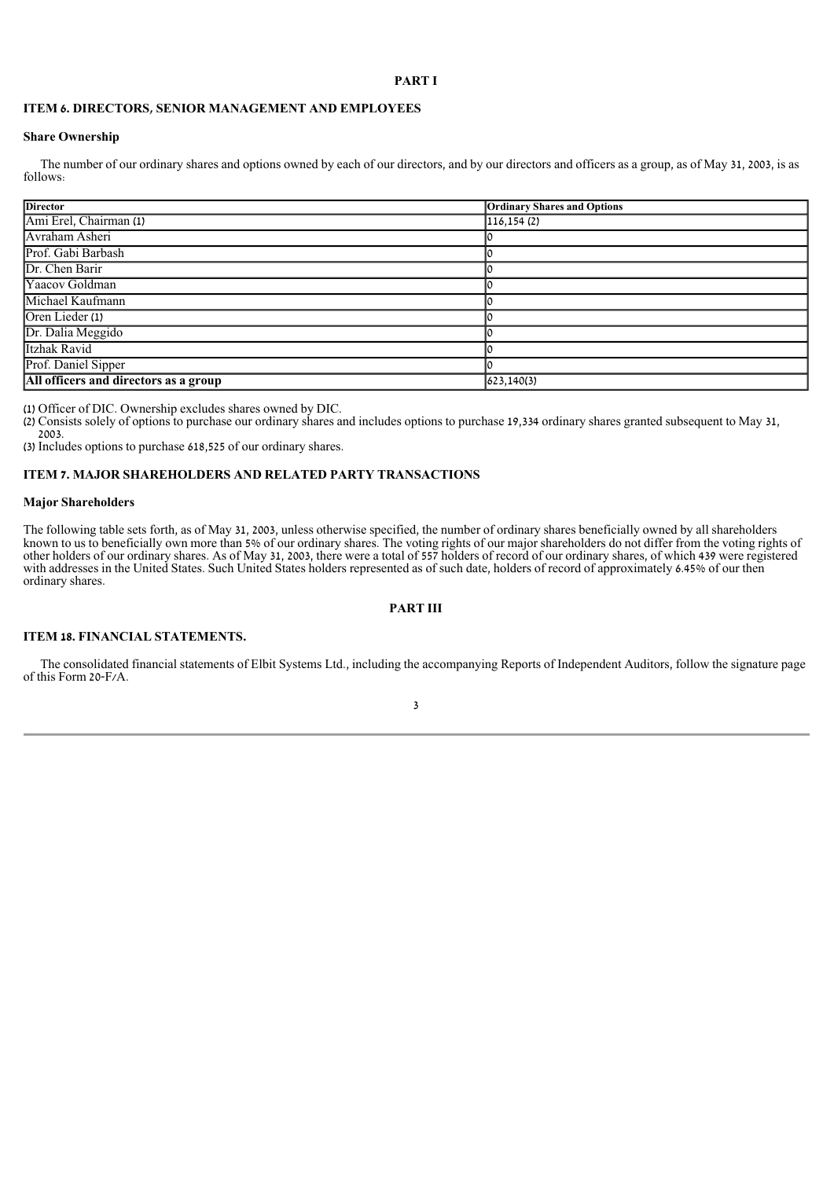### **PART I**

### **ITEM 6. DIRECTORS, SENIOR MANAGEMENT AND EMPLOYEES**

### **Share Ownership**

The number of our ordinary shares and options owned by each of our directors, and by our directors and officers as a group, as of May 31, 2003, is as follows:

| <b>Director</b>                       | <b>Ordinary Shares and Options</b> |
|---------------------------------------|------------------------------------|
| Ami Erel, Chairman (1)                | 116, 154(2)                        |
| Avraham Asheri                        |                                    |
| Prof. Gabi Barbash                    |                                    |
| Dr. Chen Barir                        |                                    |
| Yaacov Goldman                        |                                    |
| Michael Kaufmann                      |                                    |
| Oren Lieder (1)                       |                                    |
| Dr. Dalia Meggido                     |                                    |
| Itzhak Ravid                          |                                    |
| Prof. Daniel Sipper                   |                                    |
| All officers and directors as a group | 623,140(3)                         |

(1) Officer of DIC. Ownership excludes shares owned by DIC.

(2) Consists solely of options to purchase our ordinary shares and includes options to purchase 19,334 ordinary shares granted subsequent to May 31, 2003.

(3) Includes options to purchase 618,525 of our ordinary shares.

### **ITEM 7. MAJOR SHAREHOLDERS AND RELATED PARTY TRANSACTIONS**

### **Major Shareholders**

The following table sets forth, as of May 31, 2003, unless otherwise specified, the number of ordinary shares beneficially owned by all shareholders known to us to beneficially own more than 5% of our ordinary shares. The voting rights of our major shareholders do not differ from the voting rights of other holders of our ordinary shares. As of May 31, 2003, there were a total of 557 holders of record of our ordinary shares, of which 439 were registered with addresses in the United States. Such United States holders represented as of such date, holders of record of approximately 6.45% of our then ordinary shares.

### **PART III**

### **ITEM 18. FINANCIAL STATEMENTS.**

 The consolidated financial statements of Elbit Systems Ltd., including the accompanying Reports of Independent Auditors, follow the signature page of this Form 20-F/A.

### 3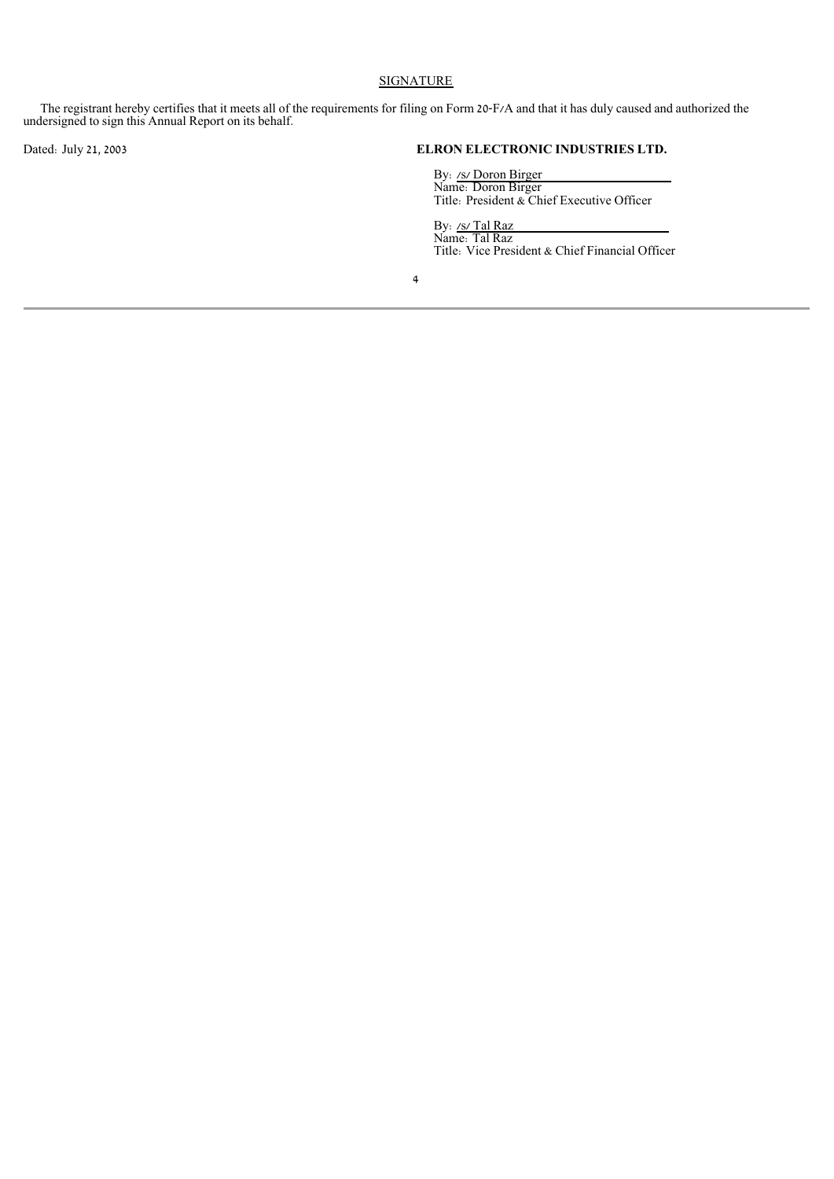### **SIGNATURE**

 The registrant hereby certifies that it meets all of the requirements for filing on Form 20-F/A and that it has duly caused and authorized the undersigned to sign this Annual Report on its behalf.

Dated: July 21, 2003<br>
By: <u>/s/ Doron Birger</u><br>
Name: Doron Birger<br>
Title: President & Chief Executive Officer<br>
By: <u>/s/ Tal Raz</u><br>
Name: Tal Raz<br>
Tal Raz<br>
Title: Vice President & Chief Financial Officer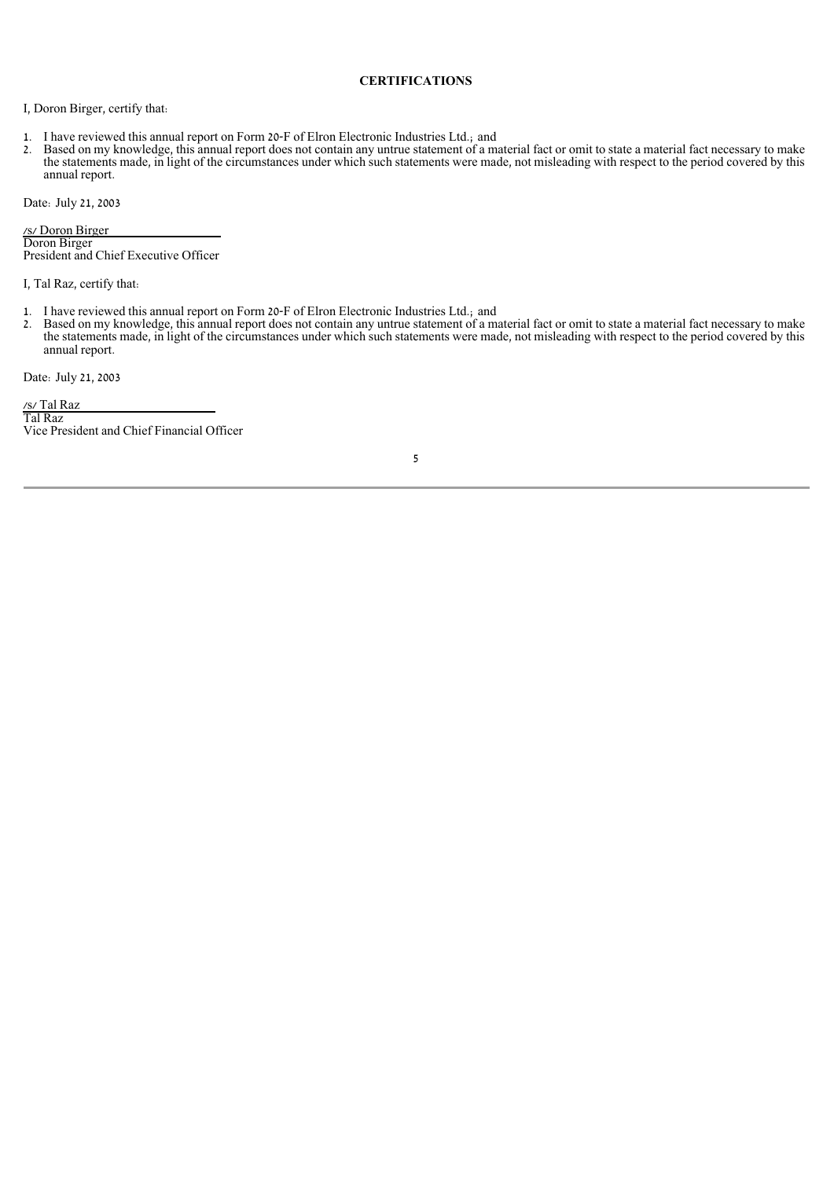### **CERTIFICATIONS**

I, Doron Birger, certify that:

- 1. I have reviewed this annual report on Form 20-F of Elron Electronic Industries Ltd.; and 2. Based on my knowledge, this annual report does not contain any untrue statement of a m
- Based on my knowledge, this annual report does not contain any untrue statement of a material fact or omit to state a material fact necessary to make the statements made, in light of the circumstances under which such statements were made, not misleading with respect to the period covered by this annual report.

Date: July 21, 2003

/s/ Doron Birger Doron Birger President and Chief Executive Officer

I, Tal Raz, certify that:

- 1. I have reviewed this annual report on Form 20-F of Elron Electronic Industries Ltd.; and
- 2. Based on my knowledge, this annual report does not contain any untrue statement of a material fact or omit to state a material fact necessary to make the statements made, in light of the circumstances under which such statements were made, not misleading with respect to the period covered by this annual report.

Date: July 21, 2003

/s/ Tal Raz Tal Raz Vice President and Chief Financial Officer

5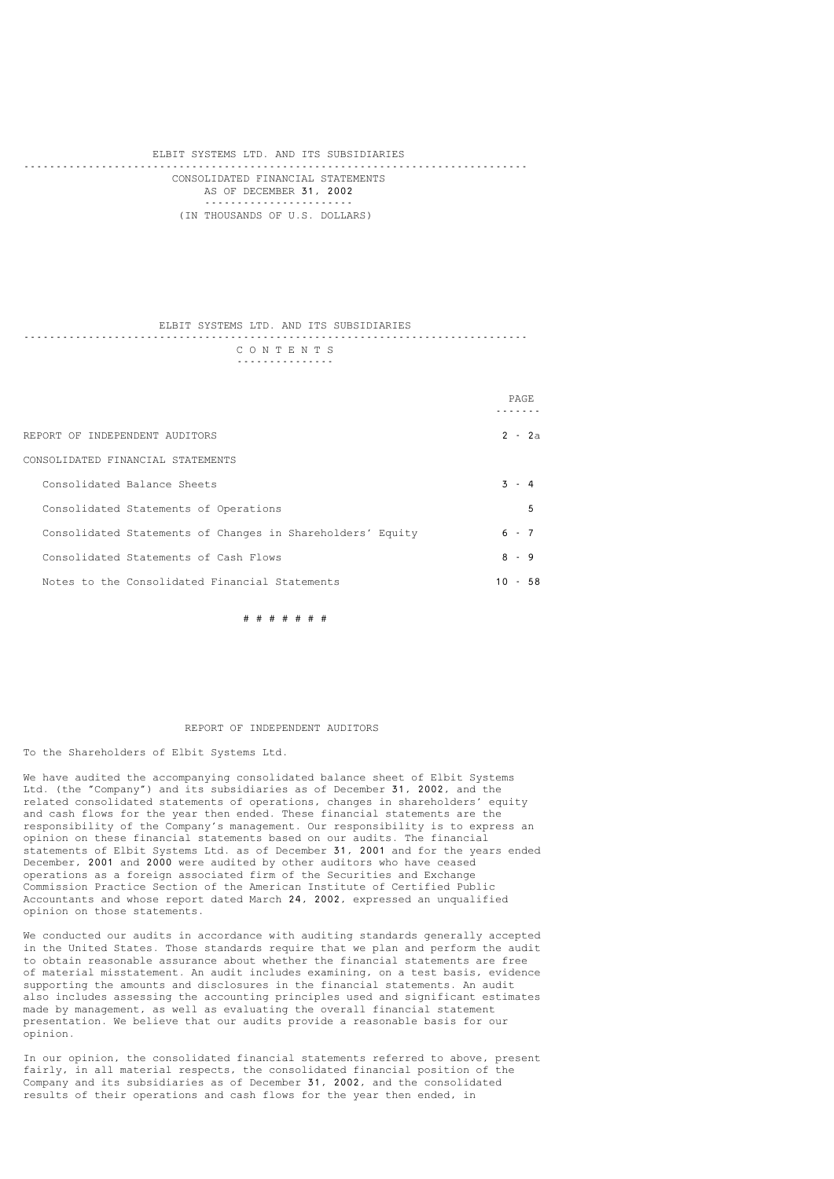#### ELBIT SYSTEMS LTD. AND ITS SUBSIDIARIES ------------------------------------------------------------------------------ CONSOLIDATED FINANCIAL STATEMENTS AS OF DECEMBER 31, 2002 ----------------------- (IN THOUSANDS OF U.S. DOLLARS)

#### ELBIT SYSTEMS LTD. AND ITS SUBSIDIARIES ------------------------------------------------------------------------------ C O N T E N T S ---------------

|                                                            | <b>PAGE</b> |          |
|------------------------------------------------------------|-------------|----------|
| REPORT OF INDEPENDENT AUDITORS                             |             | $2 - 2a$ |
| CONSOLIDATED FINANCIAL STATEMENTS                          |             |          |
| Consolidated Balance Sheets                                | $3 - 4$     |          |
| Consolidated Statements of Operations                      |             | 5        |
| Consolidated Statements of Changes in Shareholders' Equity | $6 - 7$     |          |
| Consolidated Statements of Cash Flows                      | $8 - 9$     |          |
| Notes to the Consolidated Financial Statements             | $10 -$      | 58       |

# # # # # # #

### REPORT OF INDEPENDENT AUDITORS

#### To the Shareholders of Elbit Systems Ltd.

We have audited the accompanying consolidated balance sheet of Elbit Systems Ltd. (the "Company") and its subsidiaries as of December 31, 2002, and the related consolidated statements of operations, changes in shareholders' equity and cash flows for the year then ended. These financial statements are the responsibility of the Company's management. Our responsibility is to express an opinion on these financial statements based on our audits. The financial statements of Elbit Systems Ltd. as of December 31, 2001 and for the years ended December, 2001 and 2000 were audited by other auditors who have ceased operations as a foreign associated firm of the Securities and Exchange Commission Practice Section of the American Institute of Certified Public Accountants and whose report dated March 24, 2002, expressed an unqualified opinion on those statements.

We conducted our audits in accordance with auditing standards generally accepted in the United States. Those standards require that we plan and perform the audit to obtain reasonable assurance about whether the financial statements are free of material misstatement. An audit includes examining, on a test basis, evidence supporting the amounts and disclosures in the financial statements. An audit also includes assessing the accounting principles used and significant estimates made by management, as well as evaluating the overall financial statement presentation. We believe that our audits provide a reasonable basis for our opinion.

In our opinion, the consolidated financial statements referred to above, present fairly, in all material respects, the consolidated financial position of the Company and its subsidiaries as of December 31, 2002, and the consolidated results of their operations and cash flows for the year then ended, in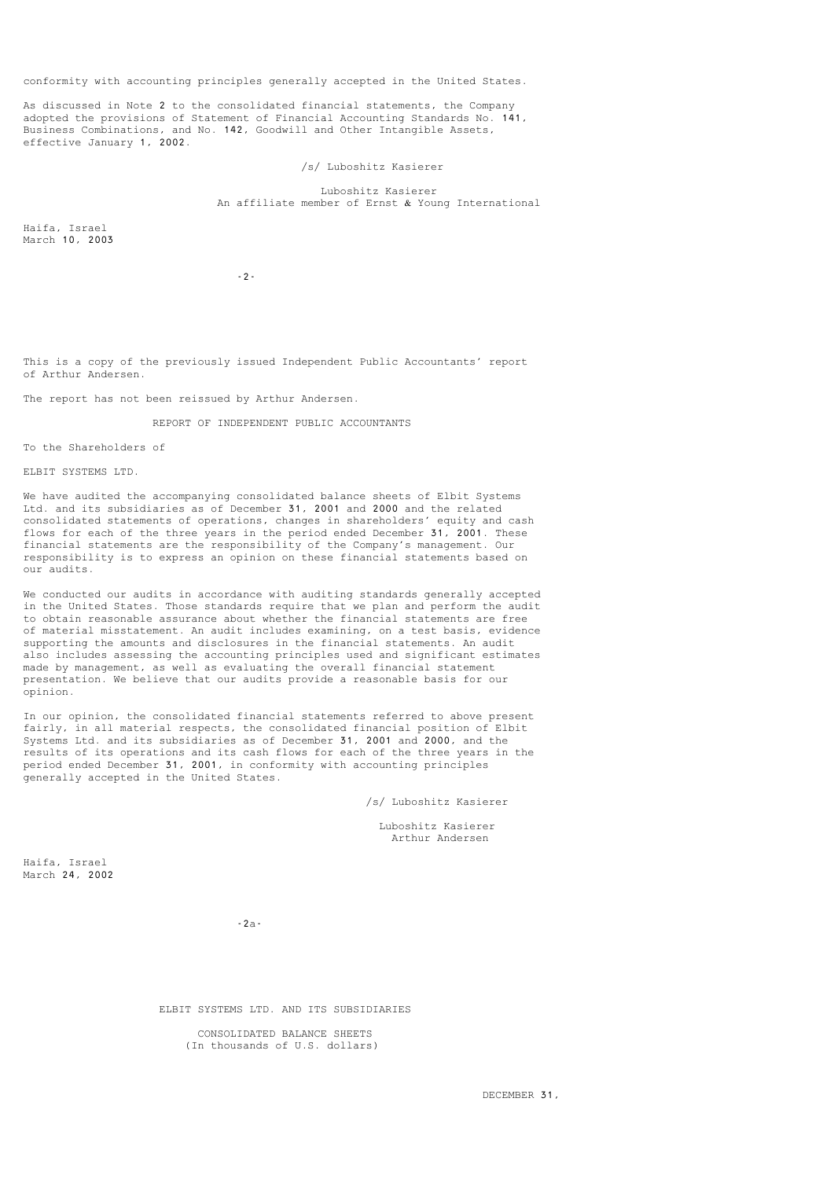conformity with accounting principles generally accepted in the United States.

As discussed in Note 2 to the consolidated financial statements, the Company adopted the provisions of Statement of Financial Accounting Standards No. 141, Business Combinations, and No. 142, Goodwill and Other Intangible Assets, effective January 1, 2002.

/s/ Luboshitz Kasierer

 Luboshitz Kasierer An affiliate member of Ernst & Young International

Haifa, Israel March 10, 2003

-2-

This is a copy of the previously issued Independent Public Accountants' report of Arthur Andersen.

The report has not been reissued by Arthur Andersen.

REPORT OF INDEPENDENT PUBLIC ACCOUNTANTS

To the Shareholders of

ELBIT SYSTEMS LTD.

We have audited the accompanying consolidated balance sheets of Elbit Systems Ltd. and its subsidiaries as of December 31, 2001 and 2000 and the related consolidated statements of operations, changes in shareholders' equity and cash flows for each of the three years in the period ended December 31, 2001. These financial statements are the responsibility of the Company's management. Our responsibility is to express an opinion on these financial statements based on our audits.

We conducted our audits in accordance with auditing standards generally accepted in the United States. Those standards require that we plan and perform the audit to obtain reasonable assurance about whether the financial statements are free of material misstatement. An audit includes examining, on a test basis, evidence supporting the amounts and disclosures in the financial statements. An audit also includes assessing the accounting principles used and significant estimates made by management, as well as evaluating the overall financial statement presentation. We believe that our audits provide a reasonable basis for our opinion.

In our opinion, the consolidated financial statements referred to above present fairly, in all material respects, the consolidated financial position of Elbit Systems Ltd. and its subsidiaries as of December 31, 2001 and 2000, and the results of its operations and its cash flows for each of the three years in the period ended December 31, 2001, in conformity with accounting principles .<br>generally accepted in the United States.

/s/ Luboshitz Kasierer

 Luboshitz Kasierer Arthur Andersen

Haifa, Israel March 24, 2002

-2a-

ELBIT SYSTEMS LTD. AND ITS SUBSIDIARIES

 CONSOLIDATED BALANCE SHEETS (In thousands of U.S. dollars)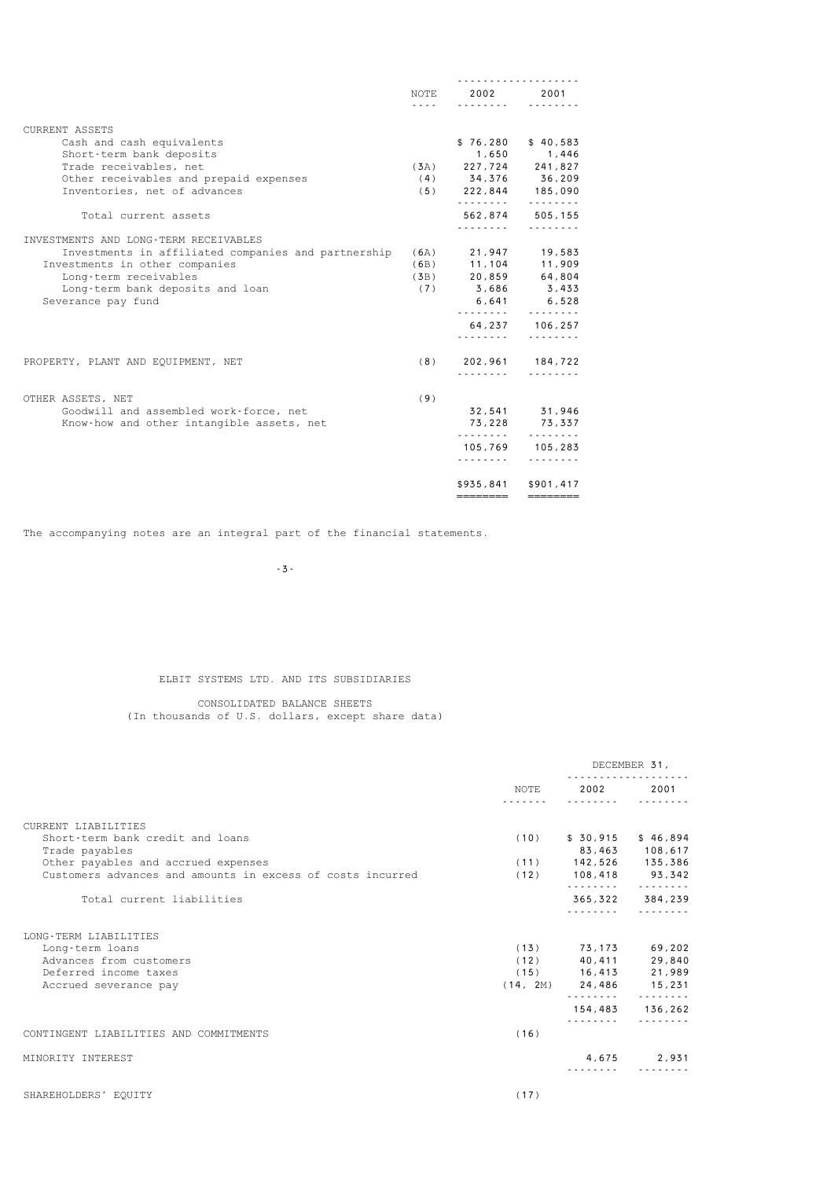|                                                     | .   | NOTE 2002 2001             |                      |
|-----------------------------------------------------|-----|----------------------------|----------------------|
| <b>CURRENT ASSETS</b>                               |     |                            |                      |
| Cash and cash equivalents                           |     |                            | $$76,280$ $$40,583$  |
| Short-term bank deposits                            |     |                            | 1,650 1,446          |
| Trade receivables, net                              |     | $(3A)$ 227,724 241,827     |                      |
| Other receivables and prepaid expenses              |     | $(4)$ 34,376 36,209        |                      |
| Inventories, net of advances                        |     | $(5)$ 222,844 185,090      |                      |
| Total current assets                                |     |                            | .<br>562,874 505,155 |
|                                                     |     | .                          | .                    |
| INVESTMENTS AND LONG-TERM RECEIVABLES               |     |                            |                      |
| Investments in affiliated companies and partnership |     | $(6A)$ 21,947 19,583       |                      |
| Investments in other companies                      |     | $(6B)$ 11,104 11,909       |                      |
| Long-term receivables                               |     | $(3B)$ 20,859 64,804       |                      |
| Long-term bank deposits and loan                    |     | $(7)$ 3,686 3,433          |                      |
| Severance pay fund                                  |     |                            | 6,641 6,528<br>.     |
|                                                     |     |                            | 64, 237 106, 257     |
|                                                     |     | .                          | .                    |
| PROPERTY, PLANT AND EQUIPMENT, NET                  |     | $(8)$ 202,961 184,722<br>. |                      |
|                                                     |     |                            |                      |
| OTHER ASSETS, NET                                   | (9) |                            |                      |
| Goodwill and assembled work-force, net              |     |                            | 32,541 31,946        |
| Know-how and other intangible assets, net           |     |                            | 73,228 73,337        |
|                                                     |     | .                          | .<br>105,769 105,283 |
|                                                     |     | .                          | .                    |
|                                                     |     |                            | \$935,841 \$901,417  |
|                                                     |     | ========                   | ========             |

-3-

### ELBIT SYSTEMS LTD. AND ITS SUBSIDIARIES

#### CONSOLIDATED BALANCE SHEETS

(In thousands of U.S. dollars, except share data)

|                                                                                                                                                                                | NOTE         | DECEMBER 31,                                                       |                                            |  |
|--------------------------------------------------------------------------------------------------------------------------------------------------------------------------------|--------------|--------------------------------------------------------------------|--------------------------------------------|--|
|                                                                                                                                                                                |              | 2002                                                               | 2001                                       |  |
| CURRENT LIABILITIES<br>Short-term bank credit and loans<br>Trade payables<br>Other payables and accrued expenses<br>Customers advances and amounts in excess of costs incurred | (10)         | $(11)$ 142,526 135,386<br>$(12)$ 108,418 93,342<br>.               | $$30,915$ $$46,894$<br>83,463 108,617<br>. |  |
| Total current liabilities                                                                                                                                                      |              |                                                                    | 365, 322 384, 239                          |  |
| LONG-TERM LIABILITIES<br>Long-term loans<br>Advances from customers<br>Deferred income taxes<br>Accrued severance pay                                                          | (13)<br>(12) | 73,173<br>40,411<br>$(15)$ 16,413<br>$(14, 2M)$ 24,486 15,231<br>. | 69,202<br>29,840<br>21,989<br>.            |  |
|                                                                                                                                                                                |              | 154,483<br>.                                                       | 136,262                                    |  |
| CONTINGENT LIABILITIES AND COMMITMENTS                                                                                                                                         | (16)         |                                                                    |                                            |  |
| MINORITY INTEREST                                                                                                                                                              |              |                                                                    | 4,675 2,931                                |  |
| SHAREHOLDERS' EOUITY                                                                                                                                                           | (17)         |                                                                    |                                            |  |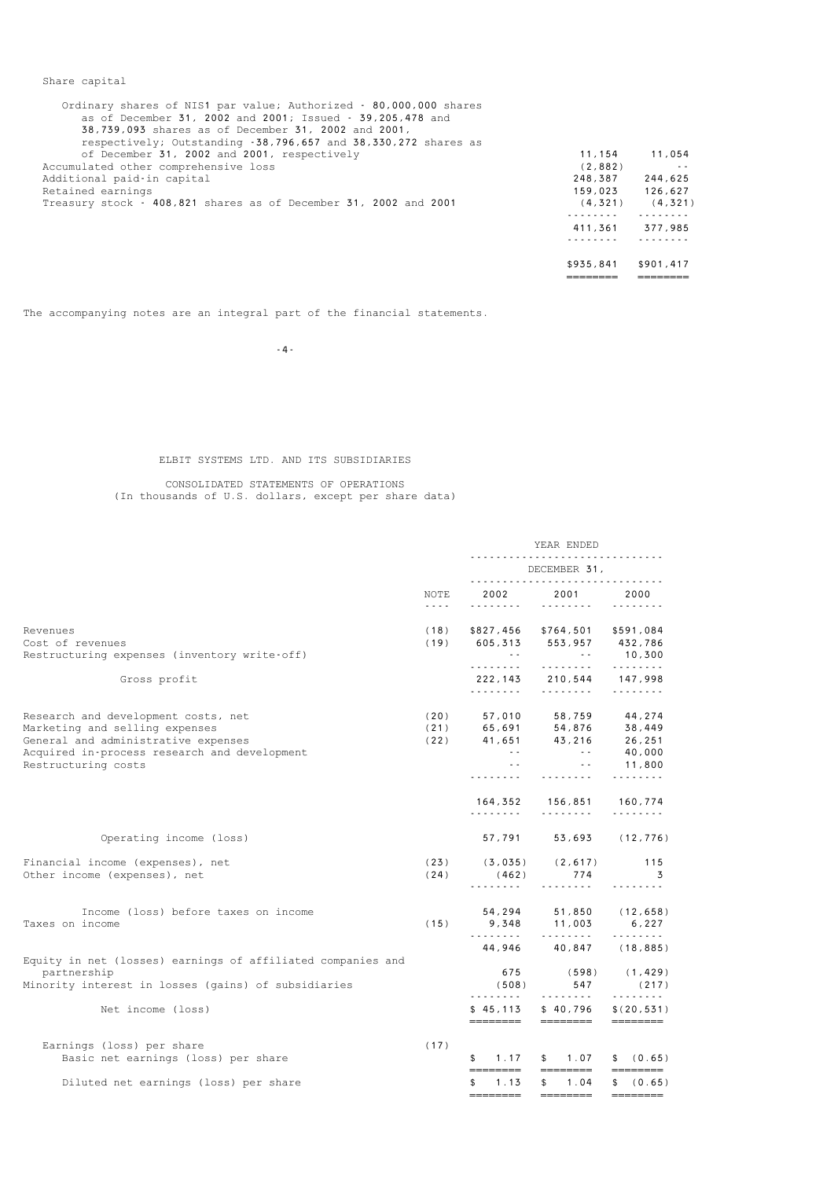| Ordinary shares of NIS1 par value; Authorized - 80,000,000 shares<br>as of December 31, 2002 and 2001; Issued - 39,205,478 and<br>38,739,093 shares as of December 31, 2002 and 2001,<br>respectively; Outstanding -38,796,657 and 38,330,272 shares as |           |               |
|---------------------------------------------------------------------------------------------------------------------------------------------------------------------------------------------------------------------------------------------------------|-----------|---------------|
| of December 31, 2002 and 2001, respectively                                                                                                                                                                                                             | 11,154    | 11,054        |
| Accumulated other comprehensive loss                                                                                                                                                                                                                    | (2,882)   | $\sim$ $\sim$ |
| Additional paid-in capital                                                                                                                                                                                                                              | 248,387   | 244,625       |
| Retained earnings                                                                                                                                                                                                                                       | 159,023   | 126.627       |
| Treasury stock - 408,821 shares as of December 31, 2002 and 2001                                                                                                                                                                                        | (4, 321)  | (4, 321)      |
|                                                                                                                                                                                                                                                         |           |               |
|                                                                                                                                                                                                                                                         | 411.361   | 377,985       |
|                                                                                                                                                                                                                                                         |           |               |
|                                                                                                                                                                                                                                                         | \$935,841 | \$901,417     |

======== ========

The accompanying notes are an integral part of the financial statements.

Share capital

-4-

### ELBIT SYSTEMS LTD. AND ITS SUBSIDIARIES

### CONSOLIDATED STATEMENTS OF OPERATIONS (In thousands of U.S. dollars, except per share data)

|                                                                                                            |                                       | YEAR ENDED                                                                                 |                                                                                                                                                                                                                                                                                                                                                                                                                                                                                                                      |                                                                                                                                                                                                                                                                                                                                                                                                                                                                                                                                                                                                                 |
|------------------------------------------------------------------------------------------------------------|---------------------------------------|--------------------------------------------------------------------------------------------|----------------------------------------------------------------------------------------------------------------------------------------------------------------------------------------------------------------------------------------------------------------------------------------------------------------------------------------------------------------------------------------------------------------------------------------------------------------------------------------------------------------------|-----------------------------------------------------------------------------------------------------------------------------------------------------------------------------------------------------------------------------------------------------------------------------------------------------------------------------------------------------------------------------------------------------------------------------------------------------------------------------------------------------------------------------------------------------------------------------------------------------------------|
|                                                                                                            |                                       |                                                                                            | DECEMBER 31,                                                                                                                                                                                                                                                                                                                                                                                                                                                                                                         |                                                                                                                                                                                                                                                                                                                                                                                                                                                                                                                                                                                                                 |
|                                                                                                            | NOTE<br>$\omega$ is a set of $\omega$ | .                                                                                          | 2002 2001                                                                                                                                                                                                                                                                                                                                                                                                                                                                                                            | 2000                                                                                                                                                                                                                                                                                                                                                                                                                                                                                                                                                                                                            |
| Revenues                                                                                                   | (18)                                  |                                                                                            | \$827,456 \$764,501 \$591,084                                                                                                                                                                                                                                                                                                                                                                                                                                                                                        |                                                                                                                                                                                                                                                                                                                                                                                                                                                                                                                                                                                                                 |
| Cost of revenues<br>Restructuring expenses (inventory write-off)                                           |                                       | $(19)$ 605, 313 553, 957 432, 786<br><b>Contract</b>                                       | <b>Contractor</b>                                                                                                                                                                                                                                                                                                                                                                                                                                                                                                    | 10,300                                                                                                                                                                                                                                                                                                                                                                                                                                                                                                                                                                                                          |
| Gross profit                                                                                               |                                       | .                                                                                          | 222, 143 210, 544 147, 998<br>$\begin{array}{cccccccccccccc} \multicolumn{2}{c}{} & \multicolumn{2}{c}{} & \multicolumn{2}{c}{} & \multicolumn{2}{c}{} & \multicolumn{2}{c}{} & \multicolumn{2}{c}{} & \multicolumn{2}{c}{} & \multicolumn{2}{c}{} & \multicolumn{2}{c}{} & \multicolumn{2}{c}{} & \multicolumn{2}{c}{} & \multicolumn{2}{c}{} & \multicolumn{2}{c}{} & \multicolumn{2}{c}{} & \multicolumn{2}{c}{} & \multicolumn{2}{c}{} & \multicolumn{2}{c}{} & \multicolumn{2}{c}{} & \multicolumn{2}{c}{} & \$ | .                                                                                                                                                                                                                                                                                                                                                                                                                                                                                                                                                                                                               |
| Research and development costs, net<br>Marketing and selling expenses                                      |                                       | $(20)$ 57,010 58,759 44,274                                                                |                                                                                                                                                                                                                                                                                                                                                                                                                                                                                                                      |                                                                                                                                                                                                                                                                                                                                                                                                                                                                                                                                                                                                                 |
| General and administrative expenses<br>Acquired in-process research and development<br>Restructuring costs |                                       | $(21)$ 65,691 54,876 38,449<br>(22) 41,651 43,216 26,251<br>(24) 41,651 43,216 40,000<br>. | the company of the season<br>.                                                                                                                                                                                                                                                                                                                                                                                                                                                                                       | 11,800<br>.                                                                                                                                                                                                                                                                                                                                                                                                                                                                                                                                                                                                     |
|                                                                                                            |                                       | .                                                                                          | 164,352 156,851 160,774<br>$\begin{array}{cccccccccccccc} \multicolumn{2}{c}{} & \multicolumn{2}{c}{} & \multicolumn{2}{c}{} & \multicolumn{2}{c}{} & \multicolumn{2}{c}{} & \multicolumn{2}{c}{} & \multicolumn{2}{c}{} & \multicolumn{2}{c}{} & \multicolumn{2}{c}{} & \multicolumn{2}{c}{} & \multicolumn{2}{c}{} & \multicolumn{2}{c}{} & \multicolumn{2}{c}{} & \multicolumn{2}{c}{} & \multicolumn{2}{c}{} & \multicolumn{2}{c}{} & \multicolumn{2}{c}{} & \multicolumn{2}{c}{} & \multicolumn{2}{c}{} & \$    | .                                                                                                                                                                                                                                                                                                                                                                                                                                                                                                                                                                                                               |
| Operating income (loss)                                                                                    |                                       | 57,791                                                                                     |                                                                                                                                                                                                                                                                                                                                                                                                                                                                                                                      | 53,693 (12,776)                                                                                                                                                                                                                                                                                                                                                                                                                                                                                                                                                                                                 |
| Financial income (expenses), net<br>Other income (expenses), net                                           | (24)                                  | $(23)$ $(3,035)$ $(2,617)$ 115<br>(462)                                                    | 774<br>.                                                                                                                                                                                                                                                                                                                                                                                                                                                                                                             | $\overline{3}$<br>.                                                                                                                                                                                                                                                                                                                                                                                                                                                                                                                                                                                             |
| Income (loss) before taxes on income<br>Taxes on income                                                    | (15)                                  |                                                                                            | 54, 294 51, 850 (12, 658)<br>9,348 11,003                                                                                                                                                                                                                                                                                                                                                                                                                                                                            | 6,227                                                                                                                                                                                                                                                                                                                                                                                                                                                                                                                                                                                                           |
| Equity in net (losses) earnings of affiliated companies and                                                |                                       |                                                                                            | 44,946 40,847 (18,885)                                                                                                                                                                                                                                                                                                                                                                                                                                                                                               |                                                                                                                                                                                                                                                                                                                                                                                                                                                                                                                                                                                                                 |
| partnership<br>Minority interest in losses (gains) of subsidiaries                                         |                                       | 675<br>(508)<br>.                                                                          | (598)<br>547                                                                                                                                                                                                                                                                                                                                                                                                                                                                                                         | (1, 429)<br>(217)<br>.                                                                                                                                                                                                                                                                                                                                                                                                                                                                                                                                                                                          |
| Net income (loss)                                                                                          |                                       | ========                                                                                   | $$45.113$ $$40.796$<br>========                                                                                                                                                                                                                                                                                                                                                                                                                                                                                      | \$(20.531)<br>========                                                                                                                                                                                                                                                                                                                                                                                                                                                                                                                                                                                          |
| Earnings (loss) per share<br>Basic net earnings (loss) per share                                           | (17)                                  | 1.17<br>\$                                                                                 | \$1.07                                                                                                                                                                                                                                                                                                                                                                                                                                                                                                               | \$ (0.65)                                                                                                                                                                                                                                                                                                                                                                                                                                                                                                                                                                                                       |
| Diluted net earnings (loss) per share                                                                      |                                       | ========<br>1.13<br>\$                                                                     | ========<br>1.04<br>$\mathbb{S}$<br>————————                                                                                                                                                                                                                                                                                                                                                                                                                                                                         | $\qquad \qquad \overbrace{\qquad \qquad }=\qquad \qquad \overbrace{\qquad \qquad }=\qquad \qquad \overbrace{\qquad \qquad }=\qquad \qquad \overbrace{\qquad \qquad }=\qquad \qquad \overbrace{\qquad \qquad }=\qquad \qquad \overbrace{\qquad \qquad }=\qquad \qquad \overbrace{\qquad \qquad }=\qquad \qquad \overbrace{\qquad \qquad }=\qquad \qquad \overbrace{\qquad \qquad }=\qquad \qquad \overbrace{\qquad \qquad }=\qquad \qquad \overbrace{\qquad \qquad }=\qquad \qquad \overbrace{\qquad \qquad }=\qquad \qquad \overbrace{\qquad \qquad }=\qquad \qquad \overbrace{\qquad$<br>\$ (0.65)<br>———————— |
|                                                                                                            |                                       |                                                                                            |                                                                                                                                                                                                                                                                                                                                                                                                                                                                                                                      |                                                                                                                                                                                                                                                                                                                                                                                                                                                                                                                                                                                                                 |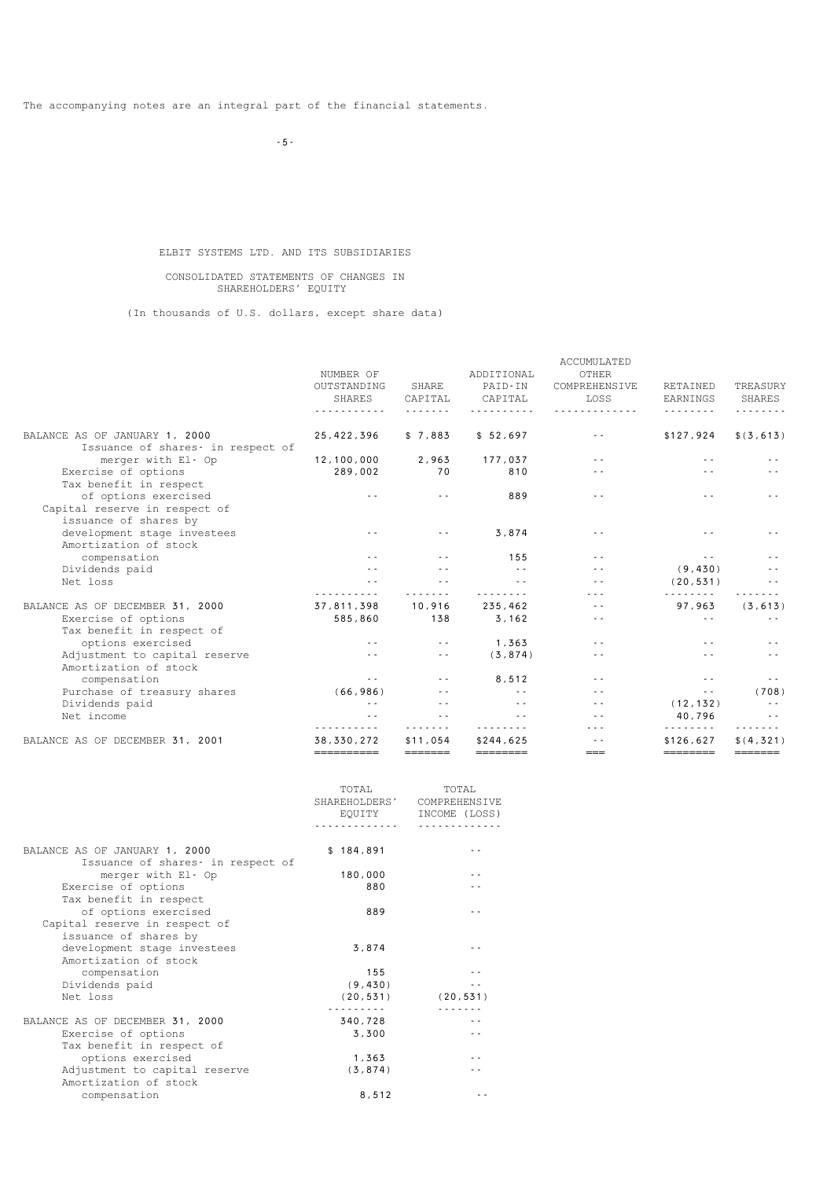-5-

### ELBIT SYSTEMS LTD. AND ITS SUBSIDIARIES

#### CONSOLIDATED STATEMENTS OF CHANGES IN SHAREHOLDERS' EQUITY

(In thousands of U.S. dollars, except share data)

|                                   |               |               |                 | <b>ACCUMULATED</b>   |               |               |
|-----------------------------------|---------------|---------------|-----------------|----------------------|---------------|---------------|
|                                   | NUMBER OF     |               | ADDITIONAL      | OTHER                |               |               |
|                                   | OUTSTANDING   | SHARE         | PAID-IN         | COMPREHENSIVE        | RETAINED      | TREASURY      |
|                                   | <b>SHARES</b> | CAPITAL       | CAPITAL         | LOSS                 | EARNINGS      | SHARES        |
|                                   |               |               |                 |                      |               |               |
| BALANCE AS OF JANUARY 1, 2000     | 25,422,396    | \$7.883       | \$52,697        | $\sim$ $\sim$        | \$127,924     | \$ (3, 613)   |
| Issuance of shares- in respect of |               |               |                 |                      |               |               |
| merger with El- Op                | 12,100,000    | 2,963         | 177,037         | $\sim$ $\sim$        | $\sim$ $\sim$ |               |
| Exercise of options               | 289,002       | 70            | 810             | $\sim$ $\sim$        | $\sim$ $\sim$ |               |
| Tax benefit in respect            |               |               |                 |                      |               |               |
| of options exercised              | $\sim$ $\sim$ | $\sim$ $\sim$ | 889             | $\sim$ $\sim$        |               |               |
| Capital reserve in respect of     |               |               |                 |                      |               |               |
| issuance of shares by             |               |               |                 |                      |               |               |
| development stage investees       | $\sim$ $\sim$ | $\sim$ $\sim$ | 3,874           |                      |               |               |
| Amortization of stock             |               |               |                 |                      |               |               |
| compensation                      | $\sim$ $\sim$ | $\sim$ $\sim$ | 155             | $\sim$ $\sim$        | $\sim$ $\sim$ |               |
| Dividends paid                    | $\sim$ $\sim$ | $\sim$ $\sim$ | $\sim$ 10 $\pm$ | $\sim$ $\sim$        | (9, 430)      |               |
| Net loss                          | $\sim$ $\sim$ | $\sim$ $\sim$ | $\sim$ $\sim$   | $\sim$ $\sim$        | (20.531)      |               |
|                                   | .             | .             | .               | $\sim$ $\sim$ $\sim$ | <u>.</u>      |               |
| BALANCE AS OF DECEMBER 31, 2000   | 37,811,398    | 10,916        | 235,462         | $\sim$ $\sim$        | 97,963        | (3, 613)      |
| Exercise of options               | 585,860       | 138           | 3,162           | $\sim$ $\sim$        | $\sim$ $\sim$ |               |
| Tax benefit in respect of         |               |               |                 |                      |               |               |
| options exercised                 | $\sim$ $\sim$ | $\sim$ $\sim$ | 1,363           | $\sim$ $\sim$        |               |               |
| Adjustment to capital reserve     | $\sim$ $\sim$ | $\sim$ $\sim$ | (3, 874)        | $\sim$ $\sim$        |               |               |
| Amortization of stock             |               |               |                 |                      |               |               |
| compensation                      | $\sim$ $\sim$ | $\sim$ $\sim$ | 8,512           | $\sim$ $\sim$        | $\sim$ $\sim$ | $\sim$ $\sim$ |
| Purchase of treasury shares       | (66, 986)     |               | $\sim$ $\sim$   | $\sim$ $\sim$        | $\sim$ $\sim$ | (708)         |
| Dividends paid                    | $\sim$ $\sim$ | $\sim$ $\sim$ |                 | $\sim$ $\sim$        | (12, 132)     | $\sim$ $\sim$ |
| Net income                        | $\sim$ $\sim$ | $\sim$ $\sim$ | $\sim$ $\sim$   |                      | 40,796<br>.   | $\sim$ $\sim$ |
| BALANCE AS OF DECEMBER 31, 2001   | 38, 330, 272  | \$11,054      | \$244,625       |                      | \$126.627     | \$ (4, 321)   |
|                                   |               | =======       |                 | $==$                 | ========      |               |

|                                                                     | TOTAL<br>SHAREHOLDERS'<br>EQUITY | TOTAL<br>COMPREHENSIVE<br>INCOME (LOSS) |
|---------------------------------------------------------------------|----------------------------------|-----------------------------------------|
|                                                                     | .                                | .                                       |
| BALANCE AS OF JANUARY 1, 2000<br>Issuance of shares - in respect of | \$184,891                        |                                         |
| merger with El- Op                                                  | 180,000                          |                                         |
| Exercise of options<br>Tax benefit in respect                       | 880                              |                                         |
| of options exercised                                                | 889                              |                                         |
| Capital reserve in respect of<br>issuance of shares by              |                                  |                                         |
| development stage investees                                         | 3,874                            |                                         |
| Amortization of stock                                               |                                  |                                         |
| compensation                                                        | 155                              |                                         |
| Dividends paid                                                      | (9, 430)                         |                                         |
| Net loss                                                            | (20, 531)                        | (20, 531)                               |
|                                                                     |                                  |                                         |
| BALANCE AS OF DECEMBER 31, 2000                                     | 340,728                          |                                         |
| Exercise of options                                                 | 3,300                            |                                         |
| Tax benefit in respect of                                           |                                  |                                         |
| options exercised                                                   | 1,363                            |                                         |
| Adjustment to capital reserve                                       | (3, 874)                         |                                         |
| Amortization of stock                                               |                                  |                                         |
| compensation                                                        | 8,512                            |                                         |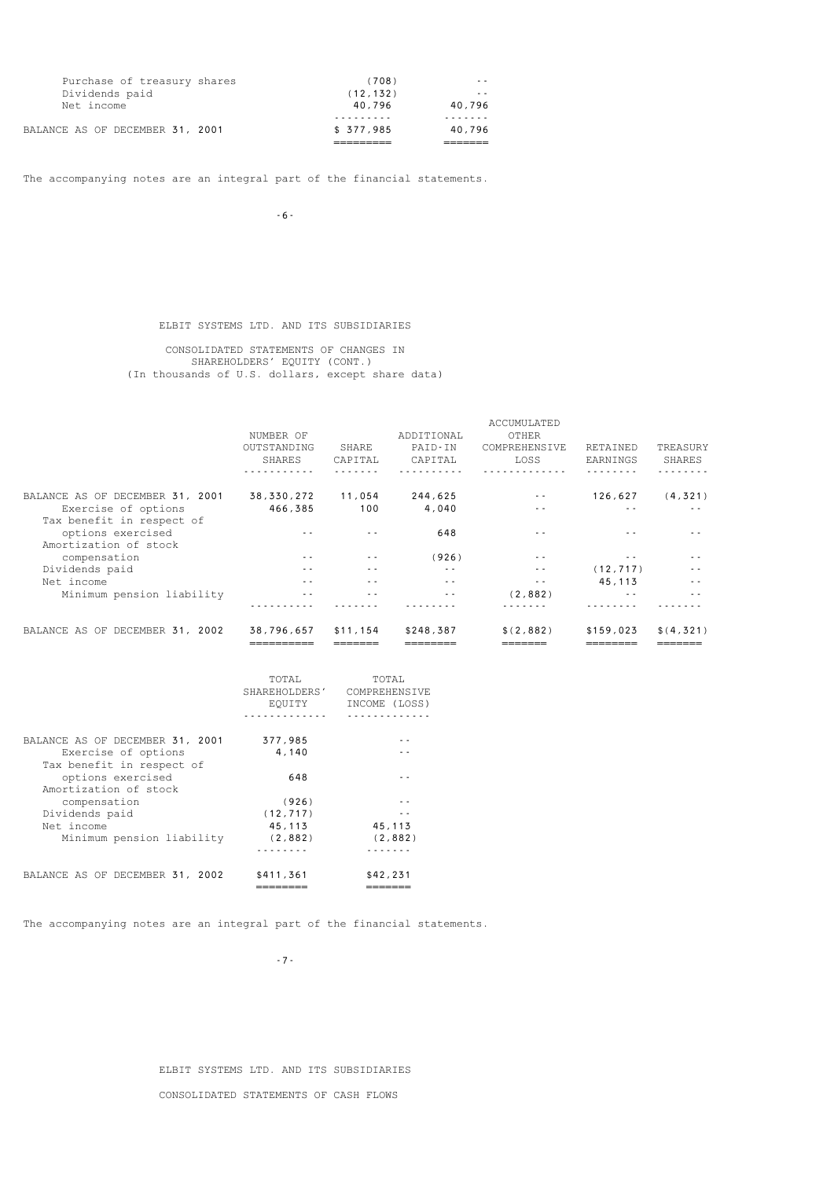| BALANCE AS OF DECEMBER 31, 2001 | \$377.985 | 40.796 |
|---------------------------------|-----------|--------|
|                                 |           |        |
| Net income                      | 40.796    | 40.796 |
| Dividends paid                  | (12, 132) | $ -$   |
| Purchase of treasury shares     | (708)     | $ -$   |

-6-

### ELBIT SYSTEMS LTD. AND ITS SUBSIDIARIES

 CONSOLIDATED STATEMENTS OF CHANGES IN SHAREHOLDERS' EQUITY (CONT.) (In thousands of U.S. dollars, except share data)

|                                 |              |          |            | ACCUMULATED   |           |             |
|---------------------------------|--------------|----------|------------|---------------|-----------|-------------|
|                                 | NUMBER OF    |          | ADDITIONAL | OTHER         |           |             |
|                                 | OUTSTANDING  | SHARE    | PAID-IN    | COMPREHENSIVE | RETAINED  | TREASURY    |
|                                 | SHARES       | CAPITAL  | CAPITAL    | LOSS          | EARNINGS  | SHARES      |
|                                 |              |          |            |               |           |             |
| BALANCE AS OF DECEMBER 31, 2001 | 38, 330, 272 | 11,054   | 244,625    | $ -$          | 126,627   | (4, 321)    |
| Exercise of options             | 466,385      | 100      | 4,040      | $ -$          | $ -$      | $ -$        |
| Tax benefit in respect of       |              |          |            |               |           |             |
| options exercised               |              |          | 648        | - -           |           |             |
| Amortization of stock           |              |          |            |               |           |             |
| compensation                    | $ -$         | $ -$     | (926)      | $ -$          | $ -$      |             |
| Dividends paid                  | - -          | $ -$     | $ -$       | $ -$          | (12, 717) |             |
| Net income                      | $ -$         | $ -$     | $ -$       | $\sim$ $\sim$ | 45.113    | $ -$        |
| Minimum pension liability       |              | - -      | $ -$       | (2,882)       | - -       |             |
|                                 |              |          |            |               |           |             |
| BALANCE AS OF DECEMBER 31, 2002 | 38,796,657   | \$11,154 | \$248,387  | \$(2,882)     | \$159.023 | \$ (4, 321) |
|                                 |              |          |            |               |           |             |

|                                                                         | TOTAL<br>SHAREHOLDERS'<br>EOUITY | TOTAL.<br><b>COMPREHENSIVE</b><br>INCOME (LOSS) |
|-------------------------------------------------------------------------|----------------------------------|-------------------------------------------------|
|                                                                         |                                  |                                                 |
| BALANCE AS OF DECEMBER 31, 2001                                         | 377,985                          |                                                 |
| Exercise of options                                                     | 4.140                            |                                                 |
| Tax benefit in respect of<br>options exercised<br>Amortization of stock | 648                              |                                                 |
| compensation                                                            | (926)                            |                                                 |
| Dividends paid                                                          | (12, 717)                        |                                                 |
| Net income                                                              | 45,113                           | 45,113                                          |
| Minimum pension liability                                               | (2,882)                          | (2,882)                                         |
|                                                                         |                                  |                                                 |
| BALANCE AS OF DECEMBER 31, 2002                                         | \$411,361                        | \$42,231                                        |
|                                                                         |                                  |                                                 |

The accompanying notes are an integral part of the financial statements.

-7-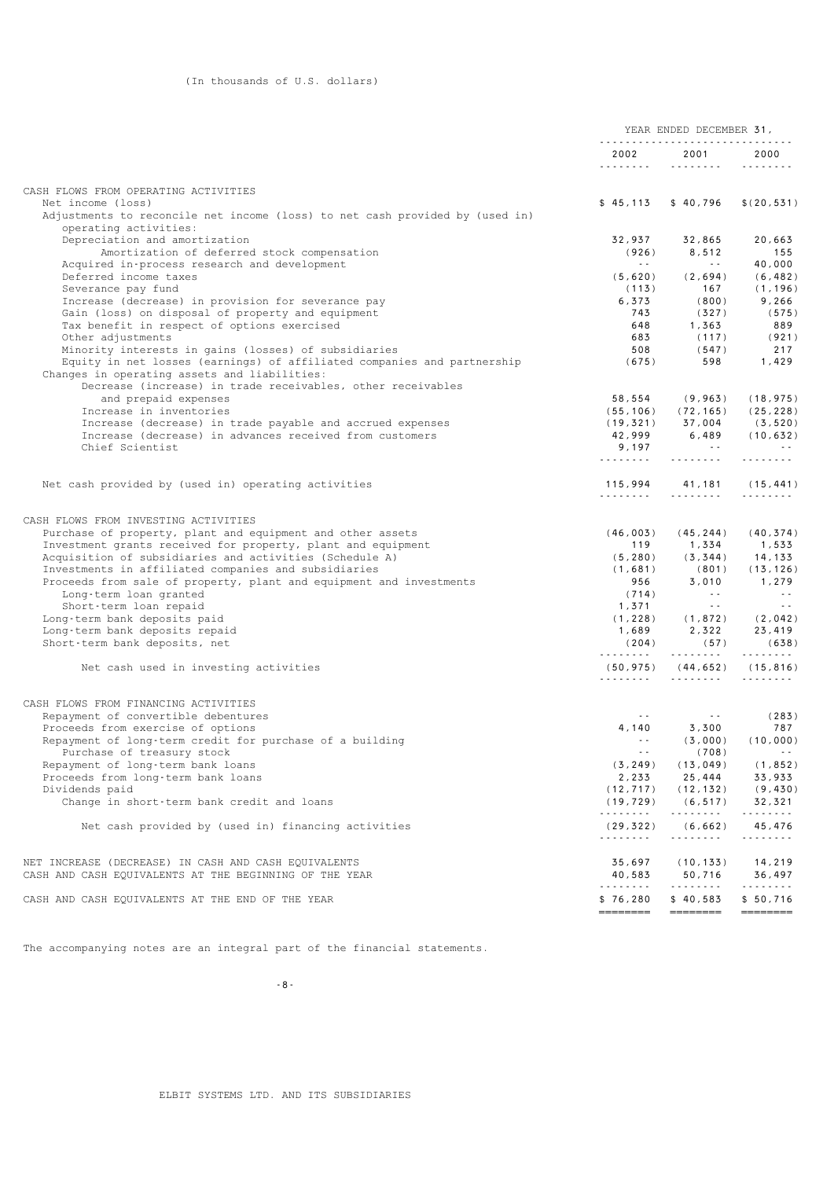|                                                                                                                |                  | YEAR ENDED DECEMBER 31,              |                                       |
|----------------------------------------------------------------------------------------------------------------|------------------|--------------------------------------|---------------------------------------|
|                                                                                                                | 2002<br>.        | 2001<br>1.1.1.1.1.1.1.1              | 2000<br>.                             |
| CASH FLOWS FROM OPERATING ACTIVITIES                                                                           |                  |                                      |                                       |
| Net income (loss)                                                                                              |                  | $$45,113$ $$40,796$                  | \$(20, 531)                           |
| Adjustments to reconcile net income (loss) to net cash provided by (used in)<br>operating activities:          |                  |                                      |                                       |
| Depreciation and amortization                                                                                  | 32,937           | 32,865                               | 20,663                                |
| Amortization of deferred stock compensation                                                                    | (926)            | 8,512                                | 155                                   |
| Acquired in-process research and development                                                                   | <b>Contract</b>  | $\sim$ $  \sim$                      | 40,000                                |
| Deferred income taxes                                                                                          | (5,620)          | (2,694)                              | (6, 482)                              |
| Severance pay fund                                                                                             | (113)            | 167                                  | (1, 196)                              |
| Increase (decrease) in provision for severance pay<br>Gain (loss) on disposal of property and equipment        | 6,373<br>743     | (800)<br>(327)                       | 9,266<br>(575)                        |
| Tax benefit in respect of options exercised                                                                    | 648              | 1,363                                | 889                                   |
| Other adjustments                                                                                              | 683              | (117)                                | (921)                                 |
| Minority interests in gains (losses) of subsidiaries                                                           | 508              | (547)                                | 217                                   |
| Equity in net losses (earnings) of affiliated companies and partnership                                        | (675)            | 598                                  | 1,429                                 |
| Changes in operating assets and liabilities:                                                                   |                  |                                      |                                       |
| Decrease (increase) in trade receivables, other receivables                                                    |                  |                                      |                                       |
| and prepaid expenses                                                                                           | 58,554           | (9, 963)                             | (18, 975)                             |
| Increase in inventories                                                                                        |                  | $(55, 106)$ $(72, 165)$              | (25, 228)                             |
| Increase (decrease) in trade payable and accrued expenses                                                      |                  | $(19,321)$ 37,004                    | (3, 520)                              |
| Increase (decrease) in advances received from customers                                                        | 42,999           | 6,489                                | (10, 632)                             |
| Chief Scientist                                                                                                | 9,197            | <b>Contract</b>                      | <b>Contractor</b>                     |
|                                                                                                                | .                | .                                    | .                                     |
| Net cash provided by (used in) operating activities                                                            |                  | 115,994 41,181                       | (15, 441)                             |
|                                                                                                                | <u>.</u>         | .                                    | .                                     |
|                                                                                                                |                  |                                      |                                       |
| CASH FLOWS FROM INVESTING ACTIVITIES                                                                           |                  |                                      |                                       |
| Purchase of property, plant and equipment and other assets                                                     |                  | $(46, 003)$ $(45, 244)$ $(40, 374)$  |                                       |
| Investment grants received for property, plant and equipment                                                   | 119              | 1,334                                | 1,533                                 |
| Acquisition of subsidiaries and activities (Schedule A)                                                        |                  | $(5, 280)$ $(3, 344)$                | 14,133                                |
| Investments in affiliated companies and subsidiaries                                                           | (1,681)          | (801)                                | (13, 126)                             |
| Proceeds from sale of property, plant and equipment and investments                                            | 956              | 3,010                                | 1,279                                 |
| Long-term loan granted                                                                                         | (714)            | <b>Contractor</b><br>$\sim 10^{-11}$ | $\sim$ $\sim$ $\sim$<br>$\sim$ $\sim$ |
| Short-term loan repaid<br>Long-term bank deposits paid                                                         | 1,371            | $(1, 228)$ $(1, 872)$ $(2, 042)$     |                                       |
| Long-term bank deposits repaid                                                                                 | 1,689            | 2,322                                | 23,419                                |
| Short-term bank deposits, net                                                                                  | (204)            | (57)                                 | (638)                                 |
|                                                                                                                |                  |                                      | .                                     |
| Net cash used in investing activities                                                                          |                  | $(50, 975)$ $(44, 652)$ $(15, 816)$  |                                       |
|                                                                                                                |                  |                                      | .                                     |
| CASH FLOWS FROM FINANCING ACTIVITIES                                                                           |                  |                                      |                                       |
| Repayment of convertible debentures                                                                            | $\sim$ $\sim$    | $\sim 10^{-1}$                       | (283)                                 |
| Proceeds from exercise of options                                                                              | 4,140            | 3,300                                | 787                                   |
| Repayment of long-term credit for purchase of a building                                                       | $\sim$ $\sim$    | (3,000)                              | (10, 000)                             |
| Purchase of treasury stock                                                                                     |                  | (708)                                |                                       |
| Repayment of long-term bank loans                                                                              | (3, 249)         | (13, 049)                            | (1, 852)                              |
| Proceeds from long-term bank loans                                                                             | 2,233            | 25,444                               | 33,933                                |
| Dividends paid                                                                                                 | (12, 717)        | (12, 132)                            | (9, 430)                              |
| Change in short-term bank credit and loans                                                                     | (19, 729)        | (6, 517)                             | 32,321                                |
|                                                                                                                | .                | .                                    | .                                     |
| Net cash provided by (used in) financing activities                                                            | (29, 322)<br>.   | (6, 662)<br>.                        | 45,476<br>.                           |
|                                                                                                                |                  |                                      |                                       |
| NET INCREASE (DECREASE) IN CASH AND CASH EQUIVALENTS<br>CASH AND CASH EQUIVALENTS AT THE BEGINNING OF THE YEAR | 35,697<br>40,583 | (10, 133)<br>50,716                  | 14,219<br>36,497                      |
|                                                                                                                | .                | .                                    | .                                     |
| CASH AND CASH EQUIVALENTS AT THE END OF THE YEAR                                                               | \$76,280         | \$40,583                             | \$50,716                              |
|                                                                                                                | ========         | ========                             | ========                              |

-8-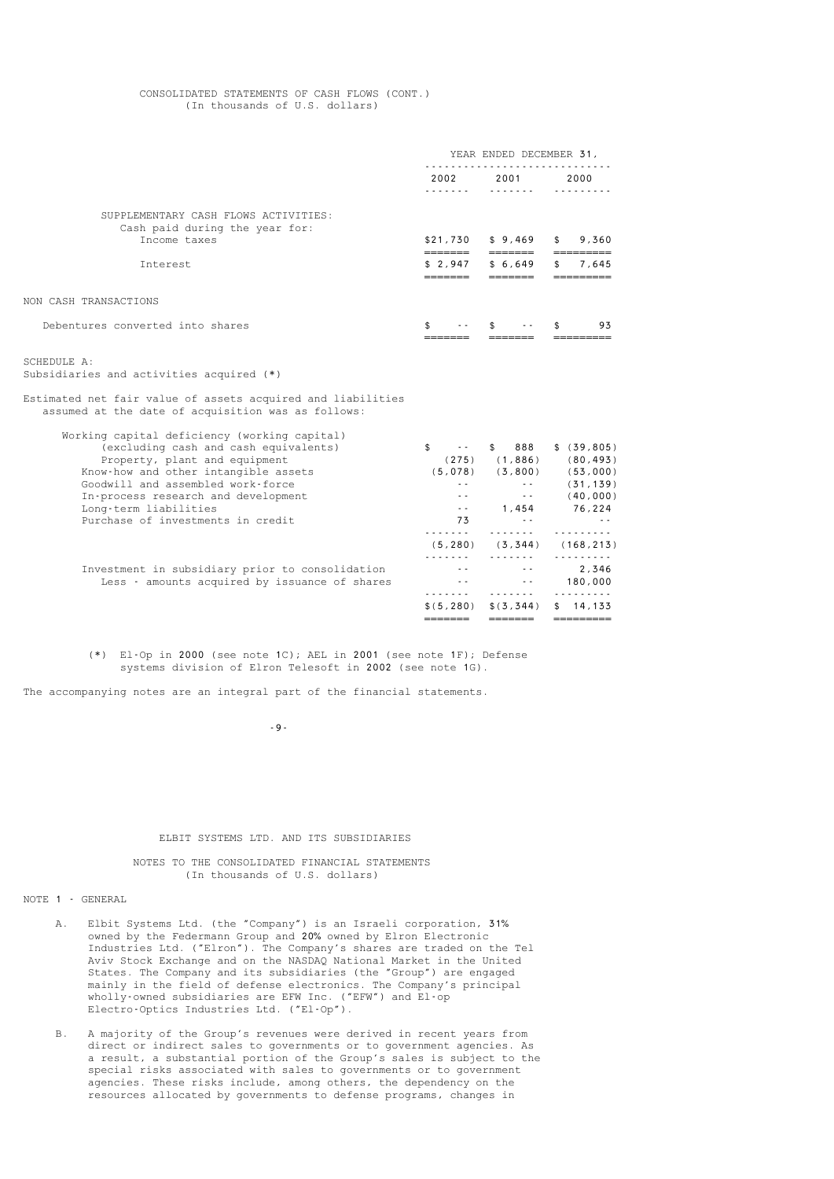#### CONSOLIDATED STATEMENTS OF CASH FLOWS (CONT.) (In thousands of U.S. dollars)

|                                                                                                                                                                                                                                                                                                          | YEAR ENDED DECEMBER 31,                                                                                              |                                                                                                                                                                                       |                                                                                                                    |
|----------------------------------------------------------------------------------------------------------------------------------------------------------------------------------------------------------------------------------------------------------------------------------------------------------|----------------------------------------------------------------------------------------------------------------------|---------------------------------------------------------------------------------------------------------------------------------------------------------------------------------------|--------------------------------------------------------------------------------------------------------------------|
|                                                                                                                                                                                                                                                                                                          | 2002                                                                                                                 | 2001                                                                                                                                                                                  | 2000                                                                                                               |
| SUPPLEMENTARY CASH FLOWS ACTIVITIES:<br>Cash paid during the year for:<br>Income taxes                                                                                                                                                                                                                   | \$21,730                                                                                                             | \$9,469                                                                                                                                                                               | 9,360                                                                                                              |
| Interest                                                                                                                                                                                                                                                                                                 | =======<br>\$2,947<br>=======                                                                                        | =======<br>\$6,649<br>=======                                                                                                                                                         | 7,645<br>—————————                                                                                                 |
| NON CASH TRANSACTIONS                                                                                                                                                                                                                                                                                    |                                                                                                                      |                                                                                                                                                                                       |                                                                                                                    |
| Debentures converted into shares                                                                                                                                                                                                                                                                         | \$                                                                                                                   | \$.                                                                                                                                                                                   | 93                                                                                                                 |
| SCHEDULE A:<br>Subsidiaries and activities acquired (*)<br>Estimated net fair value of assets acquired and liabilities<br>assumed at the date of acquisition was as follows:                                                                                                                             |                                                                                                                      |                                                                                                                                                                                       |                                                                                                                    |
| Working capital deficiency (working capital)<br>(excluding cash and cash equivalents)<br>Property, plant and equipment<br>Know-how and other intangible assets<br>Goodwill and assembled work-force<br>In-process research and development<br>Long-term liabilities<br>Purchase of investments in credit | $\sigma$ , $\sigma$ , $\sigma$ , $\sigma$<br>\$<br>$\sim$ $\sim$<br>$-$<br>$\sim$ $\sim$<br>73<br>.<br>(5, 280)<br>. | 888<br>\$<br>$(275)$ $(1,886)$<br>$\sim 10^{-1}$<br>$\frac{1}{2} \left( \frac{1}{2} \right) = \frac{1}{2} \left( \frac{1}{2} \right)$<br>1,454<br>$\sim$ $\sim$<br>.<br>(3, 344)<br>. | \$ (39, 805)<br>(80, 493)<br>$(5,078)$ $(3,800)$ $(53,000)$<br>(31, 139)<br>(40, 000)<br>76,224<br>.<br>(168, 213) |
| Investment in subsidiary prior to consolidation<br>Less - amounts acquired by issuance of shares                                                                                                                                                                                                         | $\sim$ $\sim$                                                                                                        | $\sim$ $\sim$<br>$\sim$ $\sim$<br>.                                                                                                                                                   | .<br>2,346<br>180,000<br>.                                                                                         |
|                                                                                                                                                                                                                                                                                                          | \$ (5, 280)                                                                                                          | \$ (3, 344)                                                                                                                                                                           | \$14,133                                                                                                           |

 (\*) El-Op in 2000 (see note 1C); AEL in 2001 (see note 1F); Defense systems division of Elron Telesoft in 2002 (see note 1G).

======= ======= =========

The accompanying notes are an integral part of the financial statements.

-9-

#### ELBIT SYSTEMS LTD. AND ITS SUBSIDIARIES

 NOTES TO THE CONSOLIDATED FINANCIAL STATEMENTS (In thousands of U.S. dollars)

#### NOTE 1 - GENERAL

- A. Elbit Systems Ltd. (the "Company") is an Israeli corporation, 31% owned by the Federmann Group and 20% owned by Elron Electronic Industries Ltd. ("Elron"). The Company's shares are traded on the Tel Aviv Stock Exchange and on the NASDAQ National Market in the United States. The Company and its subsidiaries (the "Group") are engaged mainly in the field of defense electronics. The Company's principal wholly-owned subsidiaries are EFW Inc. ("EFW") and El-op Electro-Optics Industries Ltd. ("El-Op").
	- B. A majority of the Group's revenues were derived in recent years from direct or indirect sales to governments or to government agencies. As a result, a substantial portion of the Group's sales is subject to the special risks associated with sales to governments or to government agencies. These risks include, among others, the dependency on the resources allocated by governments to defense programs, changes in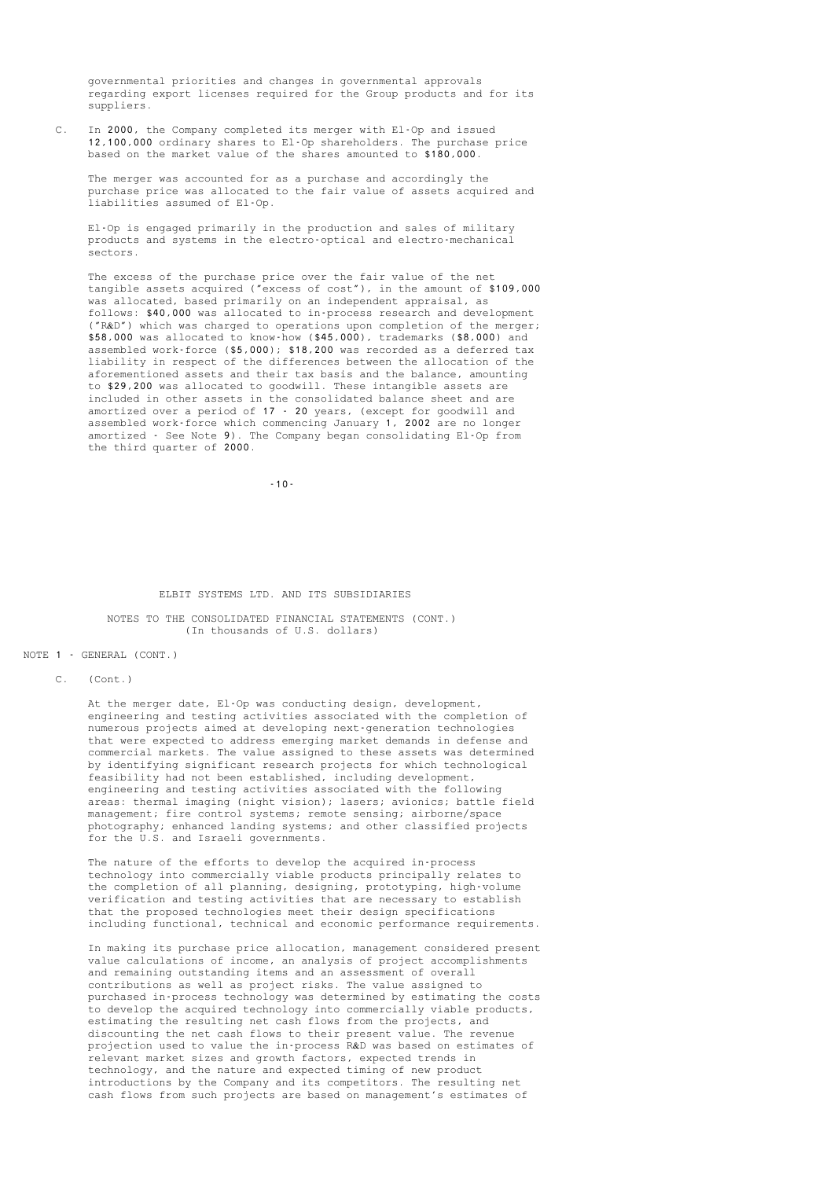governmental priorities and changes in governmental approvals regarding export licenses required for the Group products and for its suppliers.

 C. In 2000, the Company completed its merger with El-Op and issued 12,100,000 ordinary shares to El-Op shareholders. The purchase price based on the market value of the shares amounted to \$180,000.

> The merger was accounted for as a purchase and accordingly the purchase price was allocated to the fair value of assets acquired and liabilities assumed of El-Op.

 El-Op is engaged primarily in the production and sales of military products and systems in the electro-optical and electro-mechanical sectors.

 The excess of the purchase price over the fair value of the net tangible assets acquired ("excess of cost"), in the amount of \$109,000 was allocated, based primarily on an independent appraisal, as follows: \$40,000 was allocated to in-process research and development ("R&D") which was charged to operations upon completion of the merger; \$58,000 was allocated to know-how (\$45,000), trademarks (\$8,000) and assembled work-force (\$5,000); \$18,200 was recorded as a deferred tax liability in respect of the differences between the allocation of the aforementioned assets and their tax basis and the balance, amounting to \$29,200 was allocated to goodwill. These intangible assets are included in other assets in the consolidated balance sheet and are amortized over a period of 17 - 20 years, (except for goodwill and assembled work-force which commencing January 1, 2002 are no longer amortized - See Note 9). The Company began consolidating El-Op from the third quarter of 2000.

-10-

#### ELBIT SYSTEMS LTD. AND ITS SUBSIDIARIES

#### NOTES TO THE CONSOLIDATED FINANCIAL STATEMENTS (CONT.) (In thousands of U.S. dollars)

#### NOTE 1 - GENERAL (CONT.)

C. (Cont.)

 At the merger date, El-Op was conducting design, development, engineering and testing activities associated with the completion of numerous projects aimed at developing next-generation technologies that were expected to address emerging market demands in defense and commercial markets. The value assigned to these assets was determined by identifying significant research projects for which technological feasibility had not been established, including development, engineering and testing activities associated with the following areas: thermal imaging (night vision); lasers; avionics; battle field management; fire control systems; remote sensing; airborne/space photography; enhanced landing systems; and other classified projects for the U.S. and Israeli governments.

 The nature of the efforts to develop the acquired in-process technology into commercially viable products principally relates to the completion of all planning, designing, prototyping, high-volume verification and testing activities that are necessary to establish that the proposed technologies meet their design specifications including functional, technical and economic performance requirements.

 In making its purchase price allocation, management considered present value calculations of income, an analysis of project accomplishments and remaining outstanding items and an assessment of overall contributions as well as project risks. The value assigned to purchased in-process technology was determined by estimating the costs to develop the acquired technology into commercially viable products, estimating the resulting net cash flows from the projects, and discounting the net cash flows to their present value. The revenue projection used to value the in-process R&D was based on estimates of relevant market sizes and growth factors, expected trends in technology, and the nature and expected timing of new product introductions by the Company and its competitors. The resulting net cash flows from such projects are based on management's estimates of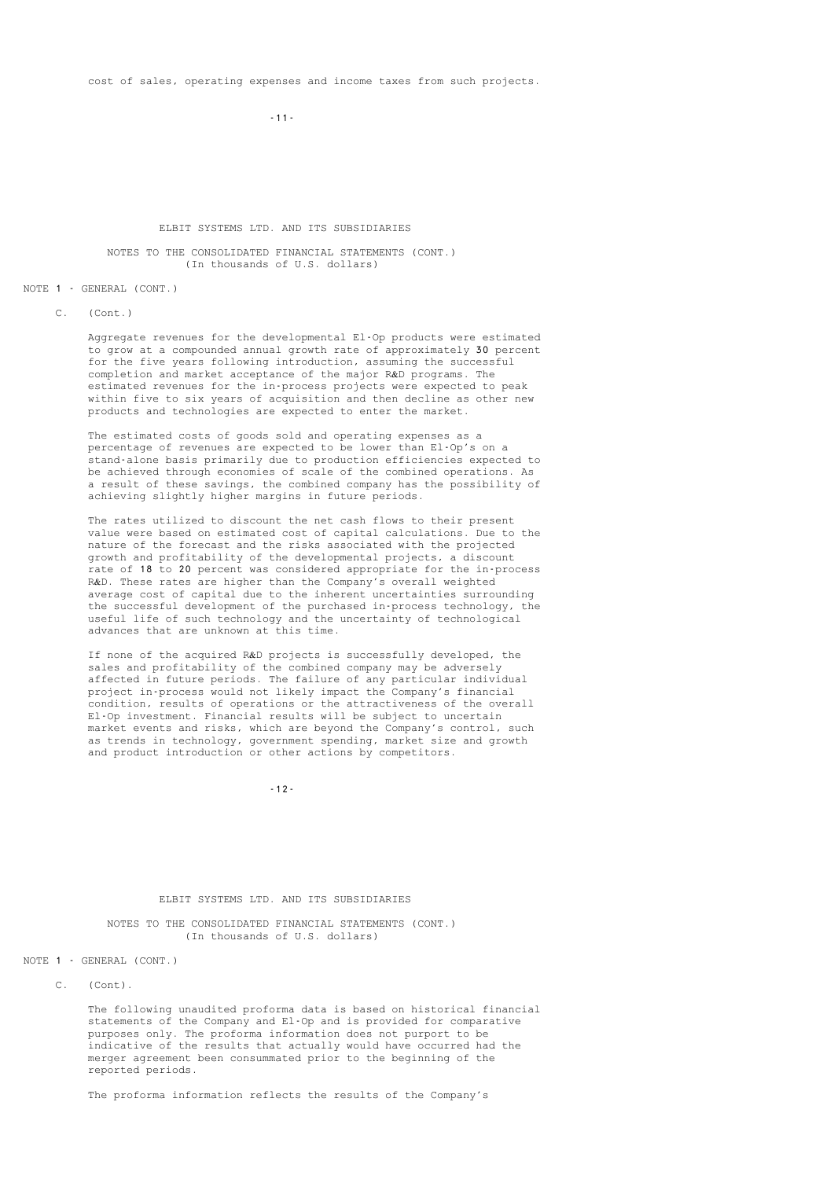cost of sales, operating expenses and income taxes from such projects.

 $-11$  -  $-11$  -

#### ELBIT SYSTEMS LTD. AND ITS SUBSIDIARIES

#### NOTES TO THE CONSOLIDATED FINANCIAL STATEMENTS (CONT.) (In thousands of U.S. dollars)

#### NOTE 1 - GENERAL (CONT.)

C. (Cont.)

 Aggregate revenues for the developmental El-Op products were estimated to grow at a compounded annual growth rate of approximately 30 percent for the five years following introduction, assuming the successful completion and market acceptance of the major R&D programs. The estimated revenues for the in-process projects were expected to peak within five to six years of acquisition and then decline as other new products and technologies are expected to enter the market.

 The estimated costs of goods sold and operating expenses as a percentage of revenues are expected to be lower than El-Op's on a stand-alone basis primarily due to production efficiencies expected to be achieved through economies of scale of the combined operations. As a result of these savings, the combined company has the possibility of achieving slightly higher margins in future periods.

 The rates utilized to discount the net cash flows to their present value were based on estimated cost of capital calculations. Due to the nature of the forecast and the risks associated with the projected growth and profitability of the developmental projects, a discount rate of 18 to 20 percent was considered appropriate for the in-process R&D. These rates are higher than the Company's overall weighted average cost of capital due to the inherent uncertainties surrounding the successful development of the purchased in-process technology, the useful life of such technology and the uncertainty of technological advances that are unknown at this time.

> If none of the acquired R&D projects is successfully developed, the sales and profitability of the combined company may be adversely affected in future periods. The failure of any particular individual project in-process would not likely impact the Company's financial condition, results of operations or the attractiveness of the overall El-Op investment. Financial results will be subject to uncertain market events and risks, which are beyond the Company's control, such as trends in technology, government spending, market size and growth and product introduction or other actions by competitors.

-12-

#### ELBIT SYSTEMS LTD. AND ITS SUBSIDIARIES

 NOTES TO THE CONSOLIDATED FINANCIAL STATEMENTS (CONT.) (In thousands of U.S. dollars)

NOTE 1 - GENERAL (CONT.)

C. (Cont).

 The following unaudited proforma data is based on historical financial statements of the Company and El-Op and is provided for comparative purposes only. The proforma information does not purport to be indicative of the results that actually would have occurred had the merger agreement been consummated prior to the beginning of the reported periods.

The proforma information reflects the results of the Company's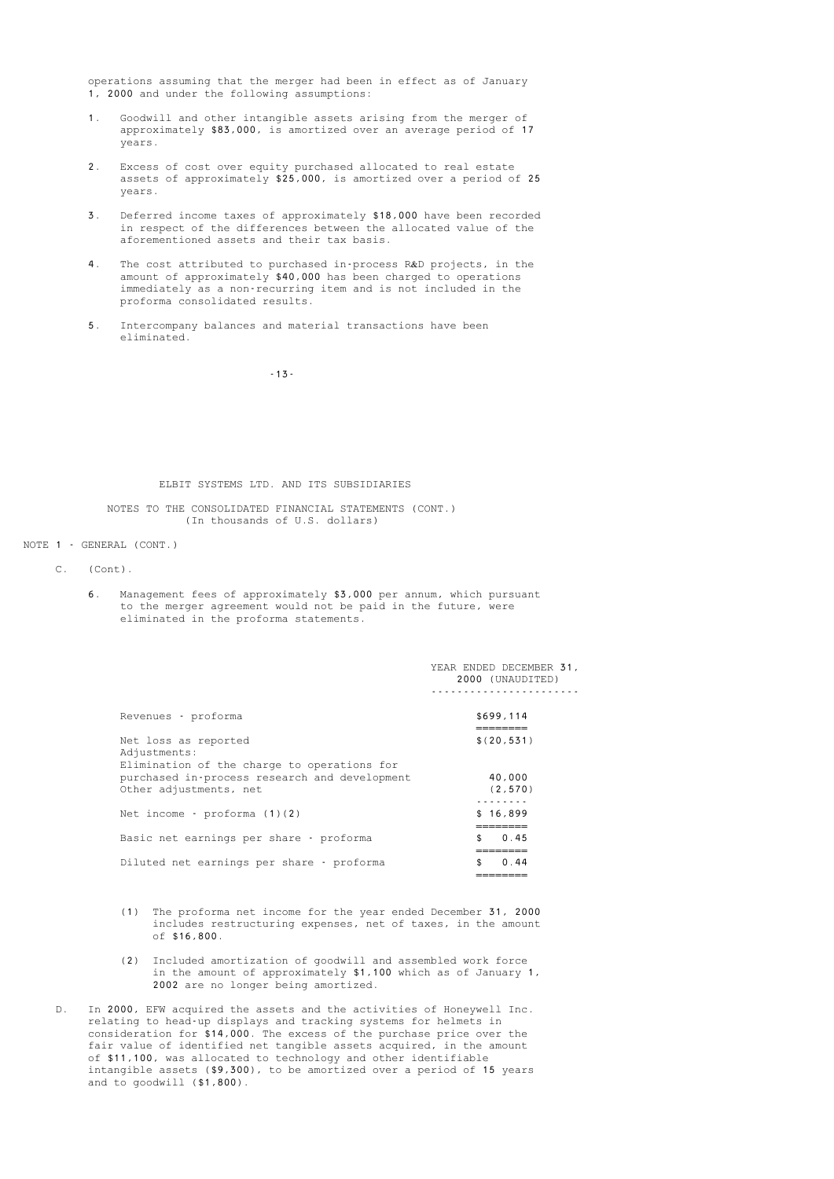operations assuming that the merger had been in effect as of January 1, 2000 and under the following assumptions:

- 1. Goodwill and other intangible assets arising from the merger of approximately \$83,000, is amortized over an average period of 17 years.
- 2. Excess of cost over equity purchased allocated to real estate assets of approximately \$25,000, is amortized over a period of 25 years.
- 3. Deferred income taxes of approximately \$18,000 have been recorded in respect of the differences between the allocated value of the aforementioned assets and their tax basis.
- 4. The cost attributed to purchased in-process R&D projects, in the amount of approximately \$40,000 has been charged to operations immediately as a non-recurring item and is not included in the proforma consolidated results.
	- 5. Intercompany balances and material transactions have been eliminated.

-13-

### ELBIT SYSTEMS LTD. AND ITS SUBSIDIARIES

 NOTES TO THE CONSOLIDATED FINANCIAL STATEMENTS (CONT.) (In thousands of U.S. dollars)

### NOTE 1 - GENERAL (CONT.)

- C. (Cont).
	- 6. Management fees of approximately \$3,000 per annum, which pursuant to the merger agreement would not be paid in the future, were eliminated in the proforma statements.

|                                                                                                                        | YEAR ENDED DECEMBER 31,<br>2000 (UNAUDITED) |
|------------------------------------------------------------------------------------------------------------------------|---------------------------------------------|
| Revenues - proforma                                                                                                    | \$699,114                                   |
| Net loss as reported<br>Adjustments:                                                                                   | \$(20.531)                                  |
| Elimination of the charge to operations for<br>purchased in-process research and development<br>Other adjustments, net | 40,000<br>(2, 570)                          |
| Net income - proforma $(1)(2)$                                                                                         | \$16,899<br>---------                       |
| Basic net earnings per share - proforma                                                                                | 0.45<br>\$                                  |
| Diluted net earnings per share - proforma                                                                              | 0.44                                        |

- (1) The proforma net income for the year ended December 31, 2000 includes restructuring expenses, net of taxes, in the amount of \$16,800.
- (2) Included amortization of goodwill and assembled work force in the amount of approximately \$1,100 which as of January 1, 2002 are no longer being amortized.
	- D. In 2000, EFW acquired the assets and the activities of Honeywell Inc. relating to head-up displays and tracking systems for helmets in consideration for \$14,000. The excess of the purchase price over the fair value of identified net tangible assets acquired, in the amount of \$11,100, was allocated to technology and other identifiable intangible assets (\$9,300), to be amortized over a period of 15 years and to goodwill (\$1,800).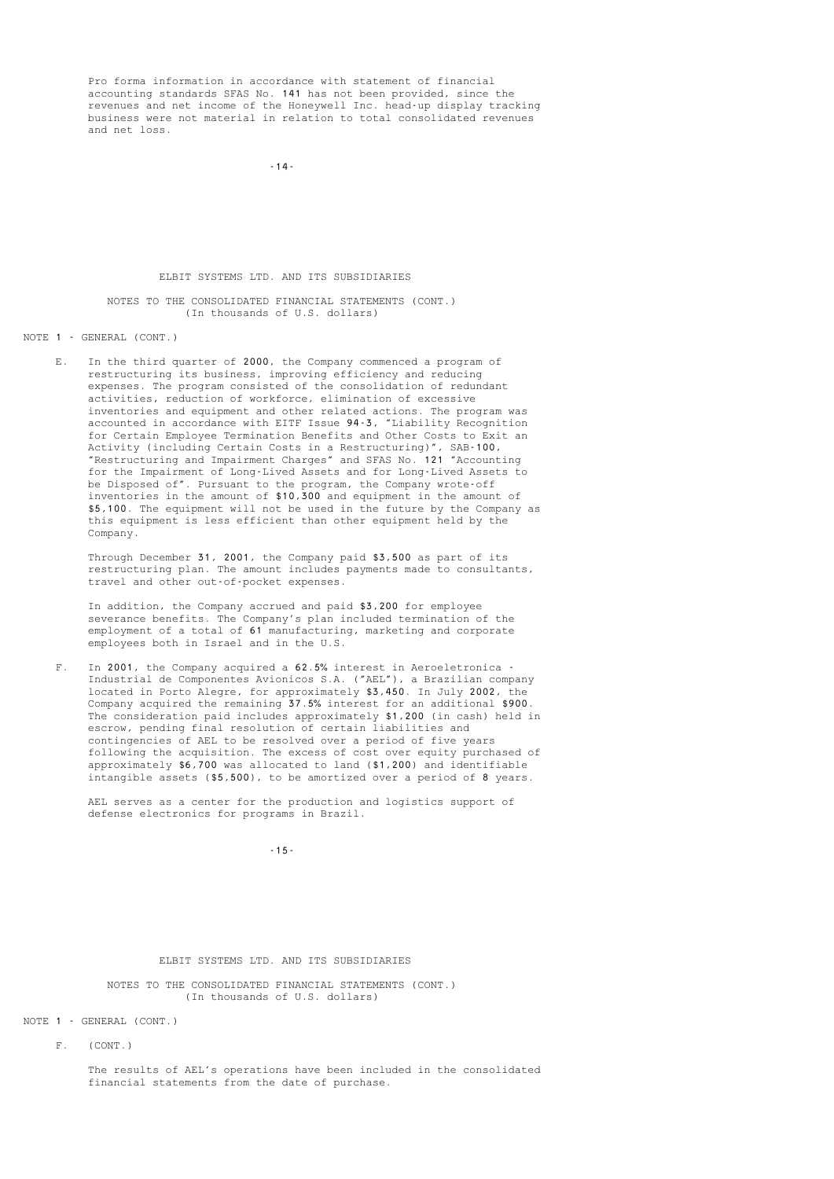Pro forma information in accordance with statement of financial accounting standards SFAS No. 141 has not been provided, since the revenues and net income of the Honeywell Inc. head-up display tracking business were not material in relation to total consolidated revenues and net loss.

-14-

#### ELBIT SYSTEMS LTD. AND ITS SUBSIDIARIES

#### NOTES TO THE CONSOLIDATED FINANCIAL STATEMENTS (CONT.) (In thousands of U.S. dollars)

#### NOTE 1 - GENERAL (CONT.)

 E. In the third quarter of 2000, the Company commenced a program of restructuring its business, improving efficiency and reducing expenses. The program consisted of the consolidation of redundant activities, reduction of workforce, elimination of excessive inventories and equipment and other related actions. The program was accounted in accordance with EITF Issue 94-3, "Liability Recognition for Certain Employee Termination Benefits and Other Costs to Exit an Activity (including Certain Costs in a Restructuring)", SAB-100, "Restructuring and Impairment Charges" and SFAS No. 121 "Accounting for the Impairment of Long-Lived Assets and for Long-Lived Assets to be Disposed of". Pursuant to the program, the Company wrote-off inventories in the amount of \$10,300 and equipment in the amount of \$5,100. The equipment will not be used in the future by the Company as this equipment is less efficient than other equipment held by the Company.

 Through December 31, 2001, the Company paid \$3,500 as part of its restructuring plan. The amount includes payments made to consultants, travel and other out-of-pocket expenses.

 In addition, the Company accrued and paid \$3,200 for employee severance benefits. The Company's plan included termination of the employment of a total of 61 manufacturing, marketing and corporate employees both in Israel and in the U.S.

 F. In 2001, the Company acquired a 62.5% interest in Aeroeletronica - Industrial de Componentes Avionicos S.A. ("AEL"), a Brazilian company located in Porto Alegre, for approximately \$3,450. In July 2002, the Company acquired the remaining 37.5% interest for an additional \$900. The consideration paid includes approximately \$1,200 (in cash) held in escrow, pending final resolution of certain liabilities and contingencies of AEL to be resolved over a period of five years following the acquisition. The excess of cost over equity purchased of approximately \$6,700 was allocated to land (\$1,200) and identifiable intangible assets (\$5,500), to be amortized over a period of 8 years.

 AEL serves as a center for the production and logistics support of defense electronics for programs in Brazil.

-15-

#### ELBIT SYSTEMS LTD. AND ITS SUBSIDIARIES

 NOTES TO THE CONSOLIDATED FINANCIAL STATEMENTS (CONT.) (In thousands of U.S. dollars)

- NOTE 1 GENERAL (CONT.)
	- F. (CONT.)

 The results of AEL's operations have been included in the consolidated financial statements from the date of purchase.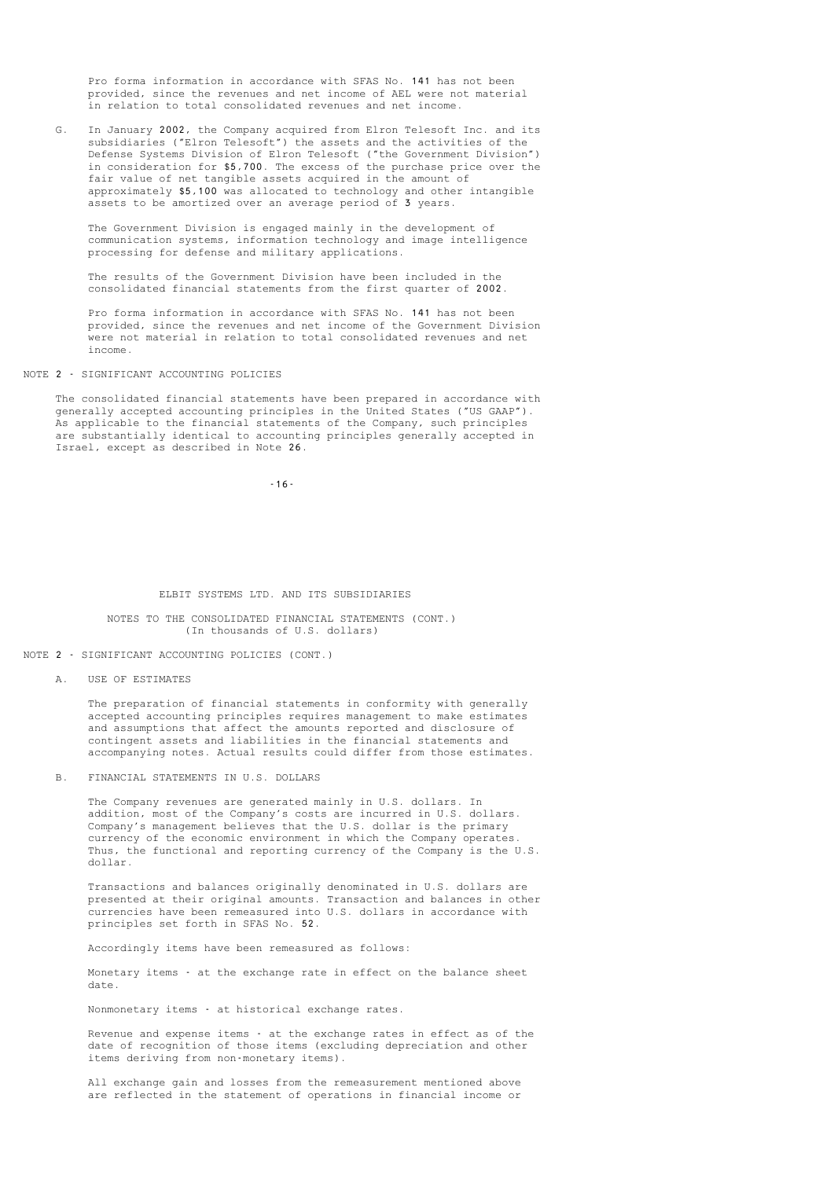Pro forma information in accordance with SFAS No. 141 has not been provided, since the revenues and net income of AEL were not material in relation to total consolidated revenues and net income.

 G. In January 2002, the Company acquired from Elron Telesoft Inc. and its subsidiaries ("Elron Telesoft") the assets and the activities of the Defense Systems Division of Elron Telesoft ("the Government Division") in consideration for \$5,700. The excess of the purchase price over the fair value of net tangible assets acquired in the amount of approximately \$5,100 was allocated to technology and other intangible assets to be amortized over an average period of 3 years.

 The Government Division is engaged mainly in the development of communication systems, information technology and image intelligence processing for defense and military applications.

 The results of the Government Division have been included in the consolidated financial statements from the first quarter of 2002.

 Pro forma information in accordance with SFAS No. 141 has not been provided, since the revenues and net income of the Government Division were not material in relation to total consolidated revenues and net income.

#### NOTE 2 - SIGNIFICANT ACCOUNTING POLICIES

 The consolidated financial statements have been prepared in accordance with generally accepted accounting principles in the United States ("US GAAP"). As applicable to the financial statements of the Company, such principles are substantially identical to accounting principles generally accepted in Israel, except as described in Note 26.

-16-

#### ELBIT SYSTEMS LTD. AND ITS SUBSIDIARIES

#### NOTES TO THE CONSOLIDATED FINANCIAL STATEMENTS (CONT.) (In thousands of U.S. dollars)

NOTE 2 - SIGNIFICANT ACCOUNTING POLICIES (CONT.)

A. USE OF ESTIMATES

 The preparation of financial statements in conformity with generally accepted accounting principles requires management to make estimates and assumptions that affect the amounts reported and disclosure of contingent assets and liabilities in the financial statements and accompanying notes. Actual results could differ from those estimates.

B. FINANCIAL STATEMENTS IN U.S. DOLLARS

 The Company revenues are generated mainly in U.S. dollars. In addition, most of the Company's costs are incurred in U.S. dollars. Company's management believes that the U.S. dollar is the primary currency of the economic environment in which the Company operates. Thus, the functional and reporting currency of the Company is the U.S. dollar.

 Transactions and balances originally denominated in U.S. dollars are presented at their original amounts. Transaction and balances in other currencies have been remeasured into U.S. dollars in accordance with principles set forth in SFAS No. 52.

Accordingly items have been remeasured as follows:

 Monetary items - at the exchange rate in effect on the balance sheet date.

Nonmonetary items - at historical exchange rates.

 Revenue and expense items - at the exchange rates in effect as of the date of recognition of those items (excluding depreciation and other items deriving from non-monetary items).

 All exchange gain and losses from the remeasurement mentioned above are reflected in the statement of operations in financial income or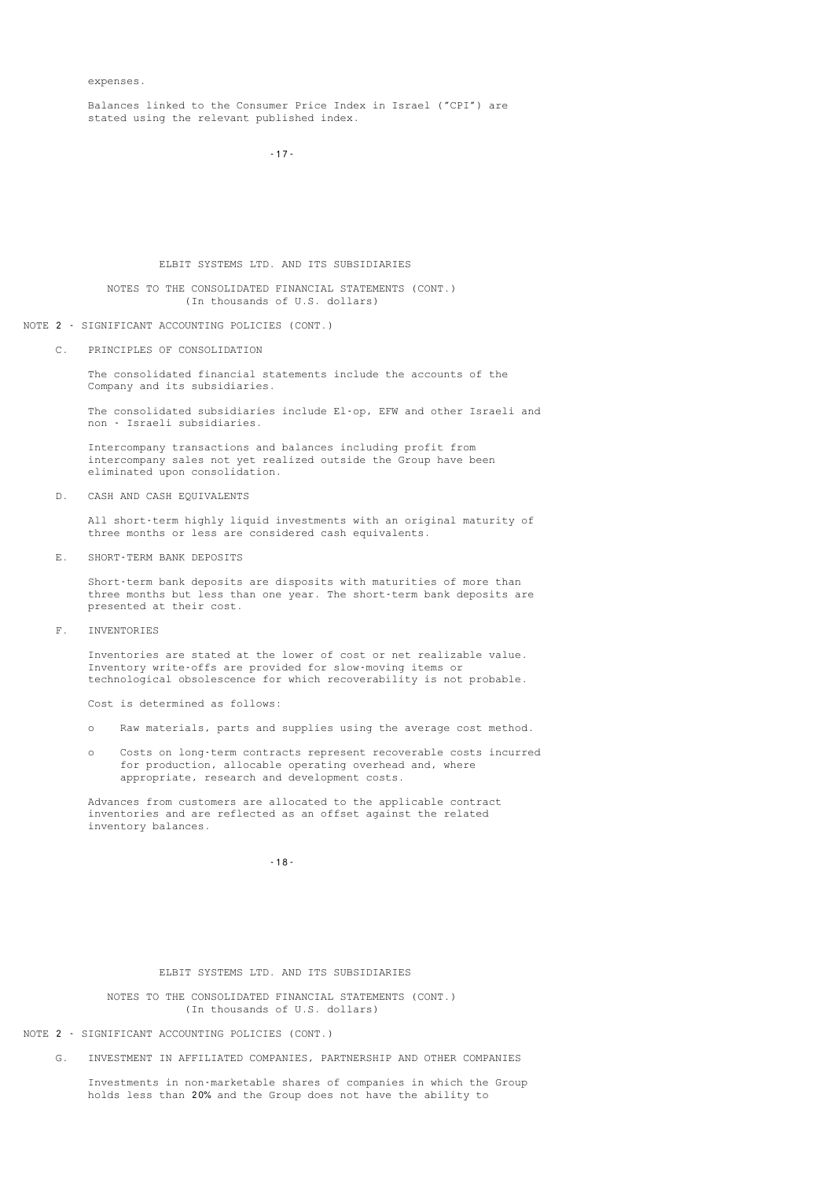expenses.

 Balances linked to the Consumer Price Index in Israel ("CPI") are stated using the relevant published index.

-17-

ELBIT SYSTEMS LTD. AND ITS SUBSIDIARIES

 NOTES TO THE CONSOLIDATED FINANCIAL STATEMENTS (CONT.) (In thousands of U.S. dollars)

#### NOTE 2 - SIGNIFICANT ACCOUNTING POLICIES (CONT.)

C. PRINCIPLES OF CONSOLIDATION

 The consolidated financial statements include the accounts of the Company and its subsidiaries.

 The consolidated subsidiaries include El-op, EFW and other Israeli and non - Israeli subsidiaries.

 Intercompany transactions and balances including profit from intercompany sales not yet realized outside the Group have been eliminated upon consolidation.

D. CASH AND CASH EQUIVALENTS

 All short-term highly liquid investments with an original maturity of three months or less are considered cash equivalents.

E. SHORT-TERM BANK DEPOSITS

 Short-term bank deposits are disposits with maturities of more than three months but less than one year. The short-term bank deposits are presented at their cost.

F. INVENTORIES

 Inventories are stated at the lower of cost or net realizable value. Inventory write-offs are provided for slow-moving items or technological obsolescence for which recoverability is not probable.

Cost is determined as follows:

- o Raw materials, parts and supplies using the average cost method.
- o Costs on long-term contracts represent recoverable costs incurred for production, allocable operating overhead and, where appropriate, research and development costs.

 Advances from customers are allocated to the applicable contract inventories and are reflected as an offset against the related inventory balances.

-18-

### ELBIT SYSTEMS LTD. AND ITS SUBSIDIARIES

 NOTES TO THE CONSOLIDATED FINANCIAL STATEMENTS (CONT.) (In thousands of U.S. dollars)

NOTE 2 - SIGNIFICANT ACCOUNTING POLICIES (CONT.)

G. INVESTMENT IN AFFILIATED COMPANIES, PARTNERSHIP AND OTHER COMPANIES

 Investments in non-marketable shares of companies in which the Group holds less than 20% and the Group does not have the ability to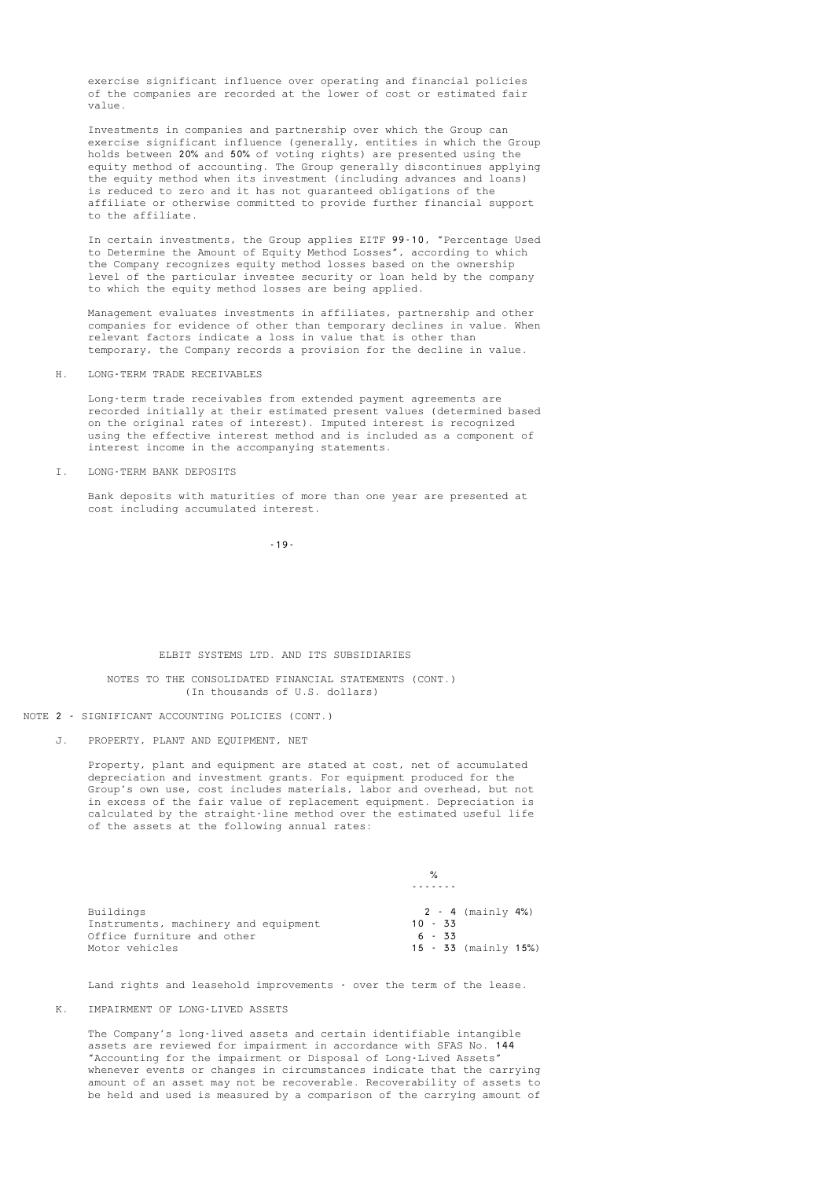exercise significant influence over operating and financial policies of the companies are recorded at the lower of cost or estimated fair value.

 Investments in companies and partnership over which the Group can exercise significant influence (generally, entities in which the Group holds between 20% and 50% of voting rights) are presented using the equity method of accounting. The Group generally discontinues applying the equity method when its investment (including advances and loans) is reduced to zero and it has not guaranteed obligations of the affiliate or otherwise committed to provide further financial support to the affiliate.

 In certain investments, the Group applies EITF 99-10, "Percentage Used to Determine the Amount of Equity Method Losses", according to which the Company recognizes equity method losses based on the ownership level of the particular investee security or loan held by the company to which the equity method losses are being applied.

 Management evaluates investments in affiliates, partnership and other companies for evidence of other than temporary declines in value. When relevant factors indicate a loss in value that is other than temporary, the Company records a provision for the decline in value.

H. LONG-TERM TRADE RECEIVABLES

 Long-term trade receivables from extended payment agreements are recorded initially at their estimated present values (determined based on the original rates of interest). Imputed interest is recognized using the effective interest method and is included as a component of interest income in the accompanying statements.

I. LONG-TERM BANK DEPOSITS

 Bank deposits with maturities of more than one year are presented at cost including accumulated interest.

-19-

#### ELBIT SYSTEMS LTD. AND ITS SUBSIDIARIES

 NOTES TO THE CONSOLIDATED FINANCIAL STATEMENTS (CONT.) (In thousands of U.S. dollars)

NOTE 2 - SIGNIFICANT ACCOUNTING POLICIES (CONT.)

J. PROPERTY, PLANT AND EQUIPMENT, NET

 Property, plant and equipment are stated at cost, net of accumulated depreciation and investment grants. For equipment produced for the Group's own use, cost includes materials, labor and overhead, but not in excess of the fair value of replacement equipment. Depreciation is calculated by the straight-line method over the estimated useful life of the assets at the following annual rates:

|                                      | $\frac{1}{2}$             |
|--------------------------------------|---------------------------|
|                                      |                           |
| Buildings                            | 2 - 4 (mainly 4%)         |
| Instruments, machinery and equipment | $10 - 33$                 |
| Office furniture and other           | $6 - 33$                  |
| Motor vehicles                       | $15 - 33$ (mainly $15\%)$ |

Land rights and leasehold improvements - over the term of the lease.

#### K. IMPAIRMENT OF LONG-LIVED ASSETS

 The Company's long-lived assets and certain identifiable intangible assets are reviewed for impairment in accordance with SFAS No. 144 "Accounting for the impairment or Disposal of Long-Lived Assets" whenever events or changes in circumstances indicate that the carrying amount of an asset may not be recoverable. Recoverability of assets to be held and used is measured by a comparison of the carrying amount of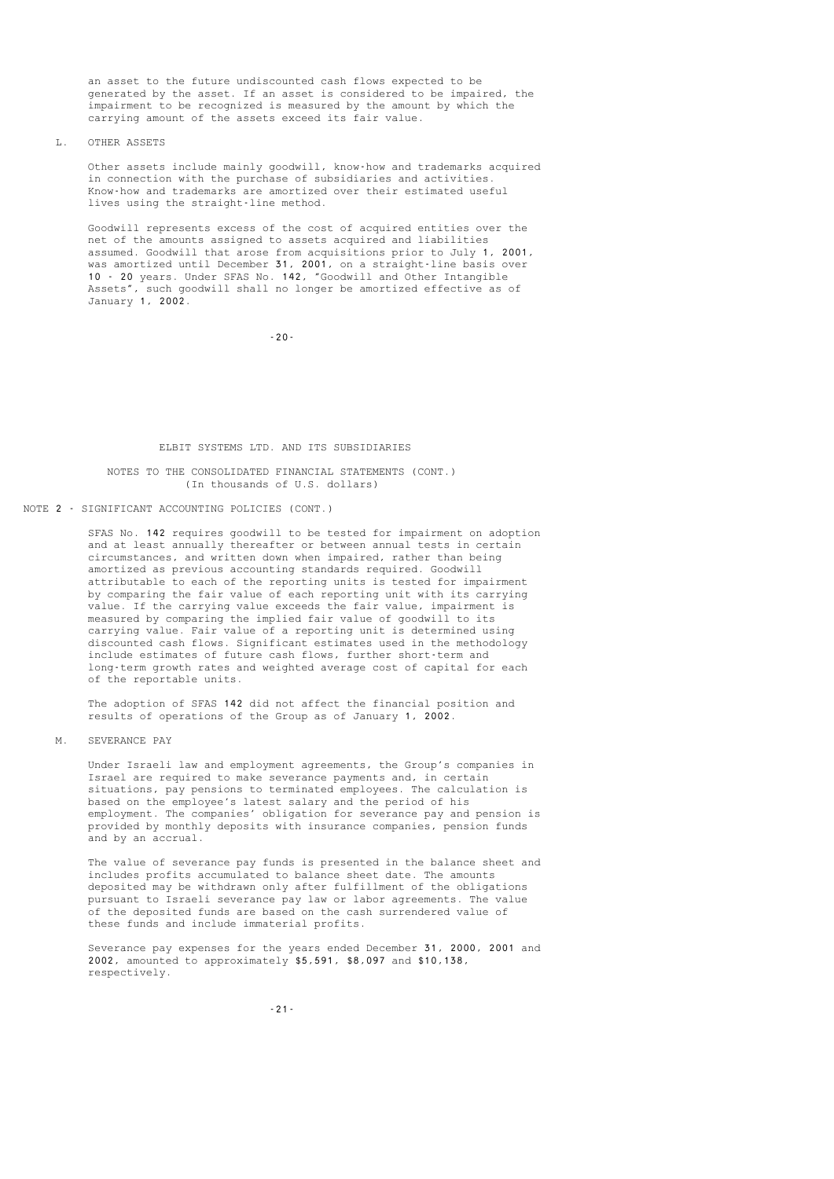an asset to the future undiscounted cash flows expected to be generated by the asset. If an asset is considered to be impaired, the impairment to be recognized is measured by the amount by which the carrying amount of the assets exceed its fair value.

#### L. OTHER ASSETS

 Other assets include mainly goodwill, know-how and trademarks acquired in connection with the purchase of subsidiaries and activities. Know-how and trademarks are amortized over their estimated useful lives using the straight-line method.

 Goodwill represents excess of the cost of acquired entities over the net of the amounts assigned to assets acquired and liabilities assumed. Goodwill that arose from acquisitions prior to July 1, 2001, was amortized until December 31, 2001, on a straight-line basis over 10 - 20 years. Under SFAS No. 142, "Goodwill and Other Intangible Assets", such goodwill shall no longer be amortized effective as of January 1, 2002.

-20-

#### ELBIT SYSTEMS LTD. AND ITS SUBSIDIARIES

#### NOTES TO THE CONSOLIDATED FINANCIAL STATEMENTS (CONT.) (In thousands of U.S. dollars)

NOTE 2 - SIGNIFICANT ACCOUNTING POLICIES (CONT.)

 SFAS No. 142 requires goodwill to be tested for impairment on adoption and at least annually thereafter or between annual tests in certain circumstances, and written down when impaired, rather than being amortized as previous accounting standards required. Goodwill attributable to each of the reporting units is tested for impairment by comparing the fair value of each reporting unit with its carrying value. If the carrying value exceeds the fair value, impairment is measured by comparing the implied fair value of goodwill to its carrying value. Fair value of a reporting unit is determined using discounted cash flows. Significant estimates used in the methodology include estimates of future cash flows, further short-term and long-term growth rates and weighted average cost of capital for each of the reportable units.

 The adoption of SFAS 142 did not affect the financial position and results of operations of the Group as of January 1, 2002.

#### M. SEVERANCE PAY

 Under Israeli law and employment agreements, the Group's companies in Israel are required to make severance payments and, in certain situations, pay pensions to terminated employees. The calculation is based on the employee's latest salary and the period of his employment. The companies' obligation for severance pay and pension is provided by monthly deposits with insurance companies, pension funds and by an accrual.

 The value of severance pay funds is presented in the balance sheet and includes profits accumulated to balance sheet date. The amounts deposited may be withdrawn only after fulfillment of the obligations pursuant to Israeli severance pay law or labor agreements. The value of the deposited funds are based on the cash surrendered value of these funds and include immaterial profits.

 Severance pay expenses for the years ended December 31, 2000, 2001 and 2002, amounted to approximately \$5,591, \$8,097 and \$10,138, respectively.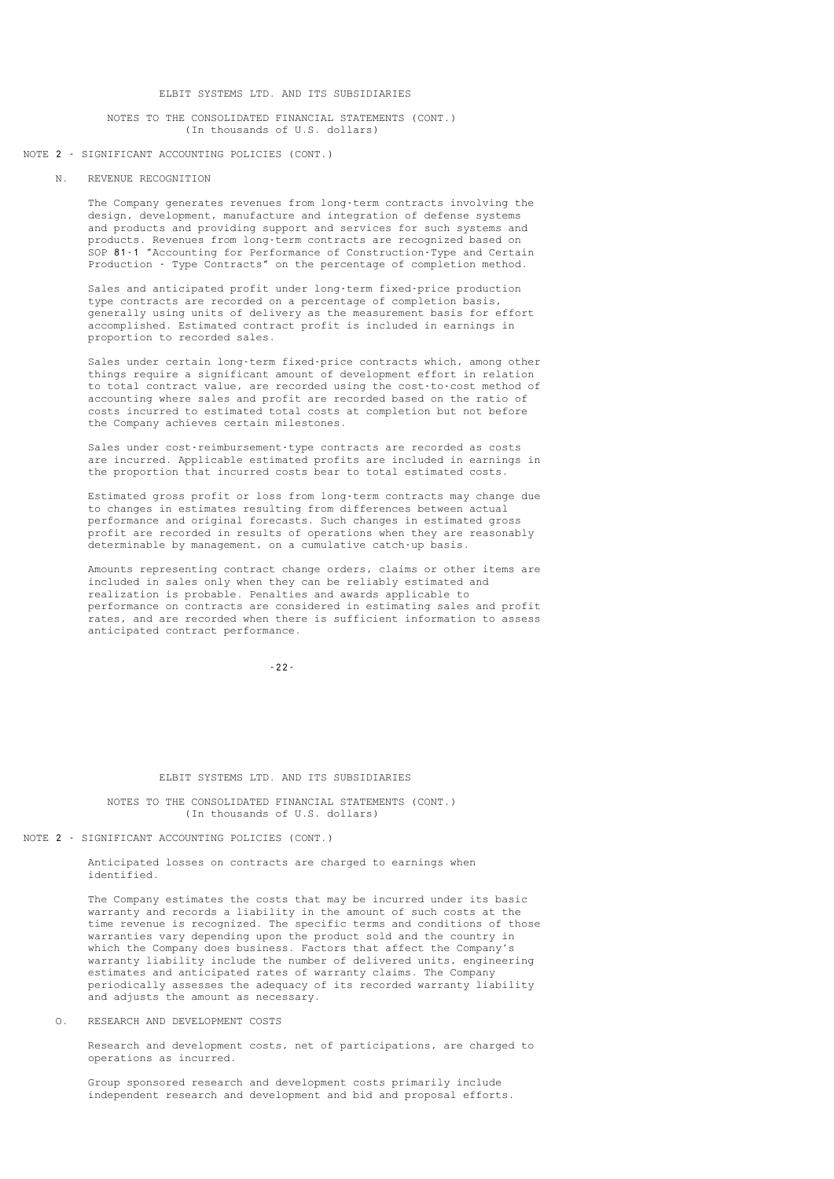#### NOTES TO THE CONSOLIDATED FINANCIAL STATEMENTS (CONT.) (In thousands of U.S. dollars)

#### NOTE 2 - SIGNIFICANT ACCOUNTING POLICIES (CONT.)

#### N. REVENUE RECOGNITION

 The Company generates revenues from long-term contracts involving the design, development, manufacture and integration of defense systems and products and providing support and services for such systems and products. Revenues from long-term contracts are recognized based on SOP 81-1 "Accounting for Performance of Construction-Type and Certain Production - Type Contracts" on the percentage of completion method.

 Sales and anticipated profit under long-term fixed-price production type contracts are recorded on a percentage of completion basis, generally using units of delivery as the measurement basis for effort accomplished. Estimated contract profit is included in earnings in proportion to recorded sales.

 Sales under certain long-term fixed-price contracts which, among other things require a significant amount of development effort in relation to total contract value, are recorded using the cost-to-cost method of accounting where sales and profit are recorded based on the ratio of costs incurred to estimated total costs at completion but not before the Company achieves certain milestones.

 Sales under cost-reimbursement-type contracts are recorded as costs are incurred. Applicable estimated profits are included in earnings in the proportion that incurred costs bear to total estimated costs.

 Estimated gross profit or loss from long-term contracts may change due to changes in estimates resulting from differences between actual performance and original forecasts. Such changes in estimated gross profit are recorded in results of operations when they are reasonably determinable by management, on a cumulative catch-up basis.

 Amounts representing contract change orders, claims or other items are included in sales only when they can be reliably estimated and realization is probable. Penalties and awards applicable to performance on contracts are considered in estimating sales and profit rates, and are recorded when there is sufficient information to assess anticipated contract performance.

-22-

#### ELBIT SYSTEMS LTD. AND ITS SUBSIDIARIES

 NOTES TO THE CONSOLIDATED FINANCIAL STATEMENTS (CONT.) (In thousands of U.S. dollars)

### NOTE 2 - SIGNIFICANT ACCOUNTING POLICIES (CONT.)

 Anticipated losses on contracts are charged to earnings when identified.

 The Company estimates the costs that may be incurred under its basic warranty and records a liability in the amount of such costs at the time revenue is recognized. The specific terms and conditions of those warranties vary depending upon the product sold and the country in which the Company does business. Factors that affect the Company's warranty liability include the number of delivered units, engineering estimates and anticipated rates of warranty claims. The Company periodically assesses the adequacy of its recorded warranty liability and adjusts the amount as necessary.

O. RESEARCH AND DEVELOPMENT COSTS

 Research and development costs, net of participations, are charged to operations as incurred.

 Group sponsored research and development costs primarily include independent research and development and bid and proposal efforts.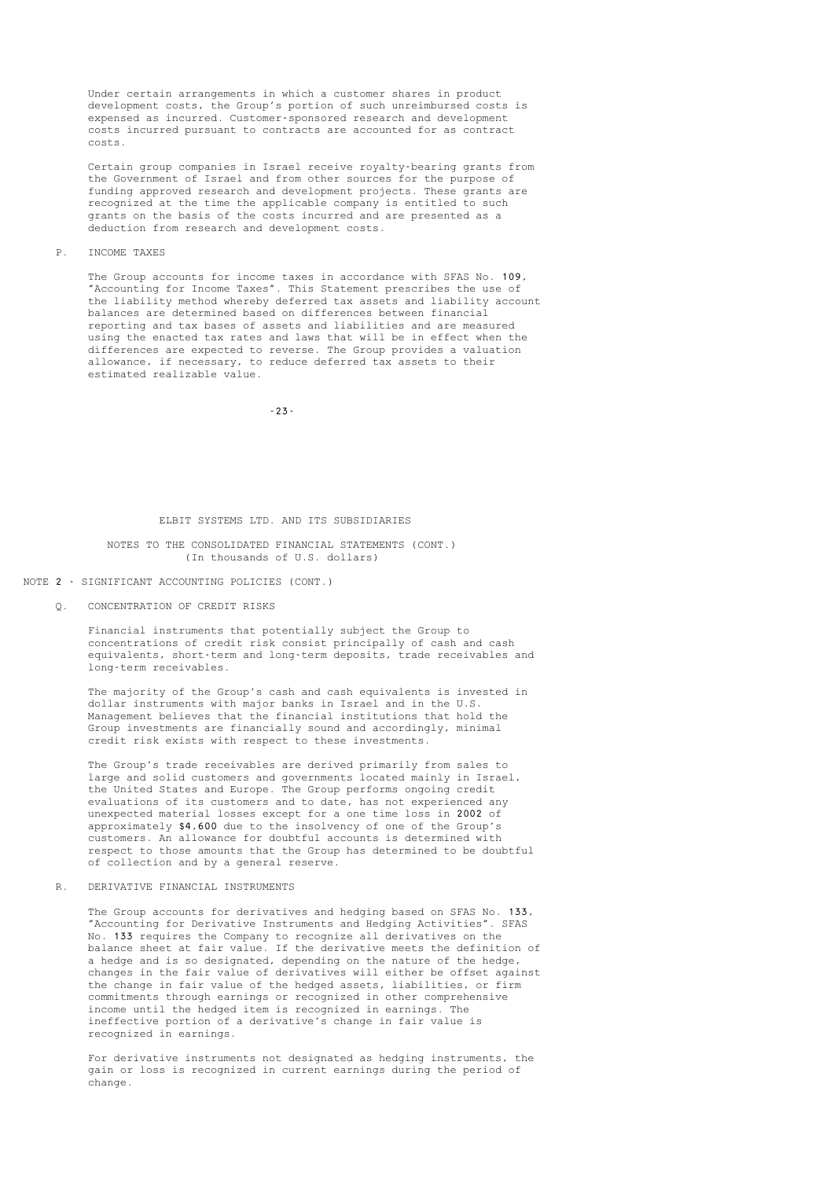Under certain arrangements in which a customer shares in product development costs, the Group's portion of such unreimbursed costs is expensed as incurred. Customer-sponsored research and development costs incurred pursuant to contracts are accounted for as contract costs.

 Certain group companies in Israel receive royalty-bearing grants from the Government of Israel and from other sources for the purpose of funding approved research and development projects. These grants are recognized at the time the applicable company is entitled to such grants on the basis of the costs incurred and are presented as a deduction from research and development costs.

#### P. INCOME TAXES

 The Group accounts for income taxes in accordance with SFAS No. 109, "Accounting for Income Taxes". This Statement prescribes the use of the liability method whereby deferred tax assets and liability account balances are determined based on differences between financial reporting and tax bases of assets and liabilities and are measured using the enacted tax rates and laws that will be in effect when the differences are expected to reverse. The Group provides a valuation allowance, if necessary, to reduce deferred tax assets to their estimated realizable value.

-23-

#### ELBIT SYSTEMS LTD. AND ITS SUBSIDIARIES

#### NOTES TO THE CONSOLIDATED FINANCIAL STATEMENTS (CONT.) (In thousands of U.S. dollars)

#### NOTE 2 - SIGNIFICANT ACCOUNTING POLICIES (CONT.)

Q. CONCENTRATION OF CREDIT RISKS

 Financial instruments that potentially subject the Group to concentrations of credit risk consist principally of cash and cash equivalents, short-term and long-term deposits, trade receivables and long-term receivables.

 The majority of the Group's cash and cash equivalents is invested in dollar instruments with major banks in Israel and in the U.S. Management believes that the financial institutions that hold the Group investments are financially sound and accordingly, minimal credit risk exists with respect to these investments.

 The Group's trade receivables are derived primarily from sales to large and solid customers and governments located mainly in Israel, the United States and Europe. The Group performs ongoing credit evaluations of its customers and to date, has not experienced any unexpected material losses except for a one time loss in 2002 of approximately \$4,600 due to the insolvency of one of the Group's customers. An allowance for doubtful accounts is determined with respect to those amounts that the Group has determined to be doubtful of collection and by a general reserve.

#### R. DERIVATIVE FINANCIAL INSTRUMENTS

 The Group accounts for derivatives and hedging based on SFAS No. 133, "Accounting for Derivative Instruments and Hedging Activities". SFAS No. 133 requires the Company to recognize all derivatives on the balance sheet at fair value. If the derivative meets the definition of a hedge and is so designated, depending on the nature of the hedge, changes in the fair value of derivatives will either be offset against the change in fair value of the hedged assets, liabilities, or firm commitments through earnings or recognized in other comprehensive income until the hedged item is recognized in earnings. The ineffective portion of a derivative's change in fair value is recognized in earnings.

 For derivative instruments not designated as hedging instruments, the gain or loss is recognized in current earnings during the period of change.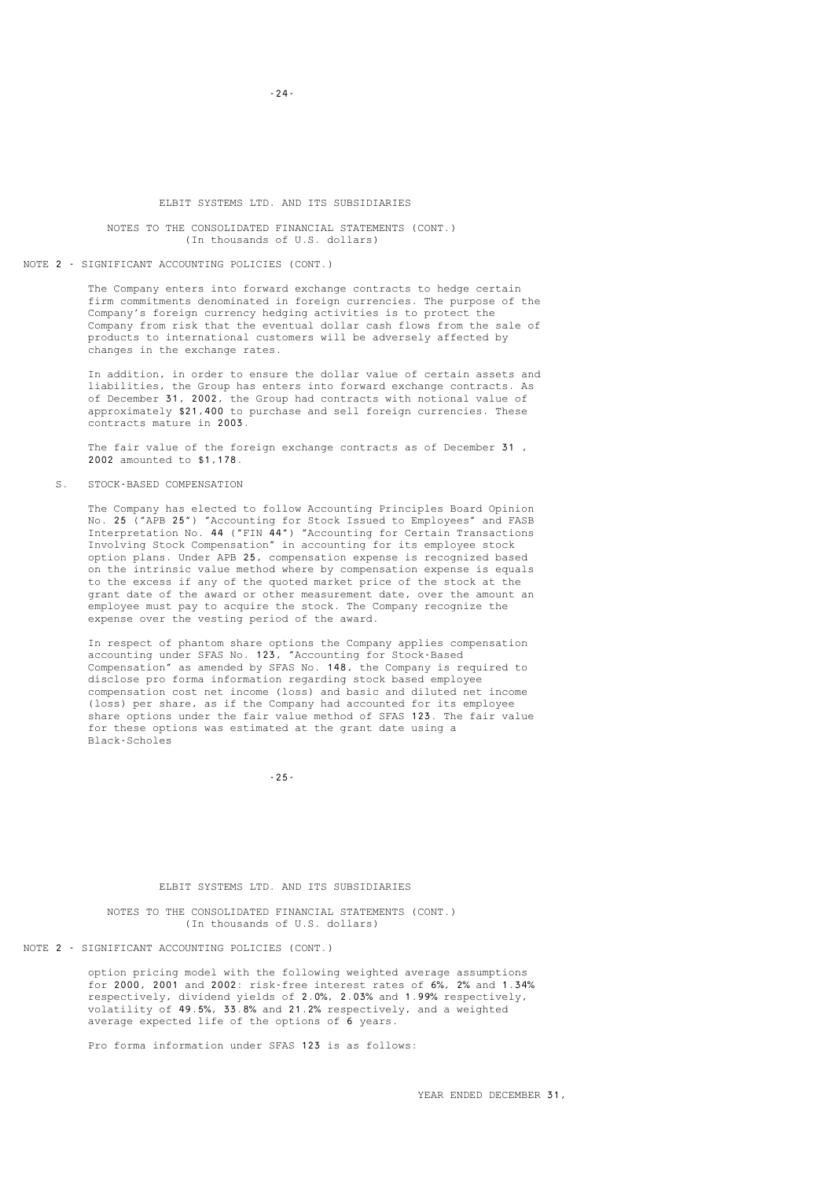#### NOTES TO THE CONSOLIDATED FINANCIAL STATEMENTS (CONT.) (In thousands of U.S. dollars)

#### NOTE 2 - SIGNIFICANT ACCOUNTING POLICIES (CONT.)

 The Company enters into forward exchange contracts to hedge certain firm commitments denominated in foreign currencies. The purpose of the Company's foreign currency hedging activities is to protect the Company from risk that the eventual dollar cash flows from the sale of products to international customers will be adversely affected by .<br>changes in the exchange rates.

 In addition, in order to ensure the dollar value of certain assets and liabilities, the Group has enters into forward exchange contracts. As of December 31, 2002, the Group had contracts with notional value of approximately \$21,400 to purchase and sell foreign currencies. These contracts mature in 2003.

 The fair value of the foreign exchange contracts as of December 31 , 2002 amounted to \$1,178.

S. STOCK-BASED COMPENSATION

 The Company has elected to follow Accounting Principles Board Opinion No. 25 ("APB 25") "Accounting for Stock Issued to Employees" and FASB Interpretation No. 44 ("FIN 44") "Accounting for Certain Transactions Involving Stock Compensation" in accounting for its employee stock option plans. Under APB 25, compensation expense is recognized based on the intrinsic value method where by compensation expense is equals to the excess if any of the quoted market price of the stock at the grant date of the award or other measurement date, over the amount an employee must pay to acquire the stock. The Company recognize the expense over the vesting period of the award.

> In respect of phantom share options the Company applies compensation accounting under SFAS No. 123, "Accounting for Stock-Based Compensation" as amended by SFAS No. 148, the Company is required to disclose pro forma information regarding stock based employee compensation cost net income (loss) and basic and diluted net income (loss) per share, as if the Company had accounted for its employee share options under the fair value method of SFAS 123. The fair value for these options was estimated at the grant date using a Black-Scholes

-25-

### ELBIT SYSTEMS LTD. AND ITS SUBSIDIARIES

 NOTES TO THE CONSOLIDATED FINANCIAL STATEMENTS (CONT.) (In thousands of U.S. dollars)

NOTE 2 - SIGNIFICANT ACCOUNTING POLICIES (CONT.)

 option pricing model with the following weighted average assumptions for 2000, 2001 and 2002: risk-free interest rates of 6%, 2% and 1.34% respectively, dividend yields of 2.0%, 2.03% and 1.99% respectively, volatility of 49.5%, 33.8% and 21.2% respectively, and a weighted average expected life of the options of 6 years.

Pro forma information under SFAS 123 is as follows:

-24-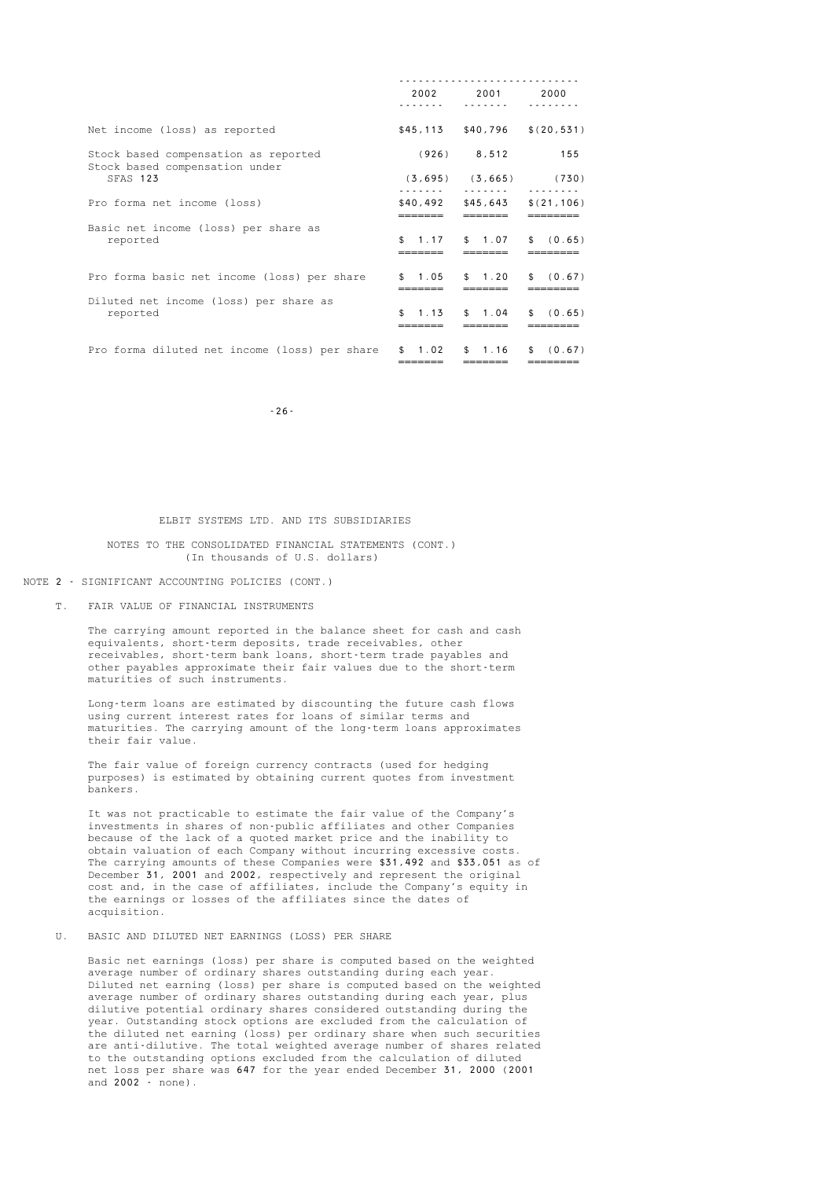|                                                                        | 2002         | 2001                | 2000                            |
|------------------------------------------------------------------------|--------------|---------------------|---------------------------------|
| Net income (loss) as reported                                          | \$45.113     |                     | $$40,796$ $$(20,531)$           |
| Stock based compensation as reported<br>Stock based compensation under |              |                     | $(926)$ 8,512 155               |
| SFAS 123                                                               |              | $(3,695)$ $(3,665)$ | (730)                           |
| Pro forma net income (loss)                                            | .<br>——————— | ———————             | $$40,492$ $$45,643$ $$(21,106)$ |
| Basic net income (loss) per share as<br>reported                       | \$           | 1.17 \$ 1.07        | ========<br>\$ (0.65)           |
| Pro forma basic net income (loss) per share                            | \$1.05       | \$1.20              | \$ (0.67)                       |
| Diluted net income (loss) per share as<br>reported                     | 1.13         | \$1.04              | \$ (0.65)                       |
| Pro forma diluted net income (loss) per share                          | \$1.02       | \$1.16              | (0.67)<br>$\mathbb{S}$          |

-26-

#### ELBIT SYSTEMS LTD. AND ITS SUBSIDIARIES

#### NOTES TO THE CONSOLIDATED FINANCIAL STATEMENTS (CONT.) (In thousands of U.S. dollars)

NOTE 2 - SIGNIFICANT ACCOUNTING POLICIES (CONT.)

#### T. FAIR VALUE OF FINANCIAL INSTRUMENTS

 The carrying amount reported in the balance sheet for cash and cash equivalents, short-term deposits, trade receivables, other receivables, short-term bank loans, short-term trade payables and other payables approximate their fair values due to the short-term maturities of such instruments.

 Long-term loans are estimated by discounting the future cash flows using current interest rates for loans of similar terms and maturities. The carrying amount of the long-term loans approximates their fair value.

 The fair value of foreign currency contracts (used for hedging purposes) is estimated by obtaining current quotes from investment bankers.

 It was not practicable to estimate the fair value of the Company's investments in shares of non-public affiliates and other Companies because of the lack of a quoted market price and the inability to obtain valuation of each Company without incurring excessive costs. The carrying amounts of these Companies were \$31,492 and \$33,051 as of December 31, 2001 and 2002, respectively and represent the original cost and, in the case of affiliates, include the Company's equity in the earnings or losses of the affiliates since the dates of acquisition.

#### U. BASIC AND DILUTED NET EARNINGS (LOSS) PER SHARE

 Basic net earnings (loss) per share is computed based on the weighted average number of ordinary shares outstanding during each year. Diluted net earning (loss) per share is computed based on the weighted average number of ordinary shares outstanding during each year, plus dilutive potential ordinary shares considered outstanding during the year. Outstanding stock options are excluded from the calculation of the diluted net earning (loss) per ordinary share when such securities are anti-dilutive. The total weighted average number of shares related to the outstanding options excluded from the calculation of diluted net loss per share was 647 for the year ended December 31, 2000 (2001 and 2002 - none).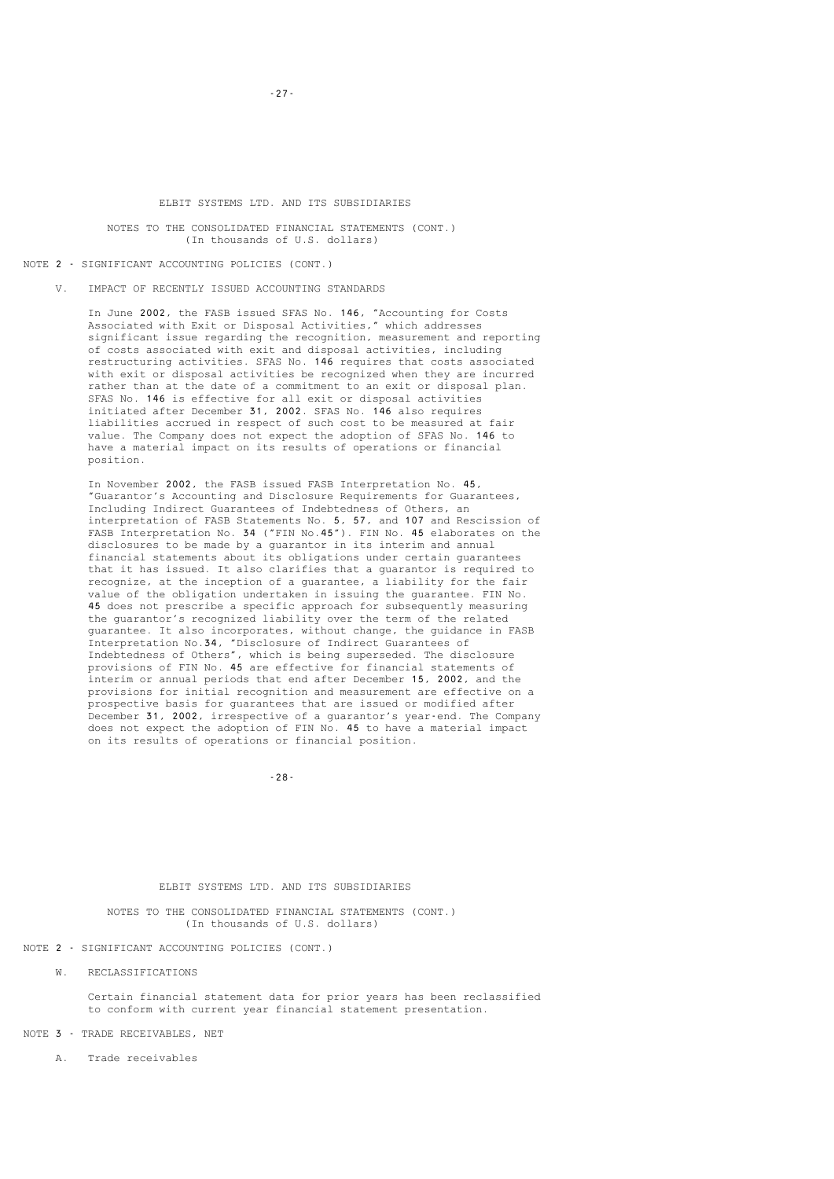#### NOTES TO THE CONSOLIDATED FINANCIAL STATEMENTS (CONT.) (In thousands of U.S. dollars)

NOTE 2 - SIGNIFICANT ACCOUNTING POLICIES (CONT.)

V. IMPACT OF RECENTLY ISSUED ACCOUNTING STANDARDS

 In June 2002, the FASB issued SFAS No. 146, "Accounting for Costs Associated with Exit or Disposal Activities," which addresses significant issue regarding the recognition, measurement and reporting of costs associated with exit and disposal activities, including restructuring activities. SFAS No. 146 requires that costs associated with exit or disposal activities be recognized when they are incurred rather than at the date of a commitment to an exit or disposal plan. SFAS No. 146 is effective for all exit or disposal activities initiated after December 31, 2002. SFAS No. 146 also requires liabilities accrued in respect of such cost to be measured at fair value. The Company does not expect the adoption of SFAS No. 146 to have a material impact on its results of operations or financial position.

 In November 2002, the FASB issued FASB Interpretation No. 45, "Guarantor's Accounting and Disclosure Requirements for Guarantees, Including Indirect Guarantees of Indebtedness of Others, an interpretation of FASB Statements No. 5, 57, and 107 and Rescission of FASB Interpretation No. 34 ("FIN No.45"). FIN No. 45 elaborates on the disclosures to be made by a guarantor in its interim and annual financial statements about its obligations under certain guarantees that it has issued. It also clarifies that a guarantor is required to recognize, at the inception of a guarantee, a liability for the fair value of the obligation undertaken in issuing the guarantee. FIN No. 45 does not prescribe a specific approach for subsequently measuring the guarantor's recognized liability over the term of the related guarantee. It also incorporates, without change, the guidance in FASB Interpretation No.34, "Disclosure of Indirect Guarantees of Indebtedness of Others", which is being superseded. The disclosure provisions of FIN No. 45 are effective for financial statements of interim or annual periods that end after December 15, 2002, and the provisions for initial recognition and measurement are effective on a prospective basis for guarantees that are issued or modified after December 31, 2002, irrespective of a guarantor's year-end. The Company does not expect the adoption of FIN No. 45 to have a material impact on its results of operations or financial position.

-28-

#### ELBIT SYSTEMS LTD. AND ITS SUBSIDIARIES

 NOTES TO THE CONSOLIDATED FINANCIAL STATEMENTS (CONT.) (In thousands of U.S. dollars)

NOTE 2 - SIGNIFICANT ACCOUNTING POLICIES (CONT.)

W. RECLASSIFICATIONS

 Certain financial statement data for prior years has been reclassified to conform with current year financial statement presentation.

NOTE 3 - TRADE RECEIVABLES, NET

A. Trade receivables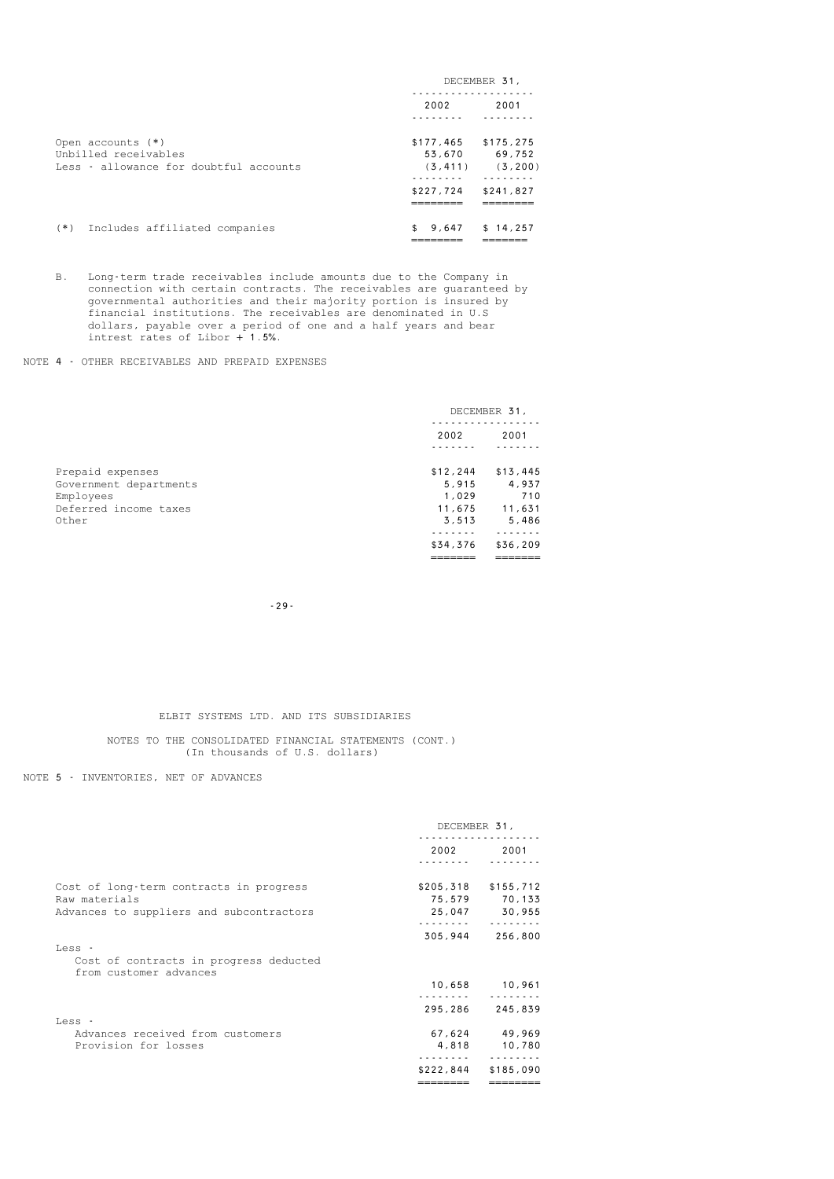|                                        | DECEMBER 31, |           |
|----------------------------------------|--------------|-----------|
|                                        | 2002         | 2001      |
|                                        |              |           |
| Open accounts (*)                      | \$177,465    | \$175,275 |
| Unbilled receivables                   | 53,670       | 69,752    |
| Less - allowance for doubtful accounts | (3, 411)     | (3, 200)  |
|                                        |              |           |
|                                        | \$227,724    | \$241,827 |
|                                        |              |           |
| (*) Includes affiliated companies      | 9,647<br>\$  | \$14.257  |
|                                        |              |           |

 B. Long-term trade receivables include amounts due to the Company in connection with certain contracts. The receivables are guaranteed by governmental authorities and their majority portion is insured by financial institutions. The receivables are denominated in U.S dollars, payable over a period of one and a half years and bear intrest rates of Libor + 1.5%.

### NOTE 4 - OTHER RECEIVABLES AND PREPAID EXPENSES

|                        | DECEMBER 31, |          |
|------------------------|--------------|----------|
|                        | 2002         | 2001     |
|                        |              |          |
| Prepaid expenses       | \$12, 244    | \$13,445 |
| Government departments | 5,915        | 4,937    |
| Employees              | 1,029        | 710      |
| Deferred income taxes  | 11,675       | 11,631   |
| Other                  | 3.513        | 5,486    |
|                        |              |          |
|                        | \$34,376     | \$36,209 |
|                        |              |          |
|                        |              |          |

-29-

### ELBIT SYSTEMS LTD. AND ITS SUBSIDIARIES

 NOTES TO THE CONSOLIDATED FINANCIAL STATEMENTS (CONT.) (In thousands of U.S. dollars)

NOTE 5 - INVENTORIES, NET OF ADVANCES

|                                                                  | DECEMBER 31, |                       |
|------------------------------------------------------------------|--------------|-----------------------|
|                                                                  | 2002         | 2001                  |
|                                                                  |              |                       |
| Cost of long-term contracts in progress                          |              | $$205,318$ $$155,712$ |
| Raw materials                                                    |              | 75,579 70,133         |
| Advances to suppliers and subcontractors                         |              | 25,047 30,955         |
|                                                                  |              |                       |
|                                                                  | 305,944      | 256,800               |
| Less -                                                           |              |                       |
| Cost of contracts in progress deducted<br>from customer advances |              |                       |
|                                                                  |              | 10,658 10,961         |
|                                                                  |              |                       |
|                                                                  | 295,286      | 245,839               |
| Less -                                                           |              |                       |
| Advances received from customers                                 |              | 67,624 49,969         |
| Provision for losses                                             |              | 4,818 10,780          |
|                                                                  | \$222,844    | \$185,090             |
|                                                                  |              |                       |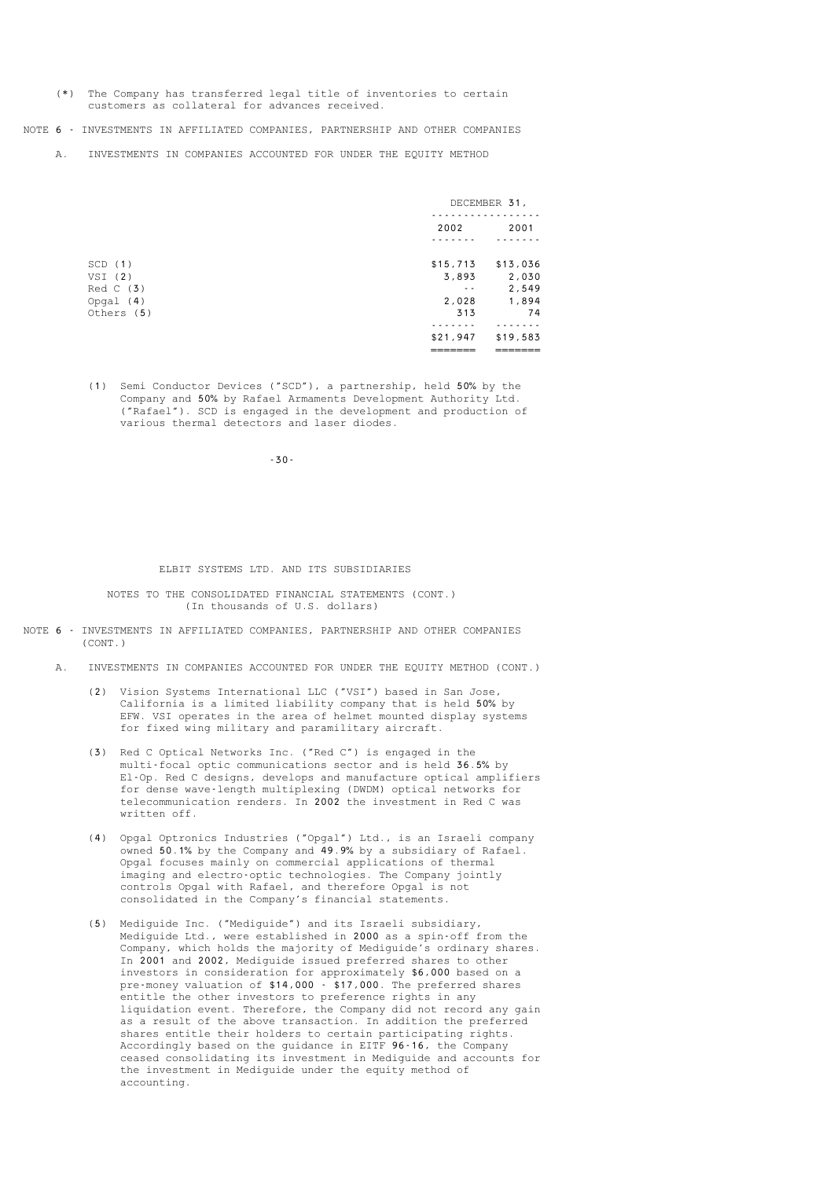(\*) The Company has transferred legal title of inventories to certain customers as collateral for advances received.

NOTE 6 - INVESTMENTS IN AFFILIATED COMPANIES, PARTNERSHIP AND OTHER COMPANIES

A. INVESTMENTS IN COMPANIES ACCOUNTED FOR UNDER THE EQUITY METHOD

|             |          | DECEMBER 31, |  |
|-------------|----------|--------------|--|
|             | 2002     | 2001         |  |
|             |          |              |  |
| SCD(1)      | \$15,713 | \$13,036     |  |
| $VSI$ (2)   | 3,893    | 2,030        |  |
| Red C (3)   | $ -$     | 2,549        |  |
| Opgal $(4)$ | 2,028    | 1,894        |  |
| Others (5)  | 313      | 74           |  |
|             |          |              |  |
|             | \$21,947 | \$19,583     |  |
|             |          |              |  |

 (1) Semi Conductor Devices ("SCD"), a partnership, held 50% by the Company and 50% by Rafael Armaments Development Authority Ltd. ("Rafael"). SCD is engaged in the development and production of various thermal detectors and laser diodes.

-30-

#### ELBIT SYSTEMS LTD. AND ITS SUBSIDIARIES

 NOTES TO THE CONSOLIDATED FINANCIAL STATEMENTS (CONT.) (In thousands of U.S. dollars)

- NOTE 6 INVESTMENTS IN AFFILIATED COMPANIES, PARTNERSHIP AND OTHER COMPANIES (CONT.)
	- A. INVESTMENTS IN COMPANIES ACCOUNTED FOR UNDER THE EQUITY METHOD (CONT.)
- (2) Vision Systems International LLC ("VSI") based in San Jose, California is a limited liability company that is held 50% by EFW. VSI operates in the area of helmet mounted display systems for fixed wing military and paramilitary aircraft.
	- (3) Red C Optical Networks Inc. ("Red C") is engaged in the multi-focal optic communications sector and is held 36.5% by El-Op. Red C designs, develops and manufacture optical amplifiers for dense wave-length multiplexing (DWDM) optical networks for telecommunication renders. In 2002 the investment in Red C was written off.
	- (4) Opgal Optronics Industries ("Opgal") Ltd., is an Israeli company owned 50.1% by the Company and 49.9% by a subsidiary of Rafael. Opgal focuses mainly on commercial applications of thermal imaging and electro-optic technologies. The Company jointly controls Opgal with Rafael, and therefore Opgal is not consolidated in the Company's financial statements.
	- (5) Mediguide Inc. ("Mediguide") and its Israeli subsidiary, Mediguide Ltd., were established in 2000 as a spin-off from the Company, which holds the majority of Mediguide's ordinary shares. In 2001 and 2002, Mediguide issued preferred shares to other investors in consideration for approximately \$6,000 based on a pre-money valuation of \$14,000 - \$17,000. The preferred shares entitle the other investors to preference rights in any liquidation event. Therefore, the Company did not record any gain as a result of the above transaction. In addition the preferred shares entitle their holders to certain participating rights. Accordingly based on the guidance in EITF 96-16, the Company ceased consolidating its investment in Mediguide and accounts for the investment in Mediguide under the equity method of accounting.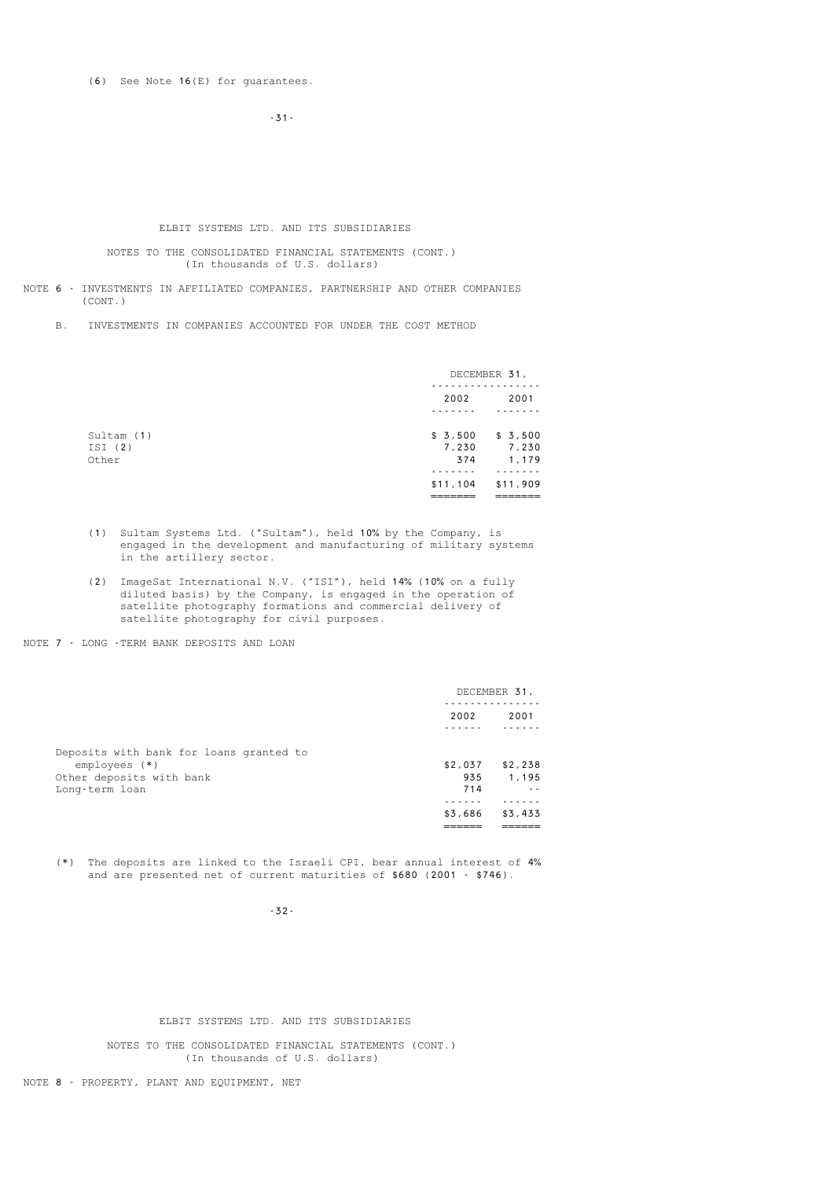(6) See Note 16(E) for guarantees.

-31-

#### ELBIT SYSTEMS LTD. AND ITS SUBSIDIARIES

 NOTES TO THE CONSOLIDATED FINANCIAL STATEMENTS (CONT.) (In thousands of U.S. dollars)

NOTE 6 - INVESTMENTS IN AFFILIATED COMPANIES, PARTNERSHIP AND OTHER COMPANIES (CONT.)

B. INVESTMENTS IN COMPANIES ACCOUNTED FOR UNDER THE COST METHOD

|                               | DECEMBER 31,            |                           |
|-------------------------------|-------------------------|---------------------------|
|                               | 2002                    | 2001                      |
| Sultam (1)<br>ISI(2)<br>Other | \$3,500<br>7,230<br>374 | \$3,500<br>7,230<br>1,179 |
|                               | \$11,104<br>_________   | \$11,909<br>_______       |

- (1) Sultam Systems Ltd. ("Sultam"), held 10% by the Company, is engaged in the development and manufacturing of military systems in the artillery sector.
- (2) ImageSat International N.V. ("ISI"), held 14% (10% on a fully diluted basis) by the Company, is engaged in the operation of satellite photography formations and commercial delivery of satellite photography for civil purposes.

NOTE 7 - LONG -TERM BANK DEPOSITS AND LOAN

|                                                                                                         | DECEMBER 31,          |                  |
|---------------------------------------------------------------------------------------------------------|-----------------------|------------------|
|                                                                                                         | 2002                  | 2001             |
| Deposits with bank for loans granted to<br>$employes$ (*)<br>Other deposits with bank<br>Long-term loan | \$2,037<br>935<br>714 | \$2,238<br>1.195 |
|                                                                                                         | \$3,686               | \$3,433          |
|                                                                                                         |                       |                  |

 (\*) The deposits are linked to the Israeli CPI, bear annual interest of 4% and are presented net of current maturities of \$680 (2001 - \$746).

-32-

ELBIT SYSTEMS LTD. AND ITS SUBSIDIARIES

 NOTES TO THE CONSOLIDATED FINANCIAL STATEMENTS (CONT.) (In thousands of U.S. dollars)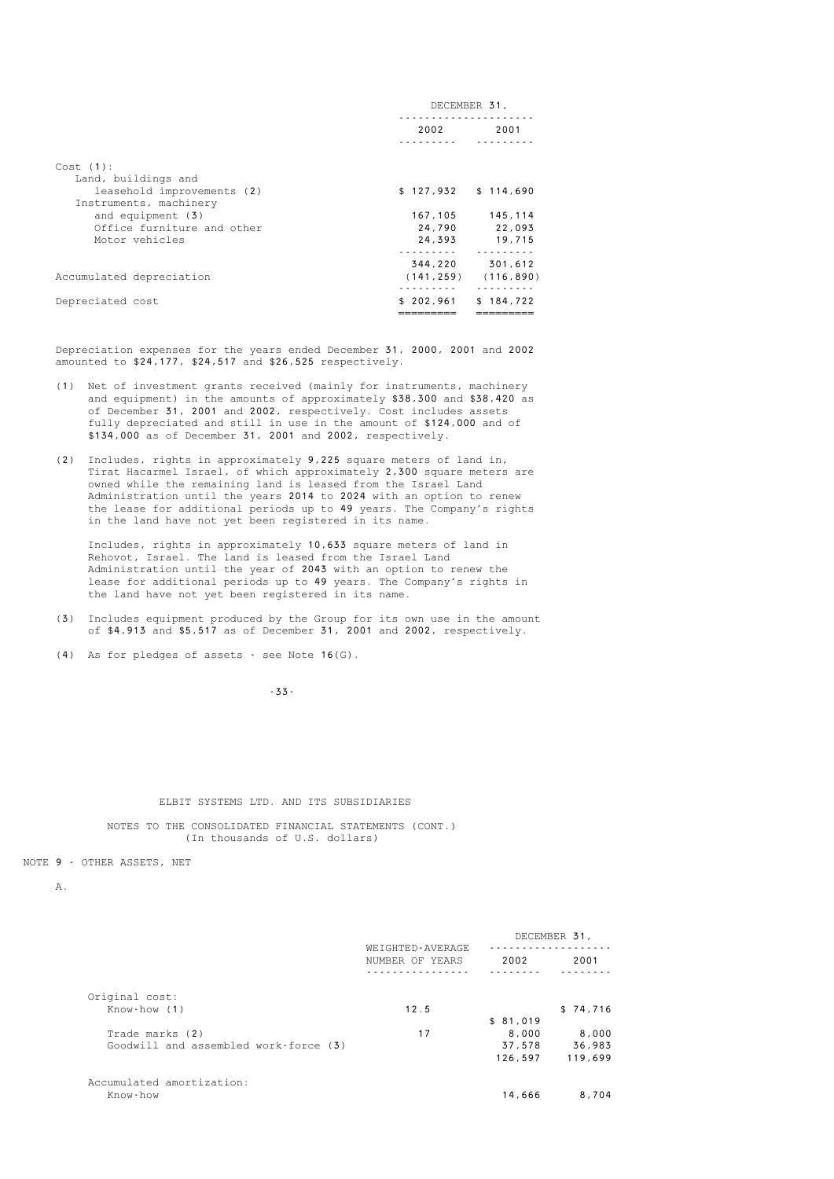|                            | DECEMBER 31,          |            |  |
|----------------------------|-----------------------|------------|--|
|                            | 2002                  | 2001       |  |
|                            |                       |            |  |
| Cost(1):                   |                       |            |  |
| Land, buildings and        |                       |            |  |
| leasehold improvements (2) | $$127,932$ $$114,690$ |            |  |
| Instruments, machinery     |                       |            |  |
| and equipment (3)          | 167,105               | 145,114    |  |
| Office furniture and other | 24,790                | 22,093     |  |
| Motor vehicles             | 24,393                | 19,715     |  |
|                            |                       |            |  |
|                            | 344,220               | 301,612    |  |
| Accumulated depreciation   | (141, 259)            | (116, 890) |  |
|                            | <u>.</u>              | .          |  |
| Depreciated cost           | \$202,961             | \$184,722  |  |
|                            |                       |            |  |
|                            |                       |            |  |

 Depreciation expenses for the years ended December 31, 2000, 2001 and 2002 amounted to \$24,177, \$24,517 and \$26,525 respectively.

- (1) Net of investment grants received (mainly for instruments, machinery and equipment) in the amounts of approximately \$38,300 and \$38,420 as of December 31, 2001 and 2002, respectively. Cost includes assets fully depreciated and still in use in the amount of \$124,000 and of \$134,000 as of December 31, 2001 and 2002, respectively.
- (2) Includes, rights in approximately 9,225 square meters of land in, Tirat Hacarmel Israel, of which approximately 2,300 square meters are owned while the remaining land is leased from the Israel Land Administration until the years 2014 to 2024 with an option to renew the lease for additional periods up to 49 years. The Company's rights in the land have not yet been registered in its name.

 Includes, rights in approximately 10,633 square meters of land in Rehovot, Israel. The land is leased from the Israel Land Administration until the year of 2043 with an option to renew the lease for additional periods up to 49 years. The Company's rights in the land have not yet been registered in its name.

 (3) Includes equipment produced by the Group for its own use in the amount of \$4,913 and \$5,517 as of December 31, 2001 and 2002, respectively.

(4) As for pledges of assets - see Note 16(G).

-33-

#### ELBIT SYSTEMS LTD. AND ITS SUBSIDIARIES

 NOTES TO THE CONSOLIDATED FINANCIAL STATEMENTS (CONT.) (In thousands of U.S. dollars)

NOTE 9 - OTHER ASSETS, NET

A.

|                                       | WEIGHTED-AVERAGE<br>NUMBER OF YEARS |          | DECEMBER 31, |
|---------------------------------------|-------------------------------------|----------|--------------|
|                                       |                                     | 2002     | 2001         |
|                                       |                                     |          |              |
| Original cost:                        |                                     |          |              |
| Know-how (1)                          | 12.5                                |          | \$74,716     |
|                                       |                                     | \$81,019 |              |
| Trade marks (2)                       | 17                                  | 8,000    | 8,000        |
| Goodwill and assembled work-force (3) |                                     | 37,578   | 36,983       |
|                                       |                                     | 126,597  | 119,699      |
| Accumulated amortization:             |                                     |          |              |
| Know-how                              |                                     | 14,666   | 8,704        |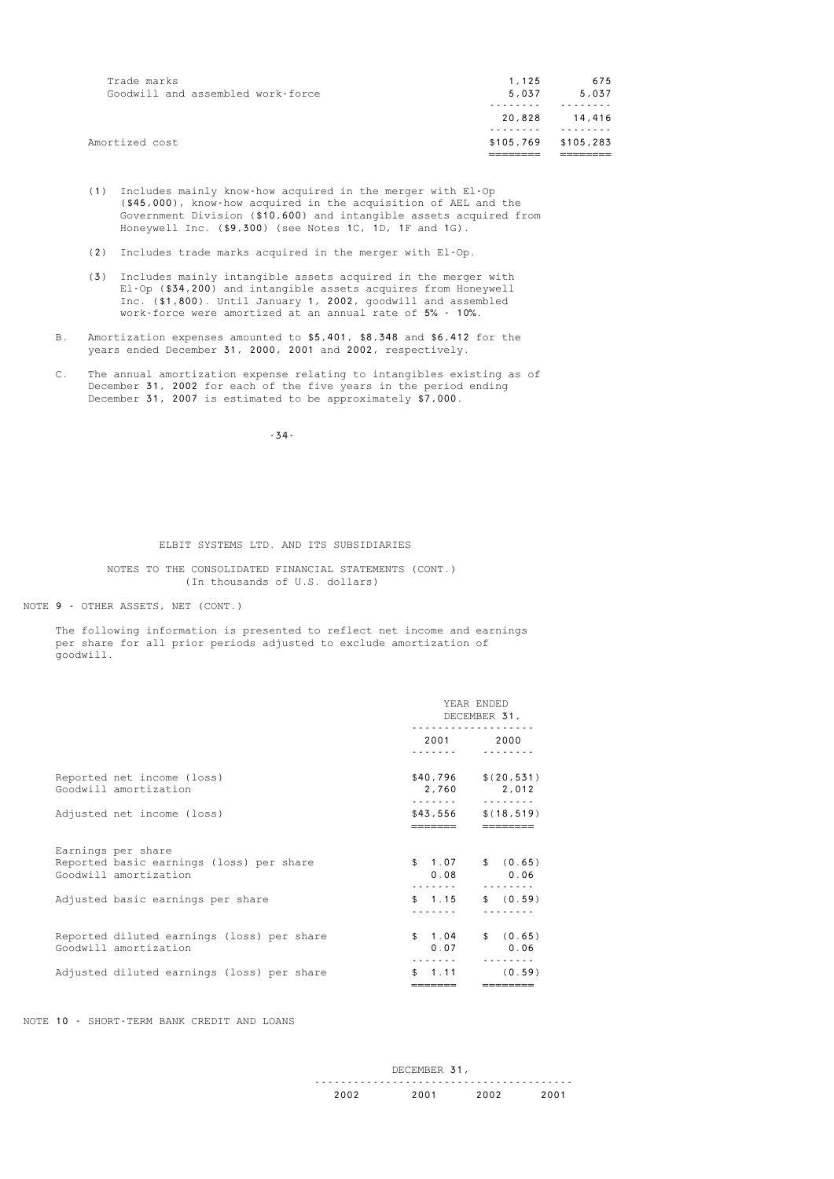| Trade marks<br>Goodwill and assembled work-force | 1.125<br>5.037 | 675<br>5,037 |
|--------------------------------------------------|----------------|--------------|
|                                                  | 20,828         | 14,416       |
| Amortized cost                                   | \$105,769      | \$105,283    |
|                                                  |                |              |

- (1) Includes mainly know-how acquired in the merger with El-Op (\$45,000), know-how acquired in the acquisition of AEL and the Government Division (\$10,600) and intangible assets acquired from Honeywell Inc. (\$9,300) (see Notes 1C, 1D, 1F and 1G).
- (2) Includes trade marks acquired in the merger with El-Op.
- (3) Includes mainly intangible assets acquired in the merger with El-Op (\$34,200) and intangible assets acquires from Honeywell Inc. (\$1,800). Until January 1, 2002, goodwill and assembled work-force were amortized at an annual rate of 5% - 10%.
	- B. Amortization expenses amounted to \$5,401, \$8,348 and \$6,412 for the years ended December 31, 2000, 2001 and 2002, respectively.
- C. The annual amortization expense relating to intangibles existing as of December 31, 2002 for each of the five years in the period ending December 31, 2007 is estimated to be approximately \$7,000.

-34-

#### ELBIT SYSTEMS LTD. AND ITS SUBSIDIARIES

#### NOTES TO THE CONSOLIDATED FINANCIAL STATEMENTS (CONT.) (In thousands of U.S. dollars)

NOTE 9 - OTHER ASSETS, NET (CONT.)

 The following information is presented to reflect net income and earnings per share for all prior periods adjusted to exclude amortization of goodwill.

|                                                                                         | YEAR ENDED<br>DECEMBER 31,<br>. |                                        |
|-----------------------------------------------------------------------------------------|---------------------------------|----------------------------------------|
|                                                                                         |                                 | 2001 2000                              |
| Reported net income (loss)<br>Goodwill amortization                                     | \$40,796<br>.                   | \$(20, 531)<br>2,760 2,012<br><u>.</u> |
| Adjusted net income (loss)                                                              | \$43,556                        | \$(18, 519)                            |
| Earnings per share<br>Reported basic earnings (loss) per share<br>Goodwill amortization | 0.08                            | $$1.07$ $$ (0.65)$<br>0.06             |
| Adjusted basic earnings per share                                                       | \$1.15                          | \$ (0.59)                              |
| Reported diluted earnings (loss) per share<br>Goodwill amortization                     | \$1.04<br>0.07                  | \$ (0.65)<br>0.06                      |
| Adjusted diluted earnings (loss) per share                                              | 1.11<br>\$.                     | (0.59)                                 |

NOTE 10 - SHORT-TERM BANK CREDIT AND LOANS

|  |  | ን በ በ |
|--|--|-------|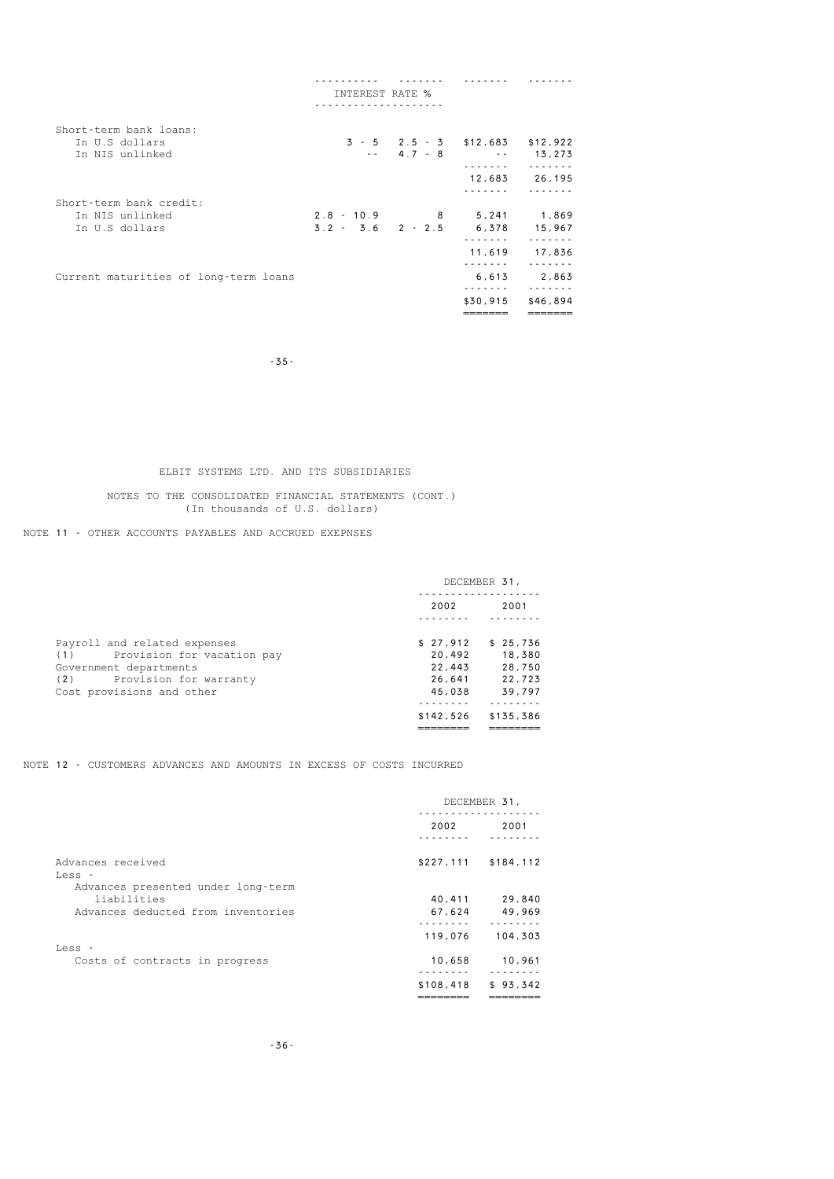|                                       | INTEREST RATE %                  |                               |               |
|---------------------------------------|----------------------------------|-------------------------------|---------------|
|                                       |                                  |                               |               |
| Short-term bank loans:                |                                  |                               |               |
| In U.S dollars                        |                                  | $3 - 5$ 2.5 - 3 \$12.683      | \$12,922      |
| In NIS unlinked                       |                                  | $-2$ 4.7 - 8 $-2$ 13.273<br>. |               |
|                                       |                                  |                               | 12,683 26,195 |
|                                       |                                  |                               |               |
| Short-term bank credit:               |                                  |                               |               |
| In NIS unlinked                       | 2.8 - 10.9 8 5.241 1.869         |                               |               |
| In U.S dollars                        | $3.2 - 3.6$ 2 - 2.5 6.378 15.967 |                               |               |
|                                       |                                  | 11,619                        | 17,836        |
|                                       |                                  | .                             |               |
| Current maturities of long-term loans |                                  | .                             | 6,613 2,863   |
|                                       |                                  | \$30.915                      | \$46,894      |
|                                       |                                  |                               |               |

-35-

### ELBIT SYSTEMS LTD. AND ITS SUBSIDIARIES

### NOTES TO THE CONSOLIDATED FINANCIAL STATEMENTS (CONT.) (In thousands of U.S. dollars)

### NOTE 11 - OTHER ACCOUNTS PAYABLES AND ACCRUED EXEPNSES

|                                   |           | DECEMBER 31, |
|-----------------------------------|-----------|--------------|
|                                   | 2002      | 2001         |
|                                   |           |              |
| Payroll and related expenses      | \$27,912  | \$25.736     |
| Provision for vacation pay<br>(1) | 20.492    | 18,380       |
| Government departments            | 22.443    | 28,750       |
| Provision for warranty<br>(2)     | 26.641    | 22.723       |
| Cost provisions and other         | 45,038    | 39.797       |
|                                   |           |              |
|                                   | \$142,526 | \$135.386    |
|                                   |           |              |

NOTE 12 - CUSTOMERS ADVANCES AND AMOUNTS IN EXCESS OF COSTS INCURRED

|                                    |           | DECEMBER 31,          |
|------------------------------------|-----------|-----------------------|
|                                    | 2002      | 2001                  |
| Advances received                  |           | $$227,111$ $$184,112$ |
| Less -                             |           |                       |
| Advances presented under long-term |           |                       |
| liabilities                        | 40,411    | 29,840                |
| Advances deducted from inventories | 67,624    | 49,969                |
|                                    |           |                       |
|                                    | 119,076   | 104,303               |
| Less -                             |           |                       |
| Costs of contracts in progress     | 10,658    | 10,961                |
|                                    |           |                       |
|                                    | \$108,418 | \$93,342              |
|                                    |           |                       |
|                                    |           |                       |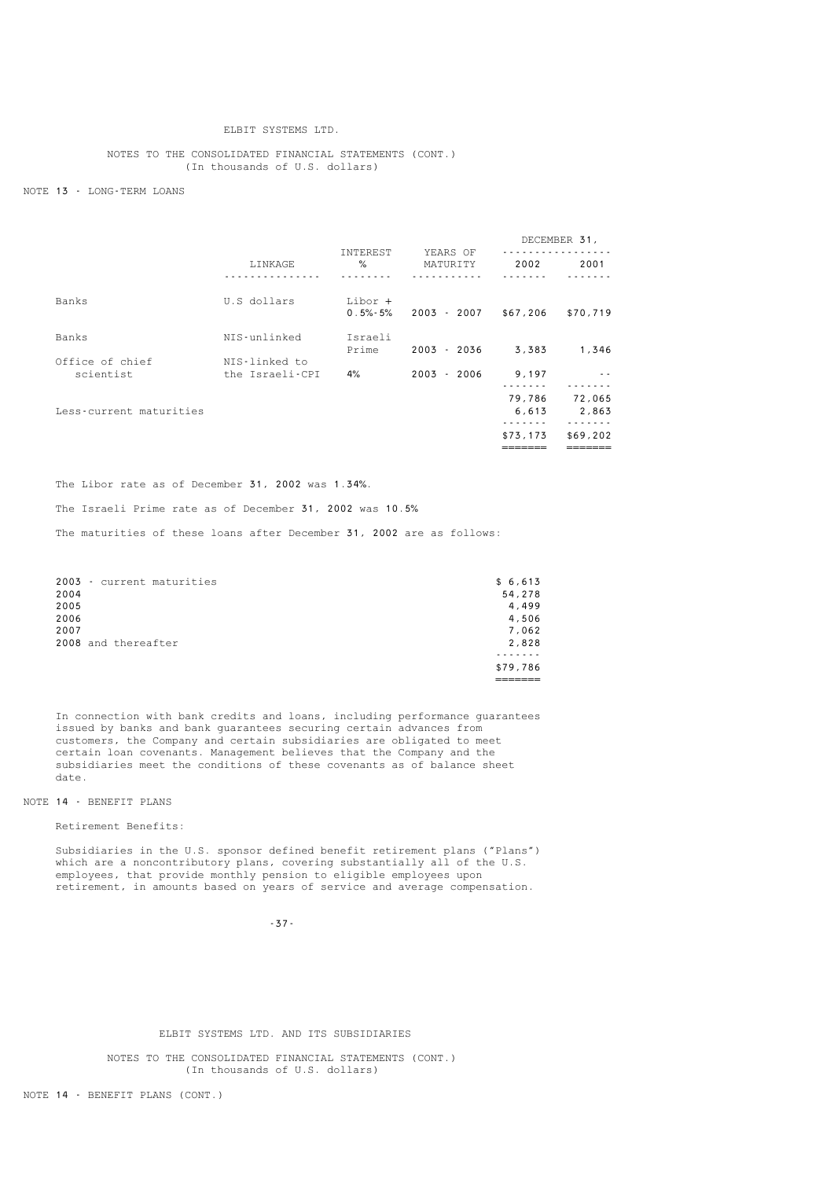### ELBIT SYSTEMS LTD.

### NOTES TO THE CONSOLIDATED FINANCIAL STATEMENTS (CONT.) (In thousands of U.S. dollars)

#### NOTE 13 - LONG-TERM LOANS

|                              |                                  |                           |                      |                 | DECEMBER 31,    |
|------------------------------|----------------------------------|---------------------------|----------------------|-----------------|-----------------|
|                              | LINKAGE                          | INTEREST<br>$\frac{1}{6}$ | YEARS OF<br>MATURITY | 2002            | 2001            |
| Banks                        | U.S dollars                      | Libor +<br>$0.5\% - 5\%$  | 2003 - 2007          | \$67,206        | \$70,719        |
| Banks                        | NIS-unlinked                     | Israeli<br>Prime          | $2003 - 2036$        | 3,383           | 1,346           |
| Office of chief<br>scientist | NIS-linked to<br>the Israeli-CPI | 4%                        | $2003 - 2006$        | 9,197           |                 |
| Less-current maturities      |                                  |                           |                      | 79,786<br>6,613 | 72,065<br>2,863 |
|                              |                                  |                           |                      | \$73,173        | \$69,202        |

The Libor rate as of December 31, 2002 was 1.34%.

The Israeli Prime rate as of December 31, 2002 was 10.5%

The maturities of these loans after December 31, 2002 are as follows:

|      | 2003 - current maturities | \$6,613  |
|------|---------------------------|----------|
| 2004 |                           | 54,278   |
| 2005 |                           | 4,499    |
| 2006 |                           | 4,506    |
| 2007 |                           | 7,062    |
|      | 2008 and thereafter       | 2,828    |
|      |                           |          |
|      |                           | \$79,786 |
|      |                           |          |

 In connection with bank credits and loans, including performance guarantees issued by banks and bank guarantees securing certain advances from customers, the Company and certain subsidiaries are obligated to meet certain loan covenants. Management believes that the Company and the subsidiaries meet the conditions of these covenants as of balance sheet date.

#### NOTE 14 - BENEFIT PLANS

Retirement Benefits:

 Subsidiaries in the U.S. sponsor defined benefit retirement plans ("Plans") which are a noncontributory plans, covering substantially all of the U.S. employees, that provide monthly pension to eligible employees upon retirement, in amounts based on years of service and average compensation.

-37-

### ELBIT SYSTEMS LTD. AND ITS SUBSIDIARIES

 NOTES TO THE CONSOLIDATED FINANCIAL STATEMENTS (CONT.) (In thousands of U.S. dollars)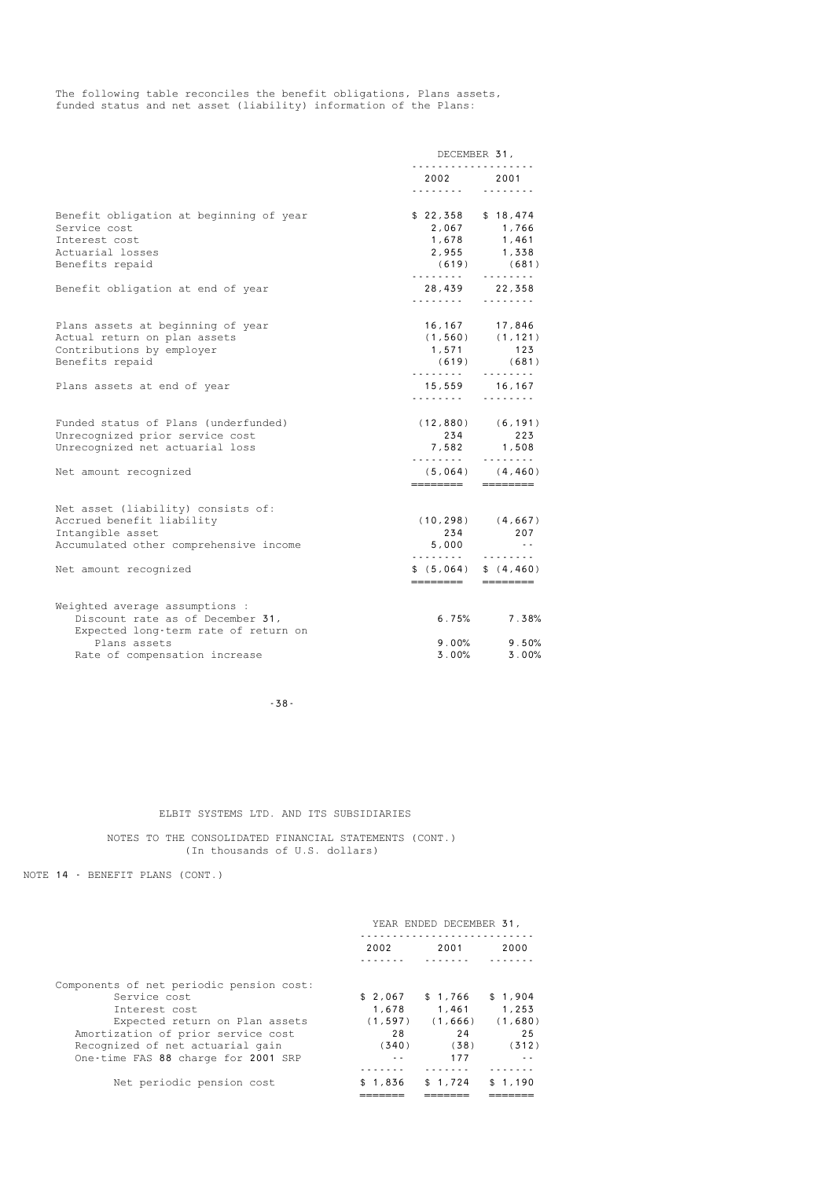The following table reconciles the benefit obligations, Plans assets, funded status and net asset (liability) information of the Plans:

| 2002 2001<br>.<br>$$22,358$ $$18,474$<br>(619)<br>.<br>.<br>16, 167 17, 846 | .<br>2,067 1,766<br>1,678 1,461<br>2,955 1,338<br>(681)<br>.<br>28,439 22,358<br>1.1.1.1.1.1.1.1 |
|-----------------------------------------------------------------------------|--------------------------------------------------------------------------------------------------|
|                                                                             |                                                                                                  |
|                                                                             |                                                                                                  |
|                                                                             |                                                                                                  |
|                                                                             |                                                                                                  |
|                                                                             |                                                                                                  |
|                                                                             |                                                                                                  |
|                                                                             |                                                                                                  |
|                                                                             |                                                                                                  |
|                                                                             | $(1, 560)$ $(1, 121)$                                                                            |
| 1,571                                                                       | 123                                                                                              |
| (619)                                                                       | (681)<br>.                                                                                       |
|                                                                             | 15,559 16,167                                                                                    |
|                                                                             | $\begin{array}{cccccccccccccc} . & . & . & . & . & . & . & . \end{array}$                        |
|                                                                             |                                                                                                  |
| 234                                                                         | 223                                                                                              |
|                                                                             | 7,582 1,508                                                                                      |
|                                                                             | $(5,064)$ $(4,460)$                                                                              |
|                                                                             | $\qquad \qquad \overline{\qquad \qquad }==-\overline{\qquad \qquad }=+$                          |
|                                                                             |                                                                                                  |
|                                                                             |                                                                                                  |
|                                                                             | 207                                                                                              |
| 5,000                                                                       | $\sim$ $\sim$                                                                                    |
| \$ (5,064) \$ (\$ (4,460)                                                   |                                                                                                  |
|                                                                             | .<br>.<br>$(12,880)$ $(6,191)$<br>.<br>========<br>$(10, 298)$ $(4, 667)$<br>234<br>.            |

-38-

### ELBIT SYSTEMS LTD. AND ITS SUBSIDIARIES

 NOTES TO THE CONSOLIDATED FINANCIAL STATEMENTS (CONT.) (In thousands of U.S. dollars)

NOTE 14 - BENEFIT PLANS (CONT.)

|                                                                                                                                                                                                                              | YEAR ENDED DECEMBER 31,                            |                                                   |                                            |
|------------------------------------------------------------------------------------------------------------------------------------------------------------------------------------------------------------------------------|----------------------------------------------------|---------------------------------------------------|--------------------------------------------|
|                                                                                                                                                                                                                              | 2002                                               | 2001                                              | 2000                                       |
| Components of net periodic pension cost:<br>Service cost<br>Interest cost<br>Expected return on Plan assets<br>Amortization of prior service cost<br>Recognized of net actuarial gain<br>One-time FAS 88 charge for 2001 SRP | \$2,067<br>1.678<br>(1, 597)<br>28<br>(340)<br>- - | \$1,766<br>1.461<br>(1, 666)<br>24<br>(38)<br>177 | \$1,904<br>1,253<br>(1,680)<br>25<br>(312) |
| Net periodic pension cost                                                                                                                                                                                                    | \$1,836                                            | \$1,724                                           | 1.190                                      |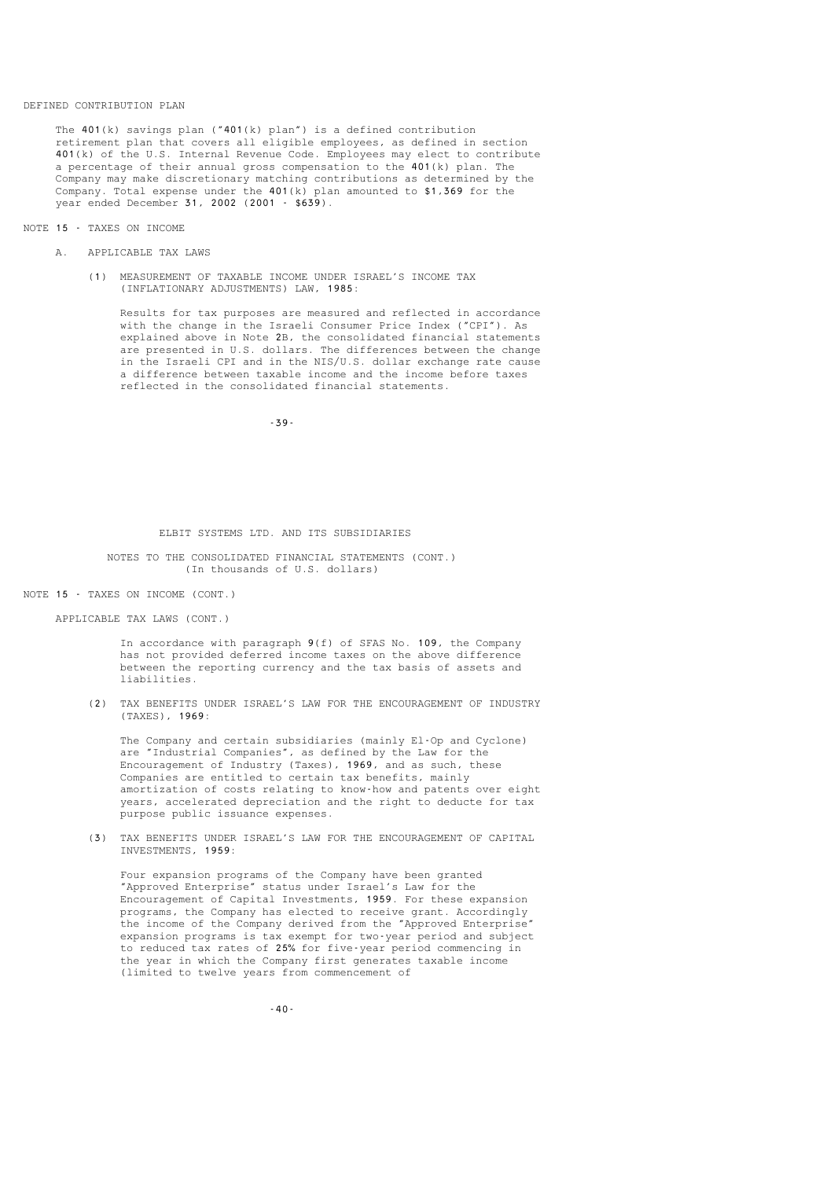#### DEFINED CONTRIBUTION PLAN

 The 401(k) savings plan ("401(k) plan") is a defined contribution retirement plan that covers all eligible employees, as defined in section 401(k) of the U.S. Internal Revenue Code. Employees may elect to contribute a percentage of their annual gross compensation to the 401(k) plan. The Company may make discretionary matching contributions as determined by the Company. Total expense under the 401(k) plan amounted to \$1,369 for the year ended December 31, 2002 (2001 - \$639).

#### NOTE 15 - TAXES ON INCOME

- A. APPLICABLE TAX LAWS
	- (1) MEASUREMENT OF TAXABLE INCOME UNDER ISRAEL'S INCOME TAX (INFLATIONARY ADJUSTMENTS) LAW, 1985:

 Results for tax purposes are measured and reflected in accordance with the change in the Israeli Consumer Price Index ("CPI"). As explained above in Note 2B, the consolidated financial statements are presented in U.S. dollars. The differences between the change in the Israeli CPI and in the NIS/U.S. dollar exchange rate cause a difference between taxable income and the income before taxes reflected in the consolidated financial statements.

-39-

#### ELBIT SYSTEMS LTD. AND ITS SUBSIDIARIES

 NOTES TO THE CONSOLIDATED FINANCIAL STATEMENTS (CONT.) (In thousands of U.S. dollars)

#### NOTE 15 - TAXES ON INCOME (CONT.)

APPLICABLE TAX LAWS (CONT.)

 In accordance with paragraph 9(f) of SFAS No. 109, the Company has not provided deferred income taxes on the above difference between the reporting currency and the tax basis of assets and liabilities.

 (2) TAX BENEFITS UNDER ISRAEL'S LAW FOR THE ENCOURAGEMENT OF INDUSTRY (TAXES), 1969:

 The Company and certain subsidiaries (mainly El-Op and Cyclone) are "Industrial Companies", as defined by the Law for the Encouragement of Industry (Taxes), 1969, and as such, these Companies are entitled to certain tax benefits, mainly amortization of costs relating to know-how and patents over eight years, accelerated depreciation and the right to deducte for tax purpose public issuance expenses.

 (3) TAX BENEFITS UNDER ISRAEL'S LAW FOR THE ENCOURAGEMENT OF CAPITAL INVESTMENTS, 1959:

 Four expansion programs of the Company have been granted "Approved Enterprise" status under Israel's Law for the Encouragement of Capital Investments, 1959. For these expansion programs, the Company has elected to receive grant. Accordingly the income of the Company derived from the "Approved Enterprise" expansion programs is tax exempt for two-year period and subject to reduced tax rates of 25% for five-year period commencing in the year in which the Company first generates taxable income (limited to twelve years from commencement of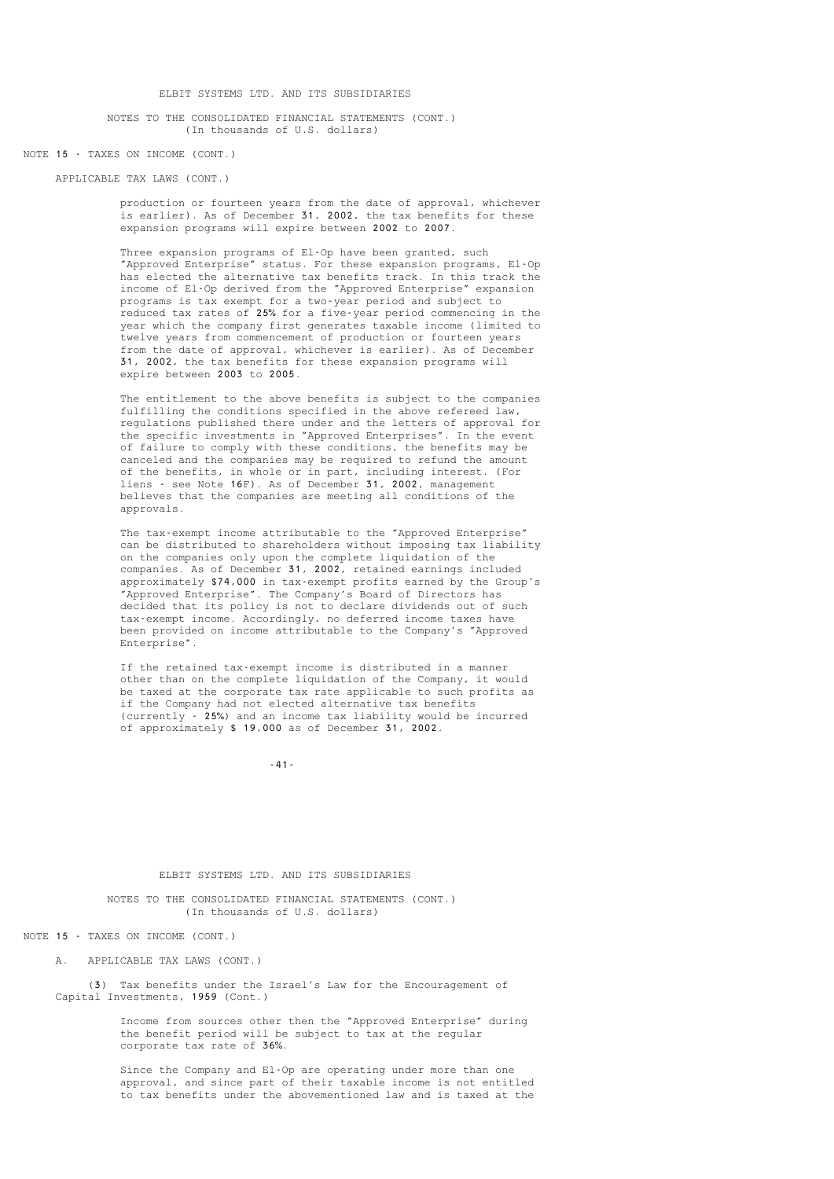NOTES TO THE CONSOLIDATED FINANCIAL STATEMENTS (CONT.) (In thousands of U.S. dollars)

#### NOTE 15 - TAXES ON INCOME (CONT.)

### APPLICABLE TAX LAWS (CONT.)

 production or fourteen years from the date of approval, whichever is earlier). As of December 31, 2002, the tax benefits for these expansion programs will expire between 2002 to 2007.

 Three expansion programs of El-Op have been granted, such "Approved Enterprise" status. For these expansion programs, El-Op has elected the alternative tax benefits track. In this track the income of El-Op derived from the "Approved Enterprise" expansion programs is tax exempt for a two-year period and subject to reduced tax rates of 25% for a five-year period commencing in the year which the company first generates taxable income (limited to twelve years from commencement of production or fourteen years from the date of approval, whichever is earlier). As of December 31, 2002, the tax benefits for these expansion programs will expire between 2003 to 2005.

 The entitlement to the above benefits is subject to the companies fulfilling the conditions specified in the above refereed law, regulations published there under and the letters of approval for the specific investments in "Approved Enterprises". In the event of failure to comply with these conditions, the benefits may be canceled and the companies may be required to refund the amount of the benefits, in whole or in part, including interest. (For liens - see Note 16F). As of December 31, 2002, management believes that the companies are meeting all conditions of the approvals.

> The tax-exempt income attributable to the "Approved Enterprise" can be distributed to shareholders without imposing tax liability on the companies only upon the complete liquidation of the companies. As of December 31, 2002, retained earnings included approximately \$74,000 in tax-exempt profits earned by the Group's "Approved Enterprise". The Company's Board of Directors has decided that its policy is not to declare dividends out of such tax-exempt income. Accordingly, no deferred income taxes have been provided on income attributable to the Company's "Approved Enterprise".

 If the retained tax-exempt income is distributed in a manner other than on the complete liquidation of the Company, it would be taxed at the corporate tax rate applicable to such profits as if the Company had not elected alternative tax benefits (currently - 25%) and an income tax liability would be incurred of approximately \$ 19,000 as of December 31, 2002.

-41-

#### ELBIT SYSTEMS LTD. AND ITS SUBSIDIARIES

 NOTES TO THE CONSOLIDATED FINANCIAL STATEMENTS (CONT.) (In thousands of U.S. dollars)

#### NOTE 15 - TAXES ON INCOME (CONT.)

A. APPLICABLE TAX LAWS (CONT.)

 (3) Tax benefits under the Israel's Law for the Encouragement of Capital Investments, 1959 (Cont.)

> Income from sources other then the "Approved Enterprise" during the benefit period will be subject to tax at the regular corporate tax rate of 36%.

 Since the Company and El-Op are operating under more than one approval, and since part of their taxable income is not entitled to tax benefits under the abovementioned law and is taxed at the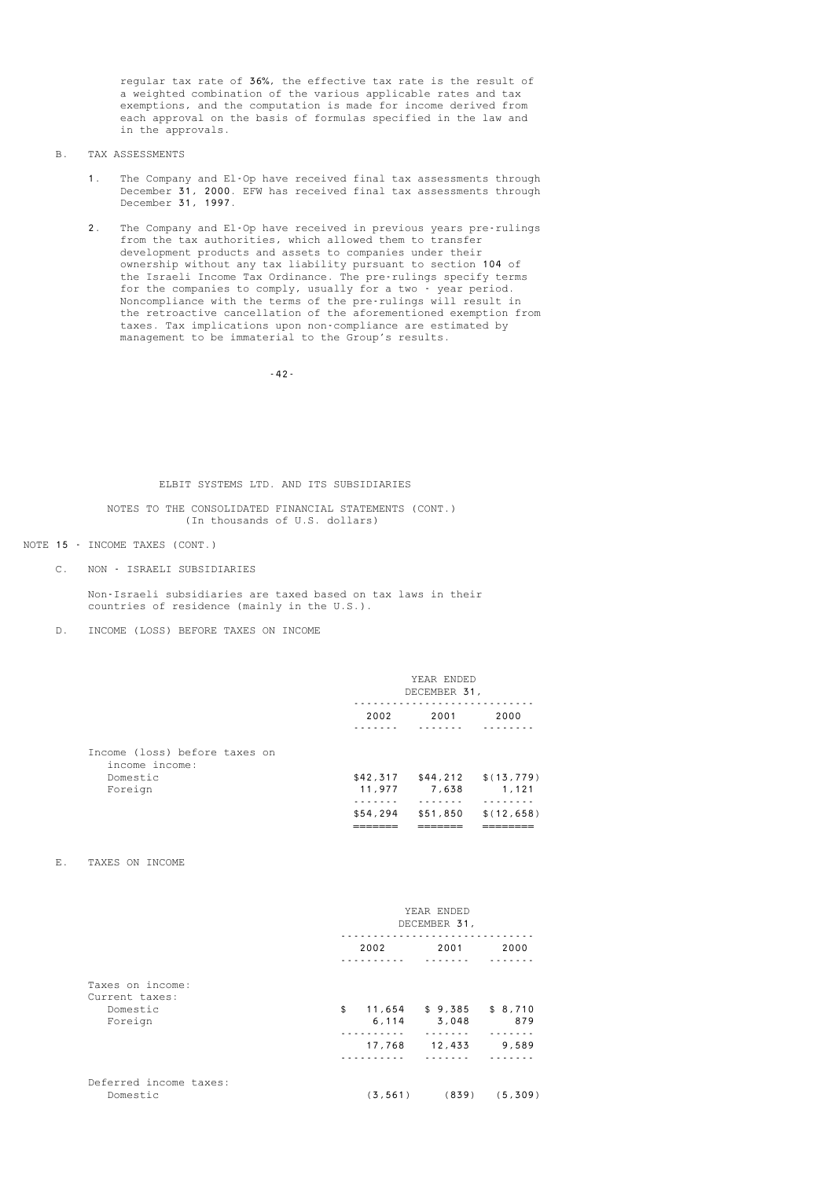regular tax rate of 36%, the effective tax rate is the result of a weighted combination of the various applicable rates and tax exemptions, and the computation is made for income derived from each approval on the basis of formulas specified in the law and in the approvals.

- B. TAX ASSESSMENTS
	- 1. The Company and El-Op have received final tax assessments through December 31, 2000. EFW has received final tax assessments through December 31, 1997.
- 2. The Company and El-Op have received in previous years pre-rulings from the tax authorities, which allowed them to transfer development products and assets to companies under their ownership without any tax liability pursuant to section 104 of the Israeli Income Tax Ordinance. The pre-rulings specify terms for the companies to comply, usually for a two - year period. Noncompliance with the terms of the pre-rulings will result in the retroactive cancellation of the aforementioned exemption from taxes. Tax implications upon non-compliance are estimated by management to be immaterial to the Group's results.

-42-

### ELBIT SYSTEMS LTD. AND ITS SUBSIDIARIES

#### NOTES TO THE CONSOLIDATED FINANCIAL STATEMENTS (CONT.) (In thousands of U.S. dollars)

#### NOTE 15 - INCOME TAXES (CONT.)

C. NON - ISRAELI SUBSIDIARIES

 Non-Israeli subsidiaries are taxed based on tax laws in their countries of residence (mainly in the U.S.).

D. INCOME (LOSS) BEFORE TAXES ON INCOME

|                                                 | YEAR ENDED<br>DECEMBER 31, |              |                                 |
|-------------------------------------------------|----------------------------|--------------|---------------------------------|
|                                                 | 2002                       | 2001         | 2000                            |
| Income (loss) before taxes on<br>income income: |                            |              |                                 |
| Domestic                                        |                            |              | $$42,317$ $$44,212$ $$(13,779)$ |
| Foreign                                         |                            | 11,977 7,638 | 1,121                           |
|                                                 |                            |              |                                 |
|                                                 | \$54,294                   |              | $$51,850$ $$(12,658)$           |
|                                                 |                            |              |                                 |

#### E. TAXES ON INCOME

|                                                           | YEAR ENDED<br>DECEMBER 31,       |                                      |              |
|-----------------------------------------------------------|----------------------------------|--------------------------------------|--------------|
|                                                           | 2002                             | 2001                                 | 2000         |
| Taxes on income:<br>Current taxes:<br>Domestic<br>Foreign | \$<br>11,654<br>6, 114<br>17,768 | $$9,385$ $$8,710$<br>3.048<br>12,433 | 879<br>9,589 |
| Deferred income taxes:<br>Domestic                        | (3, 561)                         | (839)                                | (5, 309)     |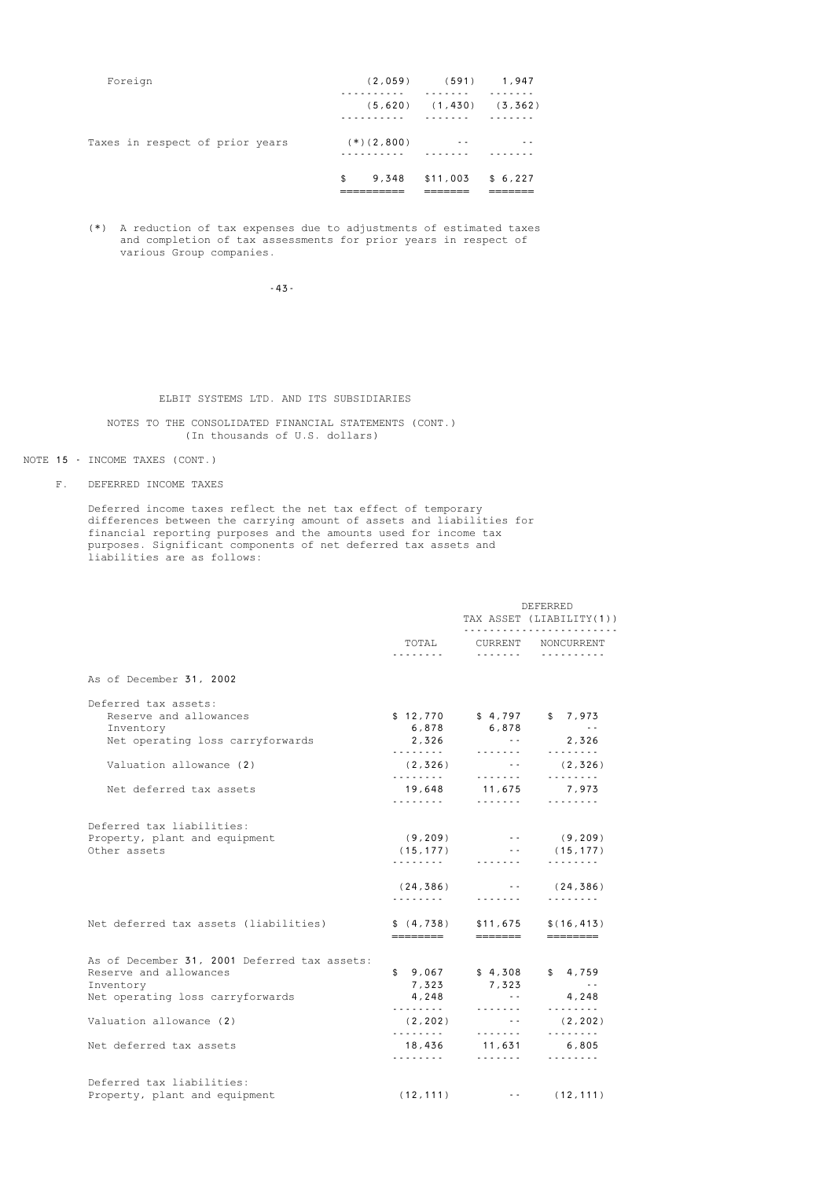| Foreign                         |              | $(2,059)$ $(591)$ 1,947       |  |
|---------------------------------|--------------|-------------------------------|--|
|                                 |              | $(5,620)$ $(1,430)$ $(3,362)$ |  |
| Taxes in respect of prior years | $(*)(2,800)$ | $ -$                          |  |
|                                 | \$           | 9,348 \$11,003 \$6,227        |  |

 (\*) A reduction of tax expenses due to adjustments of estimated taxes and completion of tax assessments for prior years in respect of various Group companies.

-43-

### ELBIT SYSTEMS LTD. AND ITS SUBSIDIARIES

### NOTES TO THE CONSOLIDATED FINANCIAL STATEMENTS (CONT.) (In thousands of U.S. dollars)

#### NOTE 15 - INCOME TAXES (CONT.)

F. DEFERRED INCOME TAXES

 Deferred income taxes reflect the net tax effect of temporary differences between the carrying amount of assets and liabilities for financial reporting purposes and the amounts used for income tax purposes. Significant components of net deferred tax assets and liabilities are as follows:

|                                              |                | DEFERRED<br>TAX ASSET (LIABILITY(1))<br>. |                         |  |
|----------------------------------------------|----------------|-------------------------------------------|-------------------------|--|
|                                              | TOTAL<br>.     | .                                         | CURRENT NONCURRENT<br>. |  |
| As of December 31, 2002                      |                |                                           |                         |  |
| Deferred tax assets:                         |                |                                           |                         |  |
| Reserve and allowances                       | \$12,770       | \$4,797                                   | \$7,973                 |  |
| Inventory                                    | 6,878          | 6,878                                     | $\sim$ $\sim$ $\sim$    |  |
| Net operating loss carryforwards             | 2,326<br>.     | <b>Contract</b><br>.                      | 2,326<br>.              |  |
| Valuation allowance (2)                      | (2,326)        | <b>Contract</b>                           | (2,326)                 |  |
|                                              | .              | .                                         | .                       |  |
| Net deferred tax assets                      | 19,648         | 11,675                                    | 7,973                   |  |
|                                              | .              | .                                         | .                       |  |
| Deferred tax liabilities:                    |                |                                           |                         |  |
| Property, plant and equipment                | (9, 209)       |                                           | $-$ (9,209)             |  |
| Other assets                                 | (15, 177)      | and the state of                          | (15, 177)               |  |
|                                              | .              | .                                         | .                       |  |
|                                              | (24, 386)<br>. | and the state of<br>.                     | (24, 386)<br>.          |  |
| Net deferred tax assets (liabilities)        | \$(4, 738)     | \$11,675                                  | \$(16, 413)             |  |
|                                              | ========       | =======                                   | ========                |  |
| As of December 31, 2001 Deferred tax assets: |                |                                           |                         |  |
| Reserve and allowances                       | \$9,067        | \$4,308                                   | \$4,759                 |  |
| Inventory                                    | 7,323          | 7,323                                     | $\sim$ $-$              |  |
| Net operating loss carryforwards             | 4,248          | $\sim$ $\sim$<br>.                        | 4,248<br>.              |  |
| Valuation allowance (2)                      | (2, 202)<br>.  | <b>Contract Contract</b><br>.             | (2, 202)<br>.           |  |
| Net deferred tax assets                      | 18,436<br>.    | 11,631<br>.                               | 6,805<br>.              |  |
| Deferred tax liabilities:                    |                |                                           |                         |  |
| Property, plant and equipment                | (12, 111)      | the company                               | (12, 111)               |  |
|                                              |                |                                           |                         |  |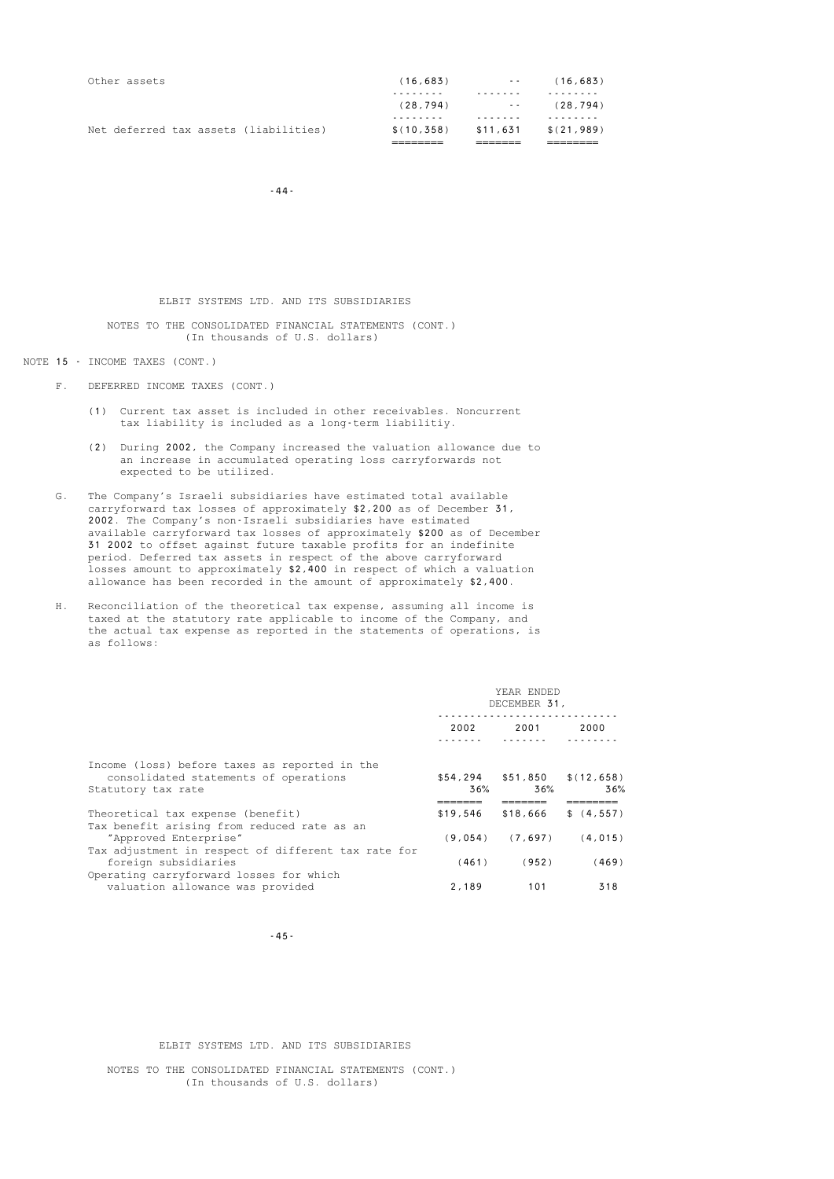| Net deferred tax assets (liabilities) | \$(10.358) | \$11,631      | \$(21,989) |
|---------------------------------------|------------|---------------|------------|
|                                       |            |               |            |
|                                       | (28, 794)  | $\sim$ $\sim$ | (28, 794)  |
|                                       |            |               |            |
| Other assets                          | (16, 683)  | $\sim$ $\sim$ | (16, 683)  |
|                                       |            |               |            |

 $-44-$ 

#### ELBIT SYSTEMS LTD. AND ITS SUBSIDIARIES

#### NOTES TO THE CONSOLIDATED FINANCIAL STATEMENTS (CONT.) (In thousands of U.S. dollars)

### NOTE 15 - INCOME TAXES (CONT.)

- F. DEFERRED INCOME TAXES (CONT.)
	- (1) Current tax asset is included in other receivables. Noncurrent tax liability is included as a long-term liabilitiy.
	- (2) During 2002, the Company increased the valuation allowance due to an increase in accumulated operating loss carryforwards not expected to be utilized.
- G. The Company's Israeli subsidiaries have estimated total available carryforward tax losses of approximately \$2,200 as of December 31, 2002. The Company's non-Israeli subsidiaries have estimated available carryforward tax losses of approximately \$200 as of December 31 2002 to offset against future taxable profits for an indefinite period. Deferred tax assets in respect of the above carryforward losses amount to approximately \$2,400 in respect of which a valuation allowance has been recorded in the amount of approximately \$2,400.
- H. Reconciliation of the theoretical tax expense, assuming all income is taxed at the statutory rate applicable to income of the Company, and the actual tax expense as reported in the statements of operations, is as follows:

|                                                                                                              |          | YEAR ENDED<br>DECEMBER 31, |                                        |  |  |
|--------------------------------------------------------------------------------------------------------------|----------|----------------------------|----------------------------------------|--|--|
|                                                                                                              | 2002     | 2001                       | 2000                                   |  |  |
| Income (loss) before taxes as reported in the<br>consolidated statements of operations<br>Statutory tax rate | 36%      | 36%                        | $$54,294$ $$51,850$ $$(12,658)$<br>36% |  |  |
| Theoretical tax expense (benefit)                                                                            | \$19,546 | \$18,666                   | \$(4, 557)                             |  |  |
| Tax benefit arising from reduced rate as an<br>"Approved Enterprise"                                         |          | $(9,054)$ $(7,697)$        | (4, 015)                               |  |  |
| Tax adjustment in respect of different tax rate for<br>foreign subsidiaries                                  | (461)    | (952)                      | (469)                                  |  |  |
| Operating carryforward losses for which<br>valuation allowance was provided                                  | 2,189    | 101                        | 318                                    |  |  |

-45-

#### ELBIT SYSTEMS LTD. AND ITS SUBSIDIARIES

 NOTES TO THE CONSOLIDATED FINANCIAL STATEMENTS (CONT.) (In thousands of U.S. dollars)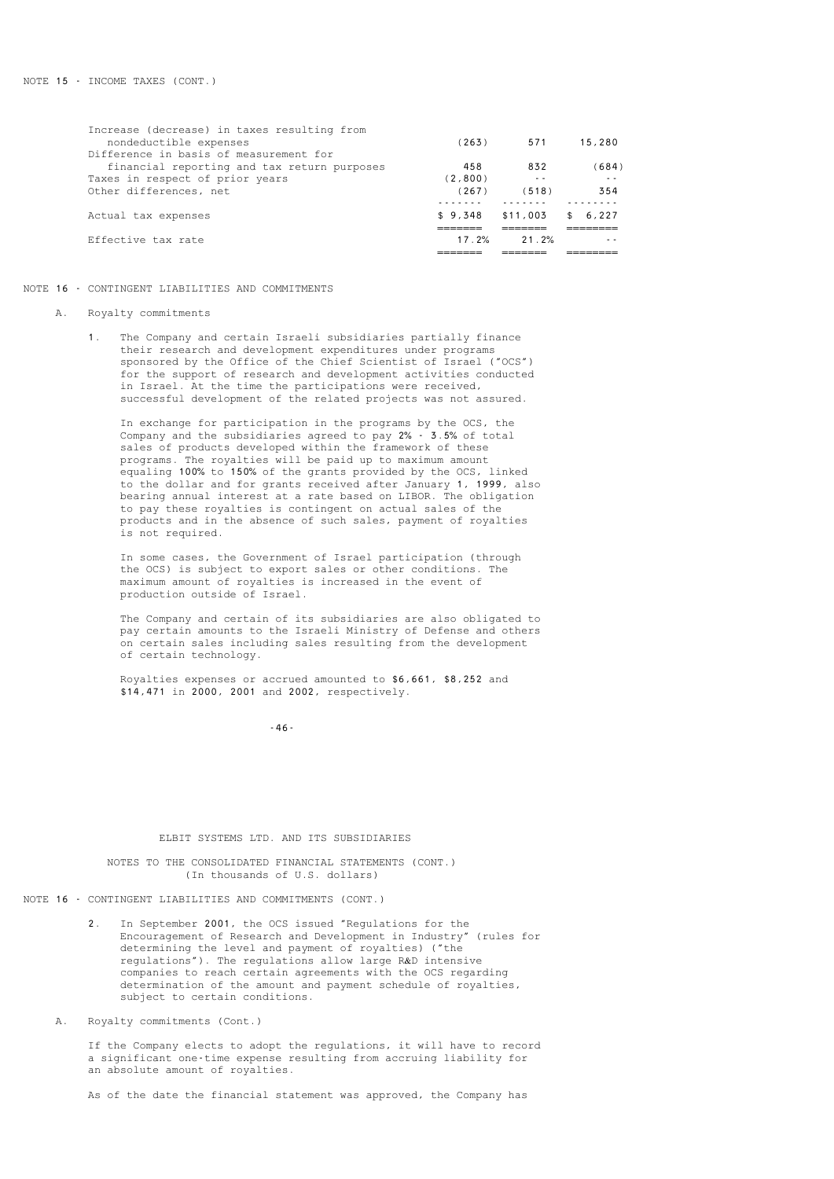| Effective tax rate                          | 17.2%   | 21.2%    | - -    |
|---------------------------------------------|---------|----------|--------|
| Actual tax expenses                         | \$9,348 | \$11,003 | 6.227  |
| Other differences, net                      | (267)   | (518)    | 354    |
| Taxes in respect of prior years             | (2,800) | - -      |        |
| financial reporting and tax return purposes | 458     | 832      | (684)  |
| Difference in basis of measurement for      |         |          |        |
| nondeductible expenses                      | (263)   | 571      | 15,280 |
| Increase (decrease) in taxes resulting from |         |          |        |

#### NOTE 16 - CONTINGENT LIABILITIES AND COMMITMENTS

#### A. Royalty commitments

 1. The Company and certain Israeli subsidiaries partially finance their research and development expenditures under programs sponsored by the Office of the Chief Scientist of Israel ("OCS") for the support of research and development activities conducted in Israel. At the time the participations were received, successful development of the related projects was not assured.

> In exchange for participation in the programs by the OCS, the Company and the subsidiaries agreed to pay 2% - 3.5% of total sales of products developed within the framework of these programs. The royalties will be paid up to maximum amount equaling 100% to 150% of the grants provided by the OCS, linked to the dollar and for grants received after January 1, 1999, also bearing annual interest at a rate based on LIBOR. The obligation to pay these royalties is contingent on actual sales of the products and in the absence of such sales, payment of royalties is not required.

 In some cases, the Government of Israel participation (through the OCS) is subject to export sales or other conditions. The maximum amount of royalties is increased in the event of production outside of Israel.

 The Company and certain of its subsidiaries are also obligated to pay certain amounts to the Israeli Ministry of Defense and others on certain sales including sales resulting from the development of certain technology.

 Royalties expenses or accrued amounted to \$6,661, \$8,252 and \$14,471 in 2000, 2001 and 2002, respectively.

 $-46-$ 

#### ELBIT SYSTEMS LTD. AND ITS SUBSIDIARIES

 NOTES TO THE CONSOLIDATED FINANCIAL STATEMENTS (CONT.) (In thousands of U.S. dollars)

NOTE 16 - CONTINGENT LIABILITIES AND COMMITMENTS (CONT.)

In September 2001, the OCS issued "Regulations for the Encouragement of Research and Development in Industry" (rules for determining the level and payment of royalties) ("the regulations"). The regulations allow large R&D intensive companies to reach certain agreements with the OCS regarding determination of the amount and payment schedule of royalties, subject to certain conditions.

A. Royalty commitments (Cont.)

 If the Company elects to adopt the regulations, it will have to record a significant one-time expense resulting from accruing liability for an absolute amount of royalties.

As of the date the financial statement was approved, the Company has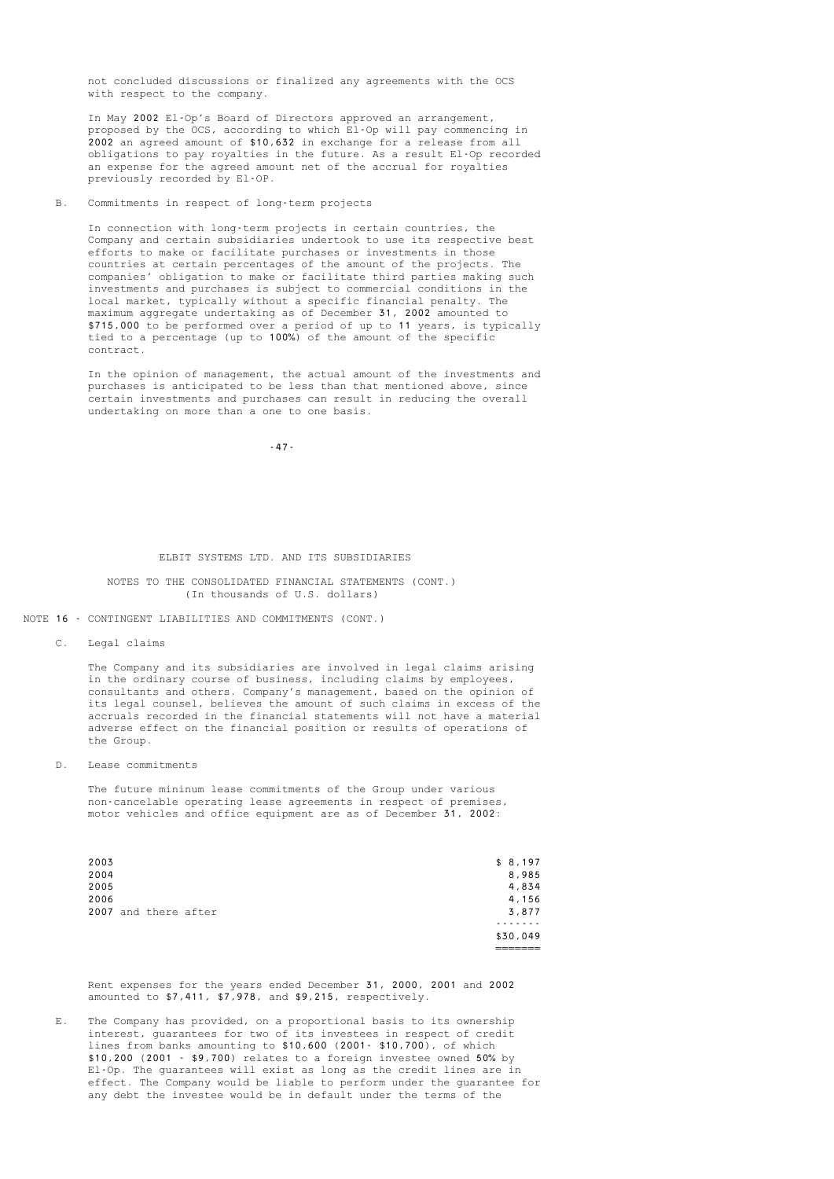not concluded discussions or finalized any agreements with the OCS with respect to the company.

 In May 2002 El-Op's Board of Directors approved an arrangement, proposed by the OCS, according to which El-Op will pay commencing in 2002 an agreed amount of \$10,632 in exchange for a release from all obligations to pay royalties in the future. As a result El-Op recorded an expense for the agreed amount net of the accrual for royalties previously recorded by El-OP.

B. Commitments in respect of long-term projects

 In connection with long-term projects in certain countries, the Company and certain subsidiaries undertook to use its respective best efforts to make or facilitate purchases or investments in those countries at certain percentages of the amount of the projects. The companies' obligation to make or facilitate third parties making such investments and purchases is subject to commercial conditions in the local market, typically without a specific financial penalty. The maximum aggregate undertaking as of December 31, 2002 amounted to \$715,000 to be performed over a period of up to 11 years, is typically tied to a percentage (up to 100%) of the amount of the specific contract.

 In the opinion of management, the actual amount of the investments and purchases is anticipated to be less than that mentioned above, since certain investments and purchases can result in reducing the overall undertaking on more than a one to one basis.

-47-

#### ELBIT SYSTEMS LTD. AND ITS SUBSIDIARIES

#### NOTES TO THE CONSOLIDATED FINANCIAL STATEMENTS (CONT.) (In thousands of U.S. dollars)

NOTE 16 - CONTINGENT LIABILITIES AND COMMITMENTS (CONT.)

C. Legal claims

 The Company and its subsidiaries are involved in legal claims arising in the ordinary course of business, including claims by employees, consultants and others. Company's management, based on the opinion of its legal counsel, believes the amount of such claims in excess of the accruals recorded in the financial statements will not have a material adverse effect on the financial position or results of operations of the Group.

D. Lease commitments

 The future mininum lease commitments of the Group under various non-cancelable operating lease agreements in respect of premises, motor vehicles and office equipment are as of December 31, 2002:

|      |                      |  | \$30,049 |
|------|----------------------|--|----------|
|      |                      |  |          |
|      | 2007 and there after |  | 3,877    |
| 2006 |                      |  | 4,156    |
| 2005 |                      |  | 4,834    |
| 2004 |                      |  | 8,985    |
| 2003 |                      |  | \$8,197  |

 Rent expenses for the years ended December 31, 2000, 2001 and 2002 amounted to \$7,411, \$7,978, and \$9,215, respectively.

 E. The Company has provided, on a proportional basis to its ownership interest, guarantees for two of its investees in respect of credit lines from banks amounting to \$10,600 (2001- \$10,700), of which \$10,200 (2001 - \$9,700) relates to a foreign investee owned 50% by El-Op. The guarantees will exist as long as the credit lines are in effect. The Company would be liable to perform under the guarantee for any debt the investee would be in default under the terms of the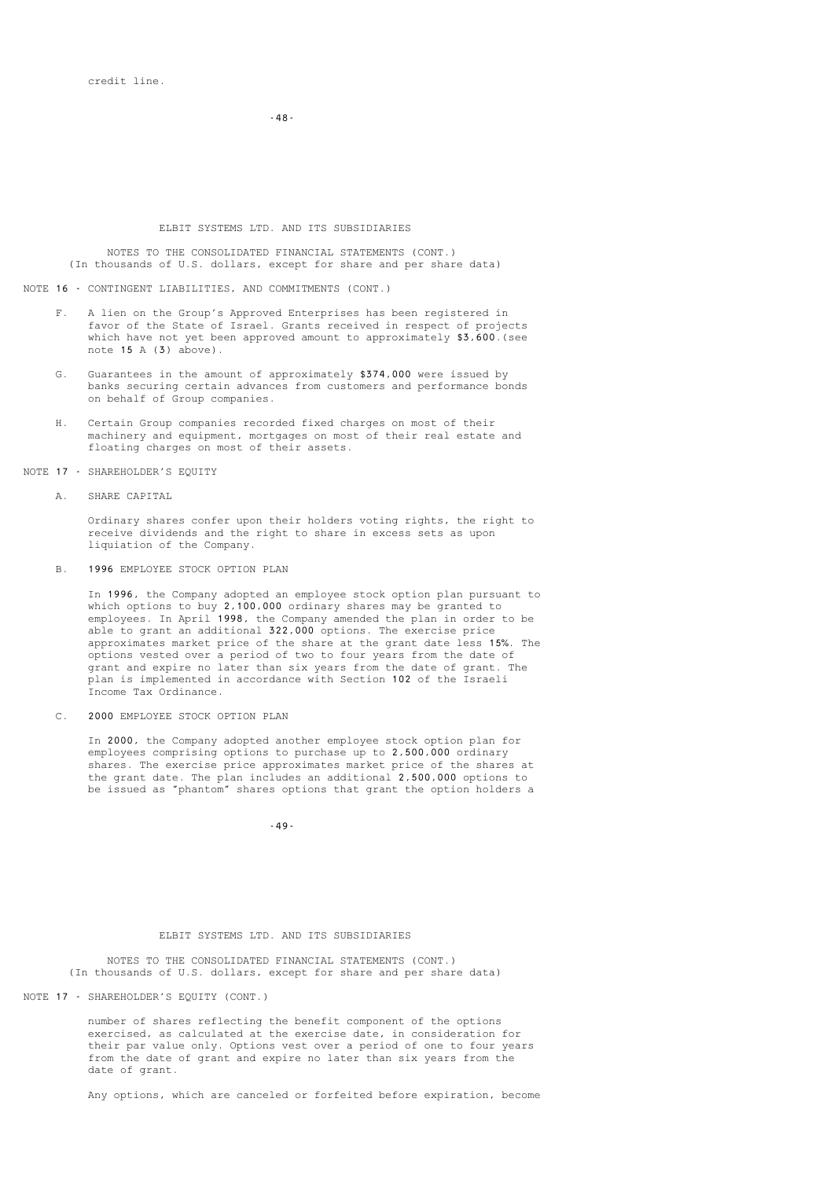-48-

#### ELBIT SYSTEMS LTD. AND ITS SUBSIDIARIES

 NOTES TO THE CONSOLIDATED FINANCIAL STATEMENTS (CONT.) (In thousands of U.S. dollars, except for share and per share data)

NOTE 16 - CONTINGENT LIABILITIES, AND COMMITMENTS (CONT.)

- F. A lien on the Group's Approved Enterprises has been registered in favor of the State of Israel. Grants received in respect of projects which have not yet been approved amount to approximately \$3,600. (see note  $15 \text{ A}$   $(3)$  above).
- G. Guarantees in the amount of approximately \$374,000 were issued by banks securing certain advances from customers and performance bonds on behalf of Group companies.
- H. Certain Group companies recorded fixed charges on most of their machinery and equipment, mortgages on most of their real estate and floating charges on most of their assets.

NOTE 17 - SHAREHOLDER'S EQUITY

A. SHARE CAPITAL

Ordinary shares confer upon their holders voting rights, the right to receive dividends and the right to share in excess sets as upon liquiation of the Company.

B. 1996 EMPLOYEE STOCK OPTION PLAN

 In 1996, the Company adopted an employee stock option plan pursuant to which options to buy 2,100,000 ordinary shares may be granted to employees. In April 1998, the Company amended the plan in order to be able to grant an additional 322,000 options. The exercise price approximates market price of the share at the grant date less 15%. The options vested over a period of two to four years from the date of grant and expire no later than six years from the date of grant. The plan is implemented in accordance with Section 102 of the Israeli Income Tax Ordinance.

C. 2000 EMPLOYEE STOCK OPTION PLAN

 In 2000, the Company adopted another employee stock option plan for employees comprising options to purchase up to 2,500,000 ordinary shares. The exercise price approximates market price of the shares at the grant date. The plan includes an additional 2,500,000 options to be issued as "phantom" shares options that grant the option holders a

-49-

### ELBIT SYSTEMS LTD. AND ITS SUBSIDIARIES

 NOTES TO THE CONSOLIDATED FINANCIAL STATEMENTS (CONT.) (In thousands of U.S. dollars, except for share and per share data)

NOTE 17 - SHAREHOLDER'S EQUITY (CONT.)

 number of shares reflecting the benefit component of the options exercised, as calculated at the exercise date, in consideration for their par value only. Options vest over a period of one to four years from the date of grant and expire no later than six years from the date of grant.

Any options, which are canceled or forfeited before expiration, become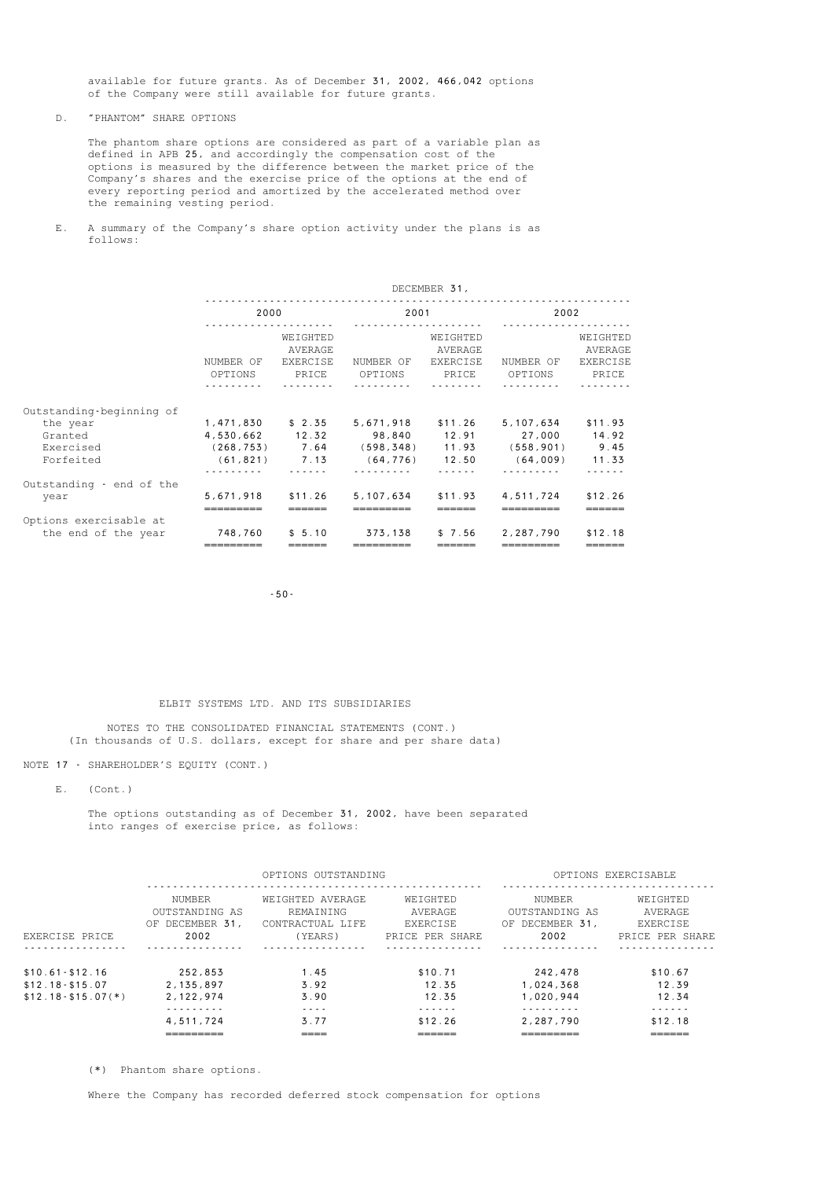available for future grants. As of December 31, 2002, 466,042 options of the Company were still available for future grants.

D. "PHANTOM" SHARE OPTIONS

 The phantom share options are considered as part of a variable plan as defined in APB 25, and accordingly the compensation cost of the options is measured by the difference between the market price of the Company's shares and the exercise price of the options at the end of every reporting period and amortized by the accelerated method over the remaining vesting period.

 E. A summary of the Company's share option activity under the plans is as follows:

|                                                                           | DECEMBER 31,                                                          |                                                 |                                                                      |                                          |                                                                     |                                          |  |
|---------------------------------------------------------------------------|-----------------------------------------------------------------------|-------------------------------------------------|----------------------------------------------------------------------|------------------------------------------|---------------------------------------------------------------------|------------------------------------------|--|
|                                                                           | 2000                                                                  | .                                               | 2001                                                                 |                                          | 2002                                                                |                                          |  |
|                                                                           | NUMBER OF<br>OPTIONS                                                  | WEIGHTED<br>AVERAGE<br><b>EXERCISE</b><br>PRICE | NUMBER OF<br>OPTIONS                                                 | WEIGHTED<br>AVERAGE<br>EXERCISE<br>PRICE | NUMBER OF<br>OPTIONS                                                | WEIGHTED<br>AVERAGE<br>EXERCISE<br>PRICE |  |
| Outstanding-beginning of<br>the year<br>Granted<br>Exercised<br>Forfeited | 1,471,830<br>4,530,662 12.32<br>$(268, 753)$ 7.64<br>$(61, 821)$ 7.13 | \$2.35                                          | 5,671,918<br>98.840 12.91<br>$(598, 348)$ 11.93<br>$(64, 776)$ 12.50 | \$11.26                                  | 5,107,634<br>27,000 14.92<br>$(558, 901)$ 9.45<br>$(64, 009)$ 11.33 | \$11.93                                  |  |
| Outstanding - end of the<br>year                                          | 5,671,918                                                             | \$11.26                                         | 5, 107, 634                                                          | \$11.93                                  | 4,511,724                                                           | \$12.26                                  |  |
| Options exercisable at<br>the end of the year                             | 748,760                                                               | \$5.10                                          | 373,138                                                              | \$7.56                                   | 2,287,790                                                           | \$12.18                                  |  |

-50-

### ELBIT SYSTEMS LTD. AND ITS SUBSIDIARIES

 NOTES TO THE CONSOLIDATED FINANCIAL STATEMENTS (CONT.) (In thousands of U.S. dollars, except for share and per share data)

NOTE 17 - SHAREHOLDER'S EQUITY (CONT.)

E. (Cont.)

 The options outstanding as of December 31, 2002, have been separated into ranges of exercise price, as follows:

|                       |                                                               | OPTIONS OUTSTANDING                                          |                                                           |                                                               | OPTIONS EXERCISABLE                                |
|-----------------------|---------------------------------------------------------------|--------------------------------------------------------------|-----------------------------------------------------------|---------------------------------------------------------------|----------------------------------------------------|
| EXERCISE PRICE        | <b>NUMBER</b><br>OUTSTANDING AS<br>DECEMBER 31,<br>OF<br>2002 | WEIGHTED AVERAGE<br>REMAINING<br>CONTRACTUAL LIFE<br>(YEARS) | WEIGHTED<br>AVERAGE<br><b>EXERCISE</b><br>PRICE PER SHARE | <b>NUMBER</b><br>OUTSTANDING AS<br>DECEMBER 31,<br>ΟF<br>2002 | WEIGHTED<br>AVERAGE<br>EXERCISE<br>PRICE PER SHARE |
|                       |                                                               |                                                              |                                                           |                                                               |                                                    |
| $$10.61 - $12.16$     | 252.853                                                       | .45                                                          | \$10.71                                                   | 242,478                                                       | \$10.67                                            |
| $$12.18 - $15.07$     | 2.135.897                                                     | 3.92                                                         | 12.35                                                     | 1.024.368                                                     | 12.39                                              |
| $$12.18 - $15.07 (*)$ | 2, 122, 974                                                   | 3.90                                                         | 12.35                                                     | 1,020,944                                                     | 12.34                                              |
|                       |                                                               | - - - -                                                      | - - - - - -                                               |                                                               | - - - - - -                                        |
|                       | 4.511.724                                                     | 3.77                                                         | \$12.26                                                   | 2,287,790                                                     | \$12.18                                            |
|                       | ----------<br>-------                                         | ____<br>---                                                  | ______<br>-----                                           | _________<br>-------                                          | ______<br>-----                                    |

(\*) Phantom share options.

Where the Company has recorded deferred stock compensation for options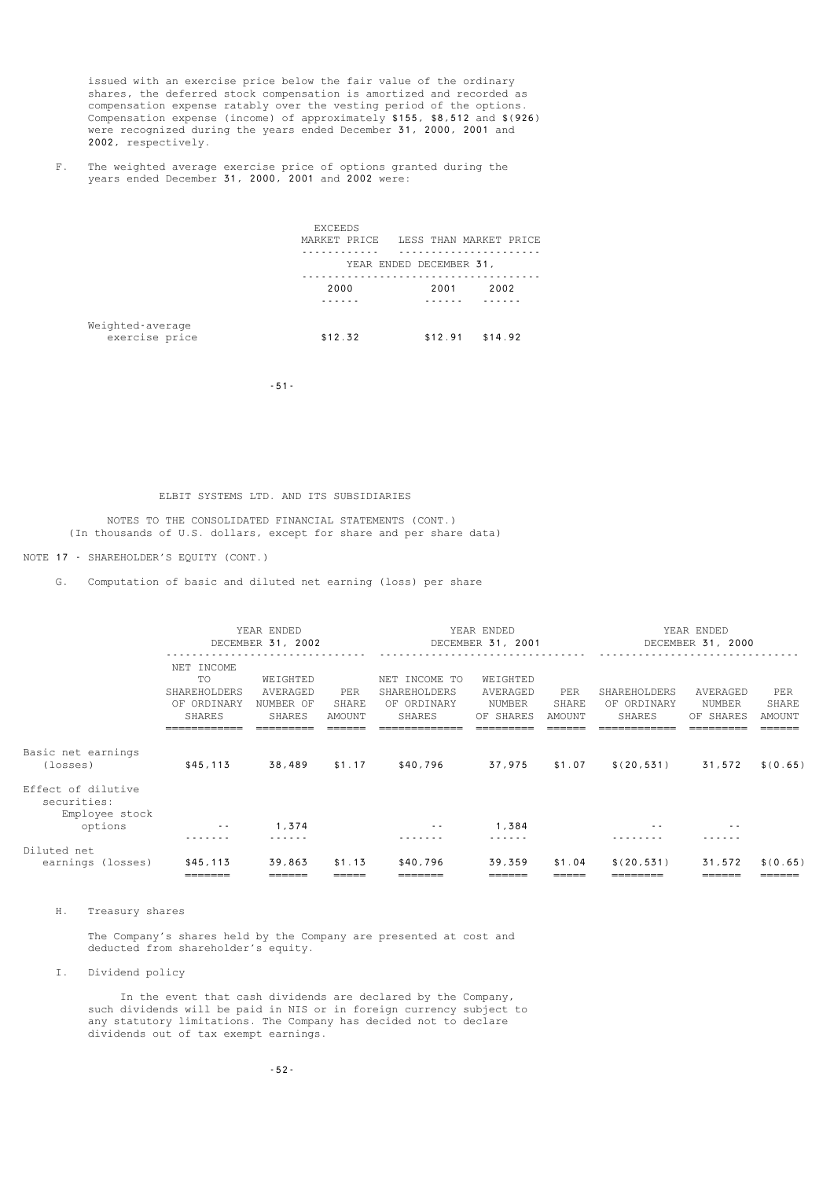issued with an exercise price below the fair value of the ordinary shares, the deferred stock compensation is amortized and recorded as compensation expense ratably over the vesting period of the options. Compensation expense (income) of approximately \$155, \$8,512 and \$(926) were recognized during the years ended December 31, 2000, 2001 and 2002, respectively.

 F. The weighted average exercise price of options granted during the years ended December 31, 2000, 2001 and 2002 were:

|                                    | <b>EXCEEDS</b><br>MARKET PRICE | LESS THAN MARKET PRICE |         |  |
|------------------------------------|--------------------------------|------------------------|---------|--|
|                                    | YEAR ENDED DECEMBER 31,        |                        |         |  |
|                                    | 2000                           | 2001                   | 2002    |  |
|                                    |                                |                        |         |  |
| Weighted-average<br>exercise price | \$12.32                        | \$12.91                | \$14.92 |  |

-51-

### ELBIT SYSTEMS LTD. AND ITS SUBSIDIARIES

 NOTES TO THE CONSOLIDATED FINANCIAL STATEMENTS (CONT.) (In thousands of U.S. dollars, except for share and per share data)

### NOTE 17 - SHAREHOLDER'S EQUITY (CONT.)

G. Computation of basic and diluted net earning (loss) per share

|                                                     | YEAR ENDED<br>DECEMBER 31, 2002                                         |                                             |                        | YEAR ENDED<br>DECEMBER 31, 2001                               |                                             |                        | YEAR ENDED<br>DECEMBER 31, 2000              |                                 |                                  |
|-----------------------------------------------------|-------------------------------------------------------------------------|---------------------------------------------|------------------------|---------------------------------------------------------------|---------------------------------------------|------------------------|----------------------------------------------|---------------------------------|----------------------------------|
|                                                     | NET INCOME<br><b>TO</b><br>SHAREHOLDERS<br>OF ORDINARY<br><b>SHARES</b> | WEIGHTED<br>AVERAGED<br>NUMBER OF<br>SHARES | PER<br>SHARE<br>AMOUNT | NET INCOME TO<br>SHAREHOLDERS<br>OF ORDINARY<br><b>SHARES</b> | WEIGHTED<br>AVERAGED<br>NUMBER<br>OF SHARES | PER<br>SHARE<br>AMOUNT | SHAREHOLDERS<br>OF ORDINARY<br><b>SHARES</b> | AVERAGED<br>NUMBER<br>OF SHARES | PER<br>SHARE<br>AMOUNT<br>______ |
| Basic net earnings<br>(losses)                      | \$45,113                                                                | 38,489                                      | \$1.17                 | \$40,796                                                      | 37,975                                      | \$1.07                 | \$(20, 531)                                  | 31,572                          | \$ (0.65)                        |
| Effect of dilutive<br>securities:<br>Employee stock |                                                                         |                                             |                        |                                                               |                                             |                        |                                              |                                 |                                  |
| options                                             | $\sim$ $-$                                                              | 1,374                                       |                        | $\sim$ $\sim$                                                 | 1,384                                       |                        |                                              | $ -$                            |                                  |
| Diluted net<br>earnings (losses)                    | \$45,113                                                                | 39,863                                      | \$1.13                 | \$40,796                                                      | 39,359                                      | \$1.04                 | \$(20, 531)                                  | 31,572                          | \$ (0.65)                        |
|                                                     | =======                                                                 | ______                                      | —————                  | _______                                                       | ======                                      | =====                  | ————————                                     |                                 | ======                           |

H. Treasury shares

 The Company's shares held by the Company are presented at cost and deducted from shareholder's equity.

I. Dividend policy

 In the event that cash dividends are declared by the Company, such dividends will be paid in NIS or in foreign currency subject to any statutory limitations. The Company has decided not to declare dividends out of tax exempt earnings.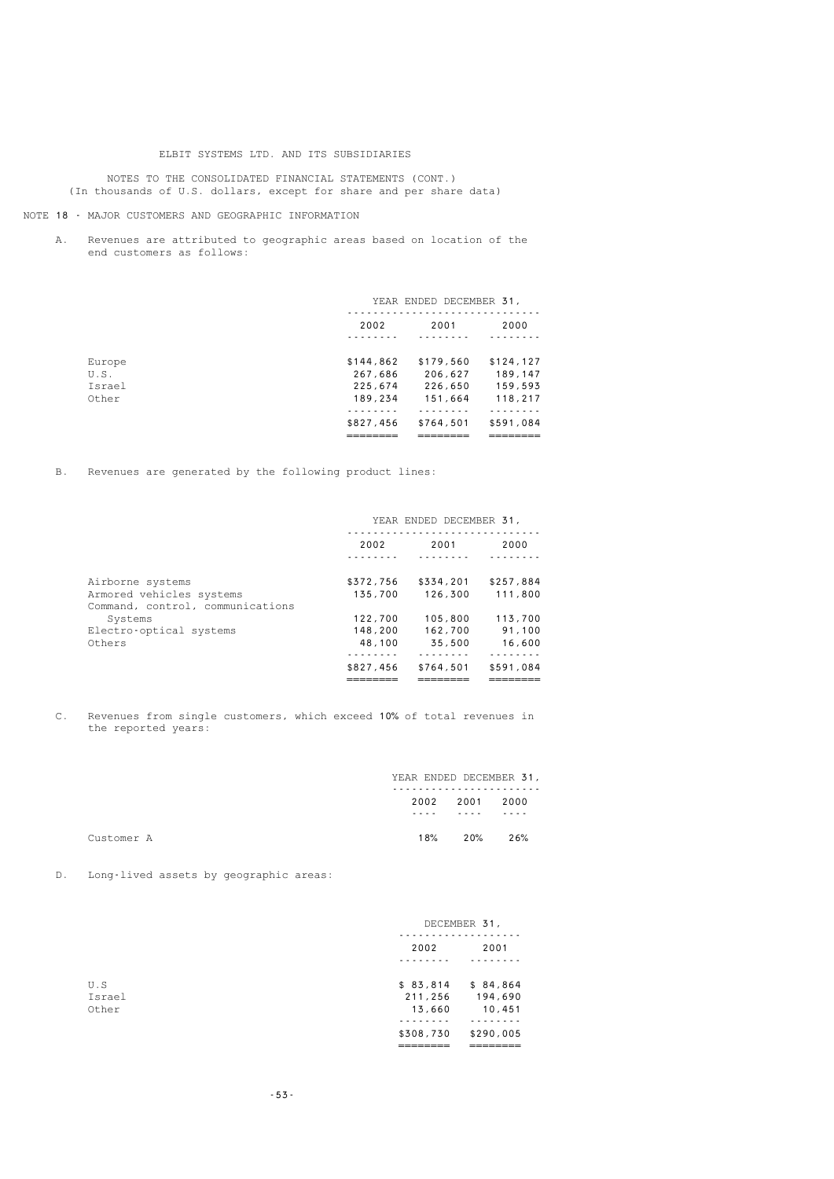NOTES TO THE CONSOLIDATED FINANCIAL STATEMENTS (CONT.) (In thousands of U.S. dollars, except for share and per share data)

#### NOTE 18 - MAJOR CUSTOMERS AND GEOGRAPHIC INFORMATION

 A. Revenues are attributed to geographic areas based on location of the end customers as follows:

|                                          |                                            | YEAR ENDED DECEMBER 31,                    |                                             |
|------------------------------------------|--------------------------------------------|--------------------------------------------|---------------------------------------------|
|                                          | 2002                                       | 2001                                       | 2000                                        |
| Europe<br>U.S.<br><b>Tsrael</b><br>Other | \$144,862<br>267,686<br>225,674<br>189,234 | \$179,560<br>206,627<br>226,650<br>151,664 | \$124, 127<br>189,147<br>159,593<br>118,217 |
|                                          | \$827,456                                  | \$764,501                                  | \$591,084                                   |

B. Revenues are generated by the following product lines:

|                                  | YEAR ENDED DECEMBER 31, |           |           |
|----------------------------------|-------------------------|-----------|-----------|
|                                  | 2002                    | 2001      | 2000      |
|                                  |                         |           |           |
| Airborne systems                 | \$372,756               | \$334,201 | \$257,884 |
| Armored vehicles systems         | 135,700                 | 126,300   | 111,800   |
| Command, control, communications |                         |           |           |
| Systems                          | 122,700                 | 105,800   | 113,700   |
| Electro-optical systems          | 148,200                 | 162,700   | 91.100    |
| Others                           | 48,100                  | 35,500    | 16,600    |
|                                  |                         |           |           |
|                                  | \$827,456               | \$764,501 | \$591,084 |
|                                  |                         |           |           |

 C. Revenues from single customers, which exceed 10% of total revenues in the reported years:

|            | YEAR ENDED DECEMBER 31, |      |      |
|------------|-------------------------|------|------|
|            | 2002                    | 2001 | 2000 |
|            | ----                    | ---- | ---- |
| Customer A | 18%                     | 20%  | 26%  |

D. Long-lived assets by geographic areas:

|        |           | DECEMBER 31, |  |  |
|--------|-----------|--------------|--|--|
|        | 2002      | 2001         |  |  |
|        |           |              |  |  |
| U.S    | \$83,814  | \$84,864     |  |  |
| Israel | 211,256   | 194,690      |  |  |
| Other  | 13,660    | 10,451       |  |  |
|        |           |              |  |  |
|        | \$308,730 | \$290,005    |  |  |
|        | _________ | _______      |  |  |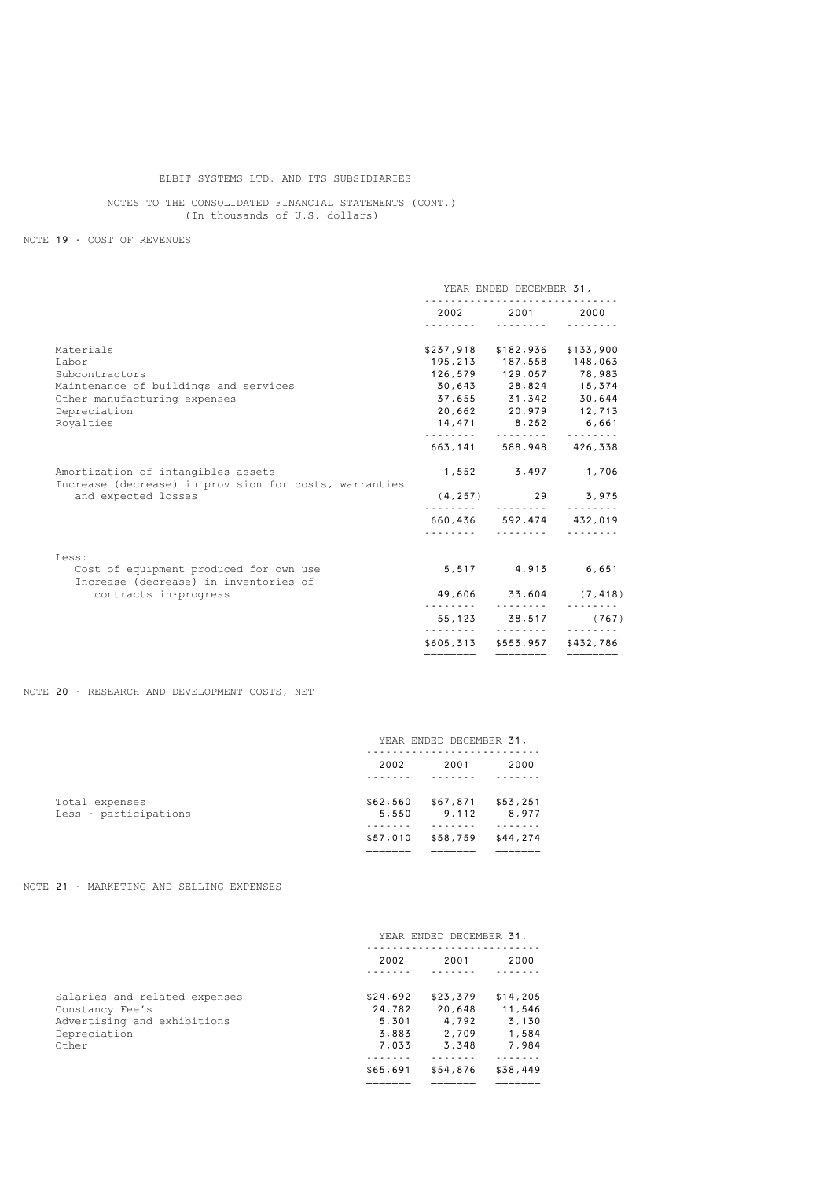NOTES TO THE CONSOLIDATED FINANCIAL STATEMENTS (CONT.) (In thousands of U.S. dollars)

NOTE 19 - COST OF REVENUES

|                                                                                              | YEAR ENDED DECEMBER 31, |                                                                                                                                                                                                                                      |               |
|----------------------------------------------------------------------------------------------|-------------------------|--------------------------------------------------------------------------------------------------------------------------------------------------------------------------------------------------------------------------------------|---------------|
|                                                                                              | 2002 2003               | 2001 - 2001 - 2002 - 2003 - 2004 - 2004 - 2004 - 2004 - 2004 - 2005 - 2006 - 2006 - 2006 - 2007 - 2008 - 2006 - 2007 - 2008 - 2008 - 2008 - 2007 - 2008 - 2008 - 2008 - 2008 - 2008 - 2008 - 2008 - 2008 - 2008 - 2008 - 2008 -<br>. | 2000          |
| Materials                                                                                    |                         | \$237,918 \$182,936                                                                                                                                                                                                                  | \$133,900     |
| Labor                                                                                        |                         | 195,213 187,558 148,063                                                                                                                                                                                                              |               |
| Subcontractors                                                                               |                         | 126,579 129,057 78,983                                                                                                                                                                                                               |               |
| Maintenance of buildings and services                                                        |                         | 30,643 28,824 15,374                                                                                                                                                                                                                 |               |
| Other manufacturing expenses                                                                 |                         | 37,655 31,342 30,644                                                                                                                                                                                                                 |               |
| Depreciation                                                                                 |                         | 20,662 20,979 12,713                                                                                                                                                                                                                 |               |
| Royalties                                                                                    |                         | 14,471 8,252 6,661                                                                                                                                                                                                                   | .             |
|                                                                                              |                         | 663, 141 588, 948 426, 338                                                                                                                                                                                                           |               |
| Amortization of intangibles assets<br>Increase (decrease) in provision for costs, warranties |                         | 1,552 3,497 1,706                                                                                                                                                                                                                    |               |
| and expected losses                                                                          | (4, 257)                | .                                                                                                                                                                                                                                    | 29 3,975<br>. |
|                                                                                              |                         | 660,436 592,474 432,019                                                                                                                                                                                                              | .             |
| Less:                                                                                        |                         |                                                                                                                                                                                                                                      |               |
| Cost of equipment produced for own use<br>Increase (decrease) in inventories of              |                         | 5,517 4,913 6,651                                                                                                                                                                                                                    |               |
| contracts in-progress                                                                        | .                       | 49,606 33,604 (7,418)<br>.                                                                                                                                                                                                           |               |
|                                                                                              |                         | 55, 123 38, 517                                                                                                                                                                                                                      | (767)         |
|                                                                                              |                         | .<br>\$605,313 \$553,957                                                                                                                                                                                                             | \$432,786     |
|                                                                                              | ========                | ========                                                                                                                                                                                                                             |               |

NOTE 20 - RESEARCH AND DEVELOPMENT COSTS, NET

|                       | YEAR ENDED DECEMBER 31, |          |          |
|-----------------------|-------------------------|----------|----------|
|                       | 2002                    | 2001     | 2000     |
| Total expenses        | \$62,560                | \$67,871 | \$53,251 |
| Less - participations | 5,550                   | 9.112    | 8,977    |
|                       | \$57,010                | \$58,759 | \$44,274 |
|                       |                         |          |          |

NOTE 21 - MARKETING AND SELLING EXPENSES

|                                                | YEAR ENDED DECEMBER 31, |                 |                 |
|------------------------------------------------|-------------------------|-----------------|-----------------|
|                                                | 2002                    | 2001            | 2000            |
| Salaries and related expenses                  | \$24,692                | \$23,379        | \$14,205        |
| Constancy Fee's<br>Advertising and exhibitions | 24,782<br>5.301         | 20,648<br>4,792 | 11,546<br>3,130 |
| Depreciation<br>Other                          | 3.883<br>7,033          | 2.709<br>3.348  | 1,584<br>7.984  |
|                                                | \$65,691                | \$54,876        | \$38,449        |
|                                                |                         |                 |                 |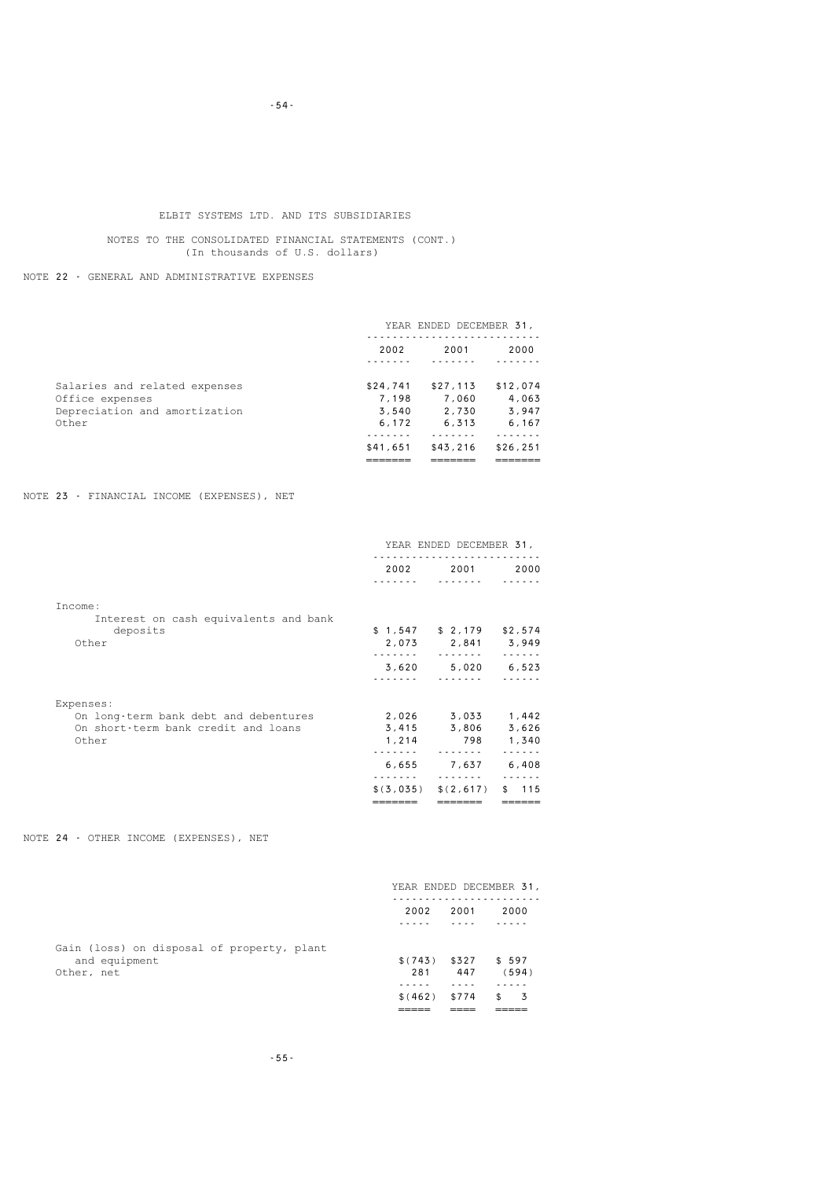NOTES TO THE CONSOLIDATED FINANCIAL STATEMENTS (CONT.) (In thousands of U.S. dollars)

NOTE 22 - GENERAL AND ADMINISTRATIVE EXPENSES

|                                                                                            | YEAR ENDED DECEMBER 31,             |                                     |                                      |
|--------------------------------------------------------------------------------------------|-------------------------------------|-------------------------------------|--------------------------------------|
|                                                                                            | 2002                                | 2001                                | 2000                                 |
| Salaries and related expenses<br>Office expenses<br>Depreciation and amortization<br>Other | \$24,741<br>7.198<br>3.540<br>6.172 | \$27.113<br>7,060<br>2.730<br>6.313 | \$12,074<br>4,063<br>3,947<br>6, 167 |
|                                                                                            | \$41,651                            | \$43, 216                           | \$26, 251                            |

NOTE 23 - FINANCIAL INCOME (EXPENSES), NET

|                                                    | \$ (3, 035) | \$(2,617)                  | 115<br>\$      |  |
|----------------------------------------------------|-------------|----------------------------|----------------|--|
|                                                    | 6,655       | 7,637                      | 6,408          |  |
| Other                                              | 1,214<br>.  | .                          | 798 1,340<br>. |  |
| On short-term bank credit and loans                |             | $3,415$ $3,806$            | 3,626          |  |
| Expenses:<br>On long-term bank debt and debentures |             | 2,026 3,033                | 1,442          |  |
|                                                    |             |                            |                |  |
|                                                    | 3,620       |                            | $5,020$ 6,523  |  |
| Other                                              |             | 2,073 2,841 3,949          | 1.1.1.1.1      |  |
| deposits                                           |             | $$1,547$ $$2,179$ $$2,574$ |                |  |
| Income:<br>Interest on cash equivalents and bank   |             |                            |                |  |
|                                                    |             |                            |                |  |
|                                                    | 2002        | 2001                       | 2000           |  |
|                                                    |             | YEAR ENDED DECEMBER 31,    |                |  |

NOTE 24 - OTHER INCOME (EXPENSES), NET

|                                            |          |       | YEAR ENDED DECEMBER 31, |
|--------------------------------------------|----------|-------|-------------------------|
|                                            | 2002     | 2001  | 2000                    |
|                                            |          |       |                         |
| Gain (loss) on disposal of property, plant |          |       |                         |
| and equipment                              | \$(743)  | \$327 | \$597                   |
| Other, net                                 | 281      | 447   | (594)                   |
|                                            |          |       |                         |
|                                            | \$ (462) | \$774 | - 3<br>\$               |
|                                            |          |       |                         |

-54-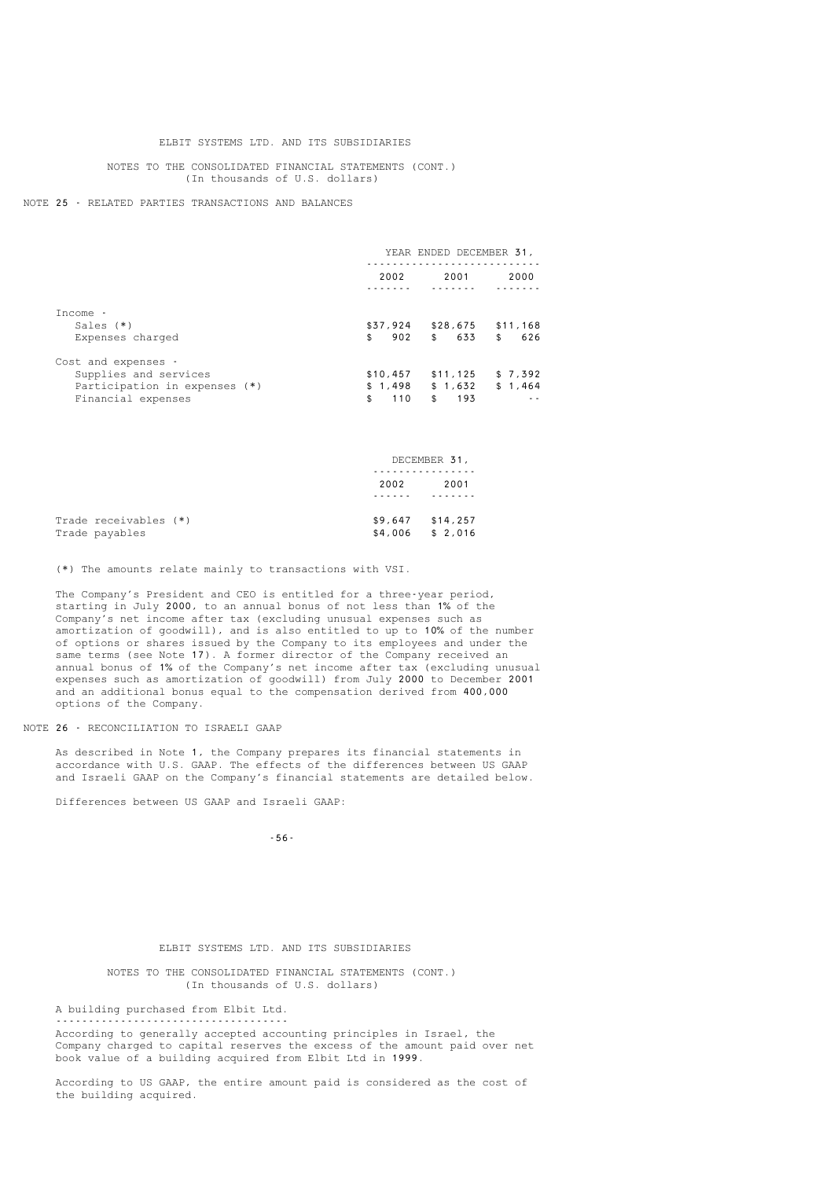#### NOTES TO THE CONSOLIDATED FINANCIAL STATEMENTS (CONT.) (In thousands of U.S. dollars)

#### NOTE 25 - RELATED PARTIES TRANSACTIONS AND BALANCES

|                                 | YEAR ENDED DECEMBER 31, |                       |                       |
|---------------------------------|-------------------------|-----------------------|-----------------------|
|                                 | 2002                    | 2001                  | 2000                  |
| Income -                        |                         |                       |                       |
| Sales $(*)$<br>Expenses charged | \$37,924<br>\$<br>902   | \$28,675<br>633<br>\$ | \$11,168<br>\$<br>626 |
| Cost and expenses -             |                         |                       |                       |
| Supplies and services           | \$10,457                | \$11, 125             | \$7.392               |
| Participation in expenses (*)   | \$1,498                 | \$1,632               | \$1,464               |
| Financial expenses              | \$<br>110               | 193<br>\$             |                       |

|                       | DECEMBER 31, |                    |  |
|-----------------------|--------------|--------------------|--|
|                       |              |                    |  |
|                       | 2002         | 2001               |  |
|                       |              |                    |  |
| Trade receivables (*) |              | $$9,647$ $$14,257$ |  |
| Trade payables        | \$4,006      | \$2,016            |  |

(\*) The amounts relate mainly to transactions with VSI.

 The Company's President and CEO is entitled for a three-year period, starting in July 2000, to an annual bonus of not less than 1% of the Company's net income after tax (excluding unusual expenses such as amortization of goodwill), and is also entitled to up to 10% of the number of options or shares issued by the Company to its employees and under the same terms (see Note 17). A former director of the Company received an annual bonus of 1% of the Company's net income after tax (excluding unusual expenses such as amortization of goodwill) from July 2000 to December 2001 and an additional bonus equal to the compensation derived from 400,000 options of the Company.

### NOTE 26 - RECONCILIATION TO ISRAELI GAAP

 As described in Note 1, the Company prepares its financial statements in accordance with U.S. GAAP. The effects of the differences between US GAAP and Israeli GAAP on the Company's financial statements are detailed below.

Differences between US GAAP and Israeli GAAP:

-56-

#### ELBIT SYSTEMS LTD. AND ITS SUBSIDIARIES

 NOTES TO THE CONSOLIDATED FINANCIAL STATEMENTS (CONT.) (In thousands of U.S. dollars)

 A building purchased from Elbit Ltd. ------------------------------------

 According to generally accepted accounting principles in Israel, the Company charged to capital reserves the excess of the amount paid over net book value of a building acquired from Elbit Ltd in 1999.

 According to US GAAP, the entire amount paid is considered as the cost of the building acquired.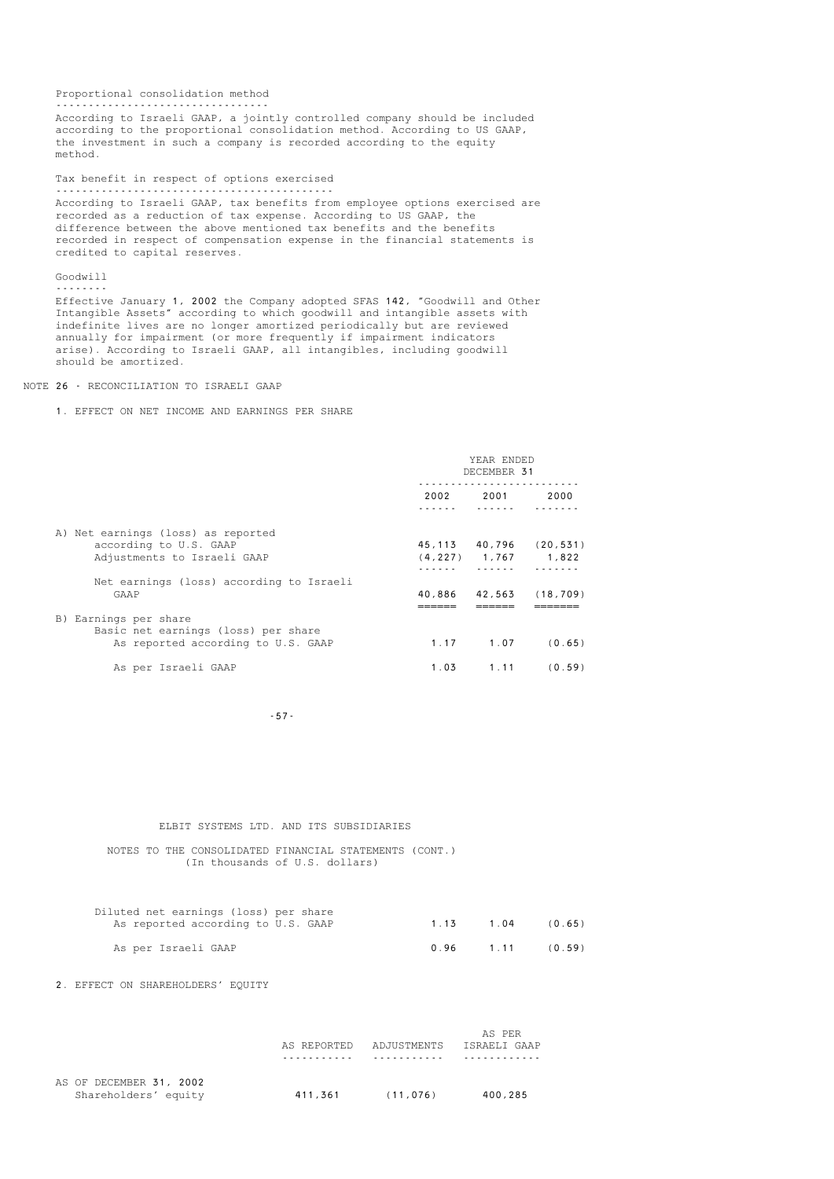Proportional consolidation method --------------------------------- According to Israeli GAAP, a jointly controlled company should be included according to the proportional consolidation method. According to US GAAP, the investment in such a company is recorded according to the equity method. Tax benefit in respect of options exercised ------------------------------------------- According to Israeli GAAP, tax benefits from employee options exercised are recorded as a reduction of tax expense. According to US GAAP, the difference between the above mentioned tax benefits and the benefits recorded in respect of compensation expense in the financial statements is credited to capital reserves. Goodwill --------

 Effective January 1, 2002 the Company adopted SFAS 142, "Goodwill and Other Intangible Assets" according to which goodwill and intangible assets with indefinite lives are no longer amortized periodically but are reviewed annually for impairment (or more frequently if impairment indicators arise). According to Israeli GAAP, all intangibles, including goodwill should be amortized.

#### NOTE 26 - RECONCILIATION TO ISRAELI GAAP

#### 1. EFFECT ON NET INCOME AND EARNINGS PER SHARE

|                                                                                                    | YEAR ENDED<br>DECEMBER 31 |                  |                                    |
|----------------------------------------------------------------------------------------------------|---------------------------|------------------|------------------------------------|
|                                                                                                    | 2002                      | 2001             | 2000                               |
| A) Net earnings (loss) as reported<br>according to U.S. GAAP<br>Adjustments to Israeli GAAP        |                           | $(4, 227)$ 1,767 | 45, 113 40, 796 (20, 531)<br>1,822 |
| Net earnings (loss) according to Israeli<br>GAAP                                                   | 40,886                    | 42,563           | (18, 709)                          |
| B) Earnings per share<br>Basic net earnings (loss) per share<br>As reported according to U.S. GAAP | 1.17                      | 1.07             | (0.65)                             |
| As per Israeli GAAP                                                                                | 1.03                      | 1.11             | (0.59)                             |

-57-

#### ELBIT SYSTEMS LTD. AND ITS SUBSIDIARIES

 NOTES TO THE CONSOLIDATED FINANCIAL STATEMENTS (CONT.) (In thousands of U.S. dollars)

| Diluted net earnings (loss) per share |      |      |        |
|---------------------------------------|------|------|--------|
| As reported according to U.S. GAAP    | 1 13 | 1.04 | (0.65) |
| As per Israeli GAAP                   | 0.96 | 1.11 | (0.59) |

2. EFFECT ON SHAREHOLDERS' EQUITY

|                         |             |             | AS PER       |
|-------------------------|-------------|-------------|--------------|
|                         | AS REPORTED | ADJUSTMENTS | ISRAELI GAAP |
|                         |             |             |              |
| AS OF DECEMBER 31, 2002 |             |             |              |
| Shareholders' equity    | 411,361     | (11, 076)   | 400,285      |